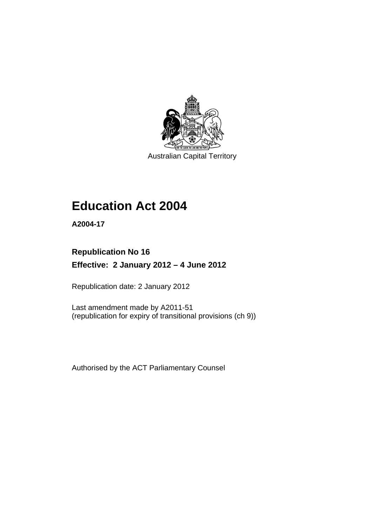

Australian Capital Territory

# **Education Act 2004**

**A2004-17** 

# **Republication No 16 Effective: 2 January 2012 – 4 June 2012**

Republication date: 2 January 2012

Last amendment made by A2011-51 (republication for expiry of transitional provisions (ch 9))

Authorised by the ACT Parliamentary Counsel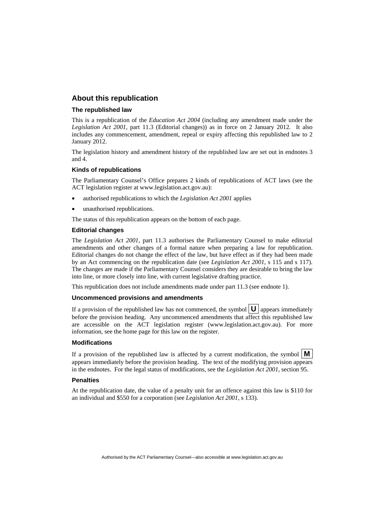### **About this republication**

### **The republished law**

This is a republication of the *Education Act 2004* (including any amendment made under the *Legislation Act 2001*, part 11.3 (Editorial changes)) as in force on 2 January 2012*.* It also includes any commencement, amendment, repeal or expiry affecting this republished law to 2 January 2012.

The legislation history and amendment history of the republished law are set out in endnotes 3 and 4.

### **Kinds of republications**

The Parliamentary Counsel's Office prepares 2 kinds of republications of ACT laws (see the ACT legislation register at www.legislation.act.gov.au):

- authorised republications to which the *Legislation Act 2001* applies
- unauthorised republications.

The status of this republication appears on the bottom of each page.

### **Editorial changes**

The *Legislation Act 2001*, part 11.3 authorises the Parliamentary Counsel to make editorial amendments and other changes of a formal nature when preparing a law for republication. Editorial changes do not change the effect of the law, but have effect as if they had been made by an Act commencing on the republication date (see *Legislation Act 2001*, s 115 and s 117). The changes are made if the Parliamentary Counsel considers they are desirable to bring the law into line, or more closely into line, with current legislative drafting practice.

This republication does not include amendments made under part 11.3 (see endnote 1).

### **Uncommenced provisions and amendments**

If a provision of the republished law has not commenced, the symbol  $\mathbf{U}$  appears immediately before the provision heading. Any uncommenced amendments that affect this republished law are accessible on the ACT legislation register (www.legislation.act.gov.au). For more information, see the home page for this law on the register.

### **Modifications**

If a provision of the republished law is affected by a current modification, the symbol  $\mathbf{M}$ appears immediately before the provision heading. The text of the modifying provision appears in the endnotes. For the legal status of modifications, see the *Legislation Act 2001*, section 95.

### **Penalties**

At the republication date, the value of a penalty unit for an offence against this law is \$110 for an individual and \$550 for a corporation (see *Legislation Act 2001*, s 133).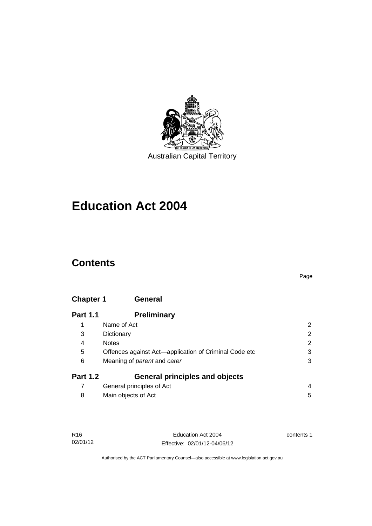

# **Education Act 2004**

# **Contents**

### Page

# **[Chapter 1](#page-13-0) General**

| <b>Part 1.1</b> | <b>Preliminary</b>                                    |                |
|-----------------|-------------------------------------------------------|----------------|
|                 | Name of Act                                           | 2              |
| 3               | Dictionary                                            | $\overline{2}$ |
| 4               | <b>Notes</b>                                          | $\overline{2}$ |
| 5               | Offences against Act—application of Criminal Code etc | 3              |
| 6               | Meaning of <i>parent</i> and <i>carer</i>             | 3              |
| <b>Part 1.2</b> | <b>General principles and objects</b>                 |                |
|                 | General principles of Act                             | 4              |
| 8               | Main objects of Act                                   | 5              |

| R16      | Education Act 2004           | contents 1 |
|----------|------------------------------|------------|
| 02/01/12 | Effective: 02/01/12-04/06/12 |            |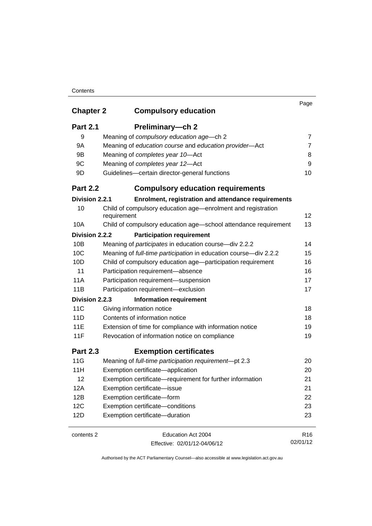| <b>Chapter 2</b> | <b>Compulsory education</b>                                                 | Page            |
|------------------|-----------------------------------------------------------------------------|-----------------|
| <b>Part 2.1</b>  | Preliminary-ch 2                                                            |                 |
| 9                | Meaning of compulsory education age-ch 2                                    | 7               |
| <b>9A</b>        | Meaning of education course and education provider-Act                      | $\overline{7}$  |
| 9B               | Meaning of completes year 10-Act                                            | 8               |
| 9C               | Meaning of completes year 12-Act                                            | 9               |
| 9D               | Guidelines-certain director-general functions                               | 10              |
| <b>Part 2.2</b>  | <b>Compulsory education requirements</b>                                    |                 |
| Division 2.2.1   | Enrolment, registration and attendance requirements                         |                 |
| 10               | Child of compulsory education age—enrolment and registration<br>requirement | 12              |
| 10A              | Child of compulsory education age-school attendance requirement             | 13              |
| Division 2.2.2   | <b>Participation requirement</b>                                            |                 |
| 10B              | Meaning of <i>participates</i> in education course-div 2.2.2                | 14              |
| 10 <sup>C</sup>  | Meaning of full-time participation in education course-div 2.2.2            | 15              |
| 10D              | Child of compulsory education age-participation requirement                 | 16              |
| 11               | Participation requirement-absence                                           | 16              |
| 11A              | Participation requirement-suspension                                        | 17              |
| 11B              | Participation requirement-exclusion                                         | 17              |
| Division 2.2.3   | <b>Information requirement</b>                                              |                 |
| 11C              | Giving information notice                                                   | 18              |
| 11D              | Contents of information notice                                              | 18              |
| 11E              | Extension of time for compliance with information notice                    | 19              |
| 11F              | Revocation of information notice on compliance                              | 19              |
| <b>Part 2.3</b>  | <b>Exemption certificates</b>                                               |                 |
| 11G              | Meaning of full-time participation requirement-pt 2.3                       | 20              |
| 11H              | Exemption certificate-application                                           | 20              |
| 12               | Exemption certificate-requirement for further information                   | 21              |
| 12A              | Exemption certificate-issue                                                 | 21              |
| 12B              | Exemption certificate-form                                                  | 22              |
| 12C              | Exemption certificate-conditions                                            | 23              |
| 12D              | Exemption certificate-duration                                              | 23              |
| contents 2       | Education Act 2004                                                          | R <sub>16</sub> |
|                  | Effective: 02/01/12-04/06/12                                                | 02/01/12        |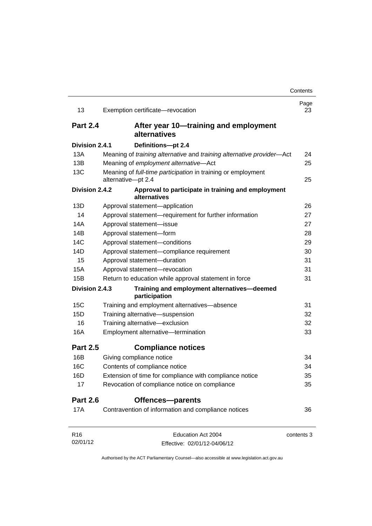| 13              | Exemption certificate-revocation                                                   | Page<br>23 |
|-----------------|------------------------------------------------------------------------------------|------------|
| <b>Part 2.4</b> | After year 10-training and employment<br>alternatives                              |            |
| Division 2.4.1  | Definitions-pt 2.4                                                                 |            |
| 13A             | Meaning of training alternative and training alternative provider-Act              | 24         |
| 13B             | Meaning of employment alternative-Act                                              | 25         |
| 13C             | Meaning of full-time participation in training or employment<br>alternative-pt 2.4 | 25         |
| Division 2.4.2  | Approval to participate in training and employment<br>alternatives                 |            |
| 13D             | Approval statement-application                                                     | 26         |
| 14              | Approval statement-requirement for further information                             | 27         |
| 14A             | Approval statement-issue                                                           | 27         |
| 14B             | Approval statement-form                                                            | 28         |
| 14C             | Approval statement-conditions                                                      | 29         |
| 14D             | Approval statement-compliance requirement                                          | 30         |
| 15              | Approval statement-duration                                                        | 31         |
| 15A             | Approval statement-revocation                                                      | 31         |
| 15B             | Return to education while approval statement in force                              | 31         |
| Division 2.4.3  | Training and employment alternatives-deemed<br>participation                       |            |
| 15C             | Training and employment alternatives-absence                                       | 31         |
| 15D             | Training alternative-suspension                                                    | 32         |
| 16              | Training alternative-exclusion                                                     | 32         |
| 16A             | Employment alternative-termination                                                 | 33         |
| <b>Part 2.5</b> | <b>Compliance notices</b>                                                          |            |
| 16B             | Giving compliance notice                                                           | 34         |
| <b>16C</b>      | Contents of compliance notice                                                      | 34         |
| 16D             | Extension of time for compliance with compliance notice                            | 35         |
| 17              | Revocation of compliance notice on compliance                                      | 35         |
| <b>Part 2.6</b> | <b>Offences-parents</b>                                                            |            |
| 17A             | Contravention of information and compliance notices                                | 36         |
| R <sub>16</sub> | Education Act 2004                                                                 | contents 3 |
| 02/01/12        | Effective: 02/01/12-04/06/12                                                       |            |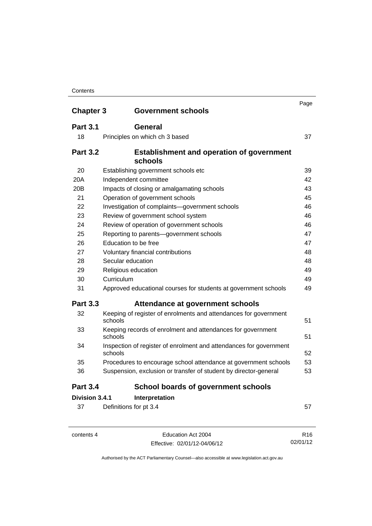| <b>Chapter 3</b>                 | <b>Government schools</b>                                                     | Page |
|----------------------------------|-------------------------------------------------------------------------------|------|
| <b>Part 3.1</b>                  | <b>General</b>                                                                |      |
|                                  |                                                                               |      |
| 18                               | Principles on which ch 3 based                                                | 37   |
| <b>Part 3.2</b>                  | <b>Establishment and operation of government</b>                              |      |
|                                  | schools                                                                       |      |
| 20                               | Establishing government schools etc                                           | 39   |
| 20A                              | Independent committee                                                         | 42   |
| 20 <sub>B</sub>                  | Impacts of closing or amalgamating schools                                    | 43   |
| 21                               | Operation of government schools                                               | 45   |
| 22                               | Investigation of complaints-government schools                                | 46   |
| 23                               | Review of government school system                                            | 46   |
| 24                               | Review of operation of government schools                                     | 46   |
| 25                               | Reporting to parents-government schools                                       | 47   |
| 26                               | Education to be free                                                          | 47   |
| 27                               | Voluntary financial contributions                                             | 48   |
| 28                               | Secular education                                                             | 48   |
| 29                               | Religious education                                                           | 49   |
| 30                               | Curriculum                                                                    | 49   |
| 31                               | Approved educational courses for students at government schools               | 49   |
| <b>Part 3.3</b>                  | Attendance at government schools                                              |      |
| 32                               | Keeping of register of enrolments and attendances for government<br>schools   | 51   |
| 33                               | Keeping records of enrolment and attendances for government<br>schools        | 51   |
| 34                               | Inspection of register of enrolment and attendances for government<br>schools | 52   |
| 35                               | Procedures to encourage school attendance at government schools               | 53   |
| 36                               | Suspension, exclusion or transfer of student by director-general              | 53   |
| <b>Part 3.4</b>                  | <b>School boards of government schools</b>                                    |      |
| Division 3.4.1<br>Interpretation |                                                                               |      |
| 37                               | Definitions for pt 3.4                                                        | 57   |

| contents 4 |
|------------|
|------------|

contents 4 Education Act 2004 Effective: 02/01/12-04/06/12

R16 02/01/12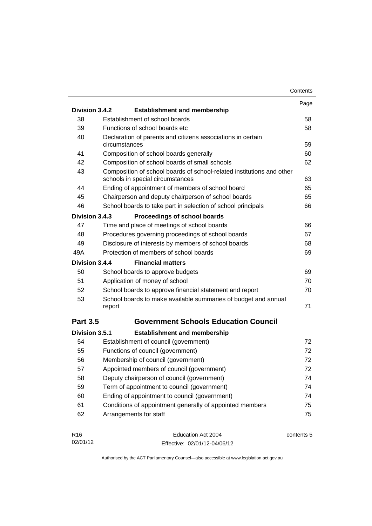|                 |                                                                                                           | Contents   |
|-----------------|-----------------------------------------------------------------------------------------------------------|------------|
|                 |                                                                                                           | Page       |
| Division 3.4.2  | <b>Establishment and membership</b>                                                                       |            |
| 38              | Establishment of school boards                                                                            | 58         |
| 39              | Functions of school boards etc.                                                                           | 58         |
| 40              | Declaration of parents and citizens associations in certain<br>circumstances                              | 59         |
| 41              | Composition of school boards generally                                                                    | 60         |
| 42              | Composition of school boards of small schools                                                             | 62         |
| 43              | Composition of school boards of school-related institutions and other<br>schools in special circumstances | 63         |
| 44              | Ending of appointment of members of school board                                                          | 65         |
| 45              | Chairperson and deputy chairperson of school boards                                                       | 65         |
| 46              | School boards to take part in selection of school principals                                              | 66         |
| Division 3.4.3  | Proceedings of school boards                                                                              |            |
| 47              | Time and place of meetings of school boards                                                               | 66         |
| 48              | Procedures governing proceedings of school boards                                                         | 67         |
| 49              | Disclosure of interests by members of school boards                                                       | 68         |
| 49A             | Protection of members of school boards                                                                    | 69         |
| Division 3.4.4  | <b>Financial matters</b>                                                                                  |            |
| 50              | School boards to approve budgets                                                                          | 69         |
| 51              | Application of money of school                                                                            | 70         |
| 52              | School boards to approve financial statement and report                                                   | 70         |
| 53              | School boards to make available summaries of budget and annual<br>report                                  | 71         |
| <b>Part 3.5</b> | <b>Government Schools Education Council</b>                                                               |            |
| Division 3.5.1  | <b>Establishment and membership</b>                                                                       |            |
| 54              | Establishment of council (government)                                                                     | 72         |
| 55              | Functions of council (government)                                                                         | 72         |
| 56              | Membership of council (government)                                                                        | 72         |
| 57              | Appointed members of council (government)                                                                 | 72         |
| 58              | Deputy chairperson of council (government)                                                                | 74         |
| 59              | Term of appointment to council (government)                                                               | 74         |
| 60              | Ending of appointment to council (government)                                                             | 74         |
| 61              | Conditions of appointment generally of appointed members                                                  | 75         |
| 62              | Arrangements for staff                                                                                    | 75         |
| R <sub>16</sub> | Education Act 2004                                                                                        | contents 5 |
| 02/01/12        | Effective: 02/01/12-04/06/12                                                                              |            |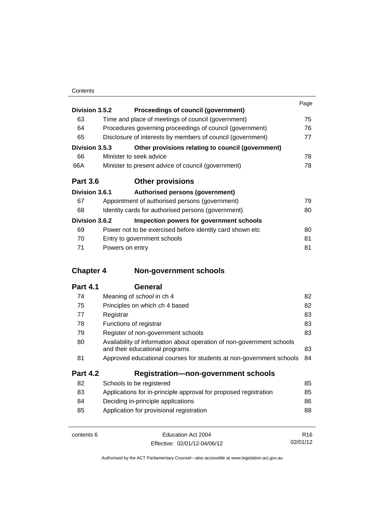|                 |                                                            | Page |
|-----------------|------------------------------------------------------------|------|
| Division 3.5.2  | Proceedings of council (government)                        |      |
| 63              | Time and place of meetings of council (government)         | 75   |
| 64              | Procedures governing proceedings of council (government)   | 76   |
| 65              | Disclosure of interests by members of council (government) | 77   |
| Division 3.5.3  | Other provisions relating to council (government)          |      |
| 66              | Minister to seek advice                                    | 78   |
| 66A             | Minister to present advice of council (government)         | 78   |
| <b>Part 3.6</b> | <b>Other provisions</b>                                    |      |
| Division 3.6.1  | Authorised persons (government)                            |      |
| 67              | Appointment of authorised persons (government)             | 79   |
| 68              | Identity cards for authorised persons (government)         | 80   |
| Division 3.6.2  | Inspection powers for government schools                   |      |
| 69              | Power not to be exercised before identity card shown etc.  | 80   |
| 70              | Entry to government schools                                | 81   |
| 71              | Powers on entry                                            | 81   |

# **Chapter 4 [Non-government schools](#page-93-0)**

| 74              | Meaning of school in ch 4                                                                               | 82 |
|-----------------|---------------------------------------------------------------------------------------------------------|----|
| 75              | Principles on which ch 4 based                                                                          | 82 |
| 77              | Registrar                                                                                               | 83 |
| 78              | Functions of registrar                                                                                  | 83 |
| 79              | Register of non-government schools                                                                      | 83 |
| 80              | Availability of information about operation of non-government schools<br>and their educational programs | 83 |
| 81              | Approved educational courses for students at non-government schools                                     | 84 |
| <b>Part 4.2</b> | <b>Registration-non-government schools</b>                                                              |    |
| 82              | Schools to be registered                                                                                | 85 |
| 83              | Applications for in-principle approval for proposed registration                                        | 85 |
| 84              | Deciding in-principle applications                                                                      | 86 |
| 85              | Application for provisional registration                                                                | 88 |
|                 |                                                                                                         |    |

| contents 6 | Education Act 2004           | R <sub>16</sub> |
|------------|------------------------------|-----------------|
|            | Effective: 02/01/12-04/06/12 | 02/01/12        |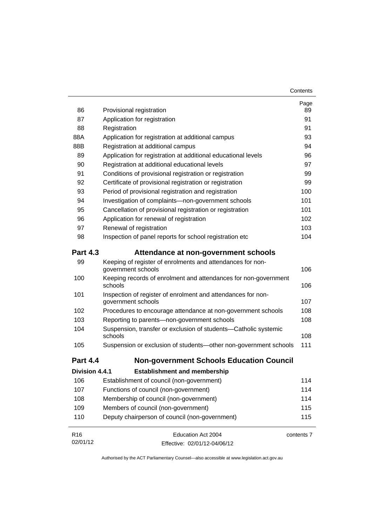| 86              | Provisional registration                                                           | Page<br>89 |
|-----------------|------------------------------------------------------------------------------------|------------|
| 87              | Application for registration                                                       | 91         |
| 88              | Registration                                                                       | 91         |
| 88A             | Application for registration at additional campus                                  |            |
| 88B             | Registration at additional campus                                                  | 93<br>94   |
| 89              | Application for registration at additional educational levels                      | 96         |
| 90              | Registration at additional educational levels                                      | 97         |
| 91              | Conditions of provisional registration or registration                             | 99         |
| 92              | Certificate of provisional registration or registration                            | 99         |
| 93              | Period of provisional registration and registration                                | 100        |
| 94              | Investigation of complaints-non-government schools                                 | 101        |
| 95              | Cancellation of provisional registration or registration                           | 101        |
| 96              | Application for renewal of registration                                            | 102        |
| 97              | Renewal of registration                                                            | 103        |
| 98              | Inspection of panel reports for school registration etc                            | 104        |
| <b>Part 4.3</b> | Attendance at non-government schools                                               |            |
| 99              | Keeping of register of enrolments and attendances for non-<br>government schools   | 106        |
| 100             | Keeping records of enrolment and attendances for non-government<br>schools         | 106        |
| 101             | Inspection of register of enrolment and attendances for non-<br>government schools | 107        |
| 102             | Procedures to encourage attendance at non-government schools                       | 108        |
| 103             | Reporting to parents-non-government schools                                        | 108        |
| 104             | Suspension, transfer or exclusion of students-Catholic systemic<br>schools         | 108        |
| 105             | Suspension or exclusion of students-other non-government schools                   | 111        |
| <b>Part 4.4</b> | <b>Non-government Schools Education Council</b>                                    |            |
| Division 4.4.1  | <b>Establishment and membership</b>                                                |            |
| 106             | Establishment of council (non-government)                                          | 114        |
| 107             | Functions of council (non-government)                                              | 114        |
| 108             | Membership of council (non-government)                                             |            |
| 109             | Members of council (non-government)                                                | 115        |
| 110             | Deputy chairperson of council (non-government)                                     | 115        |
| R <sub>16</sub> | Education Act 2004                                                                 | contents 7 |
| 02/01/12        | Effective: 02/01/12-04/06/12                                                       |            |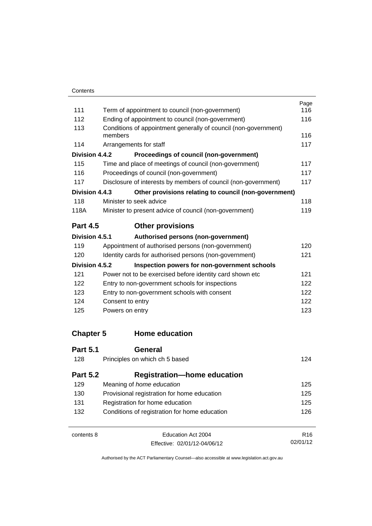| 111              |                                                                            | Page<br>116     |  |
|------------------|----------------------------------------------------------------------------|-----------------|--|
|                  | Term of appointment to council (non-government)                            | 116             |  |
| 112              | Ending of appointment to council (non-government)                          |                 |  |
| 113              | Conditions of appointment generally of council (non-government)<br>members |                 |  |
| 114              | Arrangements for staff                                                     | 116<br>117      |  |
| Division 4.4.2   | Proceedings of council (non-government)                                    |                 |  |
| 115              | Time and place of meetings of council (non-government)                     | 117             |  |
| 116              | Proceedings of council (non-government)                                    | 117             |  |
| 117              | Disclosure of interests by members of council (non-government)             | 117             |  |
| Division 4.4.3   | Other provisions relating to council (non-government)                      |                 |  |
| 118              | Minister to seek advice                                                    | 118             |  |
| 118A             | Minister to present advice of council (non-government)                     | 119             |  |
|                  |                                                                            |                 |  |
| <b>Part 4.5</b>  | <b>Other provisions</b>                                                    |                 |  |
| Division 4.5.1   | Authorised persons (non-government)                                        |                 |  |
| 119              | Appointment of authorised persons (non-government)                         | 120             |  |
| 120              | Identity cards for authorised persons (non-government)                     | 121             |  |
| Division 4.5.2   | Inspection powers for non-government schools                               |                 |  |
| 121              | Power not to be exercised before identity card shown etc                   | 121             |  |
| 122              | Entry to non-government schools for inspections                            | 122             |  |
| 123              | Entry to non-government schools with consent                               | 122             |  |
| 124              | Consent to entry                                                           | 122             |  |
| 125              | Powers on entry                                                            | 123             |  |
| <b>Chapter 5</b> | <b>Home education</b>                                                      |                 |  |
| <b>Part 5.1</b>  | General                                                                    |                 |  |
| 128              | Principles on which ch 5 based                                             | 124             |  |
| <b>Part 5.2</b>  | <b>Registration-home education</b>                                         |                 |  |
| 129              | Meaning of home education                                                  |                 |  |
| 130              | Provisional registration for home education                                |                 |  |
| 131              | Registration for home education                                            |                 |  |
| 132              | Conditions of registration for home education                              | 126             |  |
| contents 8       | Education Act 2004                                                         | R <sub>16</sub> |  |

Effective: 02/01/12-04/06/12

02/01/12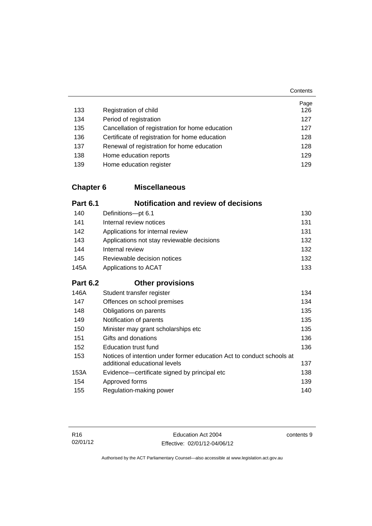| 133 | Registration of child                           | Page<br>126 |
|-----|-------------------------------------------------|-------------|
| 134 | Period of registration                          | 127         |
| 135 | Cancellation of registration for home education | 127         |
| 136 | Certificate of registration for home education  | 128         |
| 137 | Renewal of registration for home education      | 128         |
| 138 | Home education reports                          | 129         |
| 139 | Home education register                         | 129         |

# **Chapter 6 [Miscellaneous](#page-141-0)**

| <b>Part 6.1</b> | <b>Notification and review of decisions</b>                                                            |     |
|-----------------|--------------------------------------------------------------------------------------------------------|-----|
| 140             | Definitions-pt 6.1                                                                                     | 130 |
| 141             | Internal review notices                                                                                | 131 |
| 142             | Applications for internal review                                                                       | 131 |
| 143             | Applications not stay reviewable decisions                                                             | 132 |
| 144             | Internal review                                                                                        | 132 |
| 145             | Reviewable decision notices                                                                            | 132 |
| 145A            | Applications to ACAT                                                                                   | 133 |
| <b>Part 6.2</b> | <b>Other provisions</b>                                                                                |     |
| 146A            | Student transfer register                                                                              | 134 |
| 147             | Offences on school premises                                                                            | 134 |
| 148             | Obligations on parents                                                                                 | 135 |
| 149             | Notification of parents                                                                                | 135 |
| 150             | Minister may grant scholarships etc                                                                    | 135 |
| 151             | Gifts and donations                                                                                    | 136 |
| 152             | <b>Education trust fund</b>                                                                            | 136 |
| 153             | Notices of intention under former education Act to conduct schools at<br>additional educational levels | 137 |
| 153A            | Evidence—certificate signed by principal etc                                                           | 138 |
| 154             | Approved forms                                                                                         | 139 |
| 155             | Regulation-making power                                                                                | 140 |

contents 9

**Contents**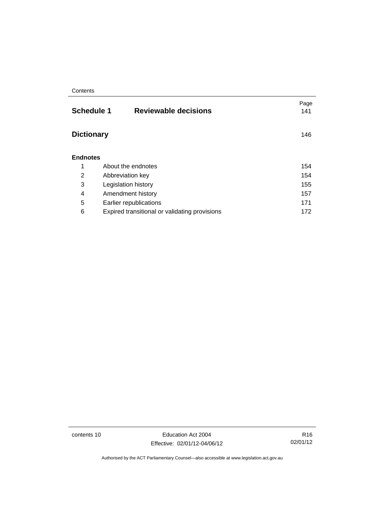| <b>Schedule 1</b><br><b>Reviewable decisions</b> | Page<br>141 |
|--------------------------------------------------|-------------|
| <b>Dictionary</b>                                | 146         |
| <b>Endnotes</b>                                  |             |
| About the endnotes                               | 154         |
| Abbreviation key                                 | 154         |
| Legislation history                              | 155         |
| Amendment history                                | 157         |
| Earlier republications                           | 171         |
| Expired transitional or validating provisions    | 172         |
|                                                  |             |

contents 10 Education Act 2004 Effective: 02/01/12-04/06/12

R16 02/01/12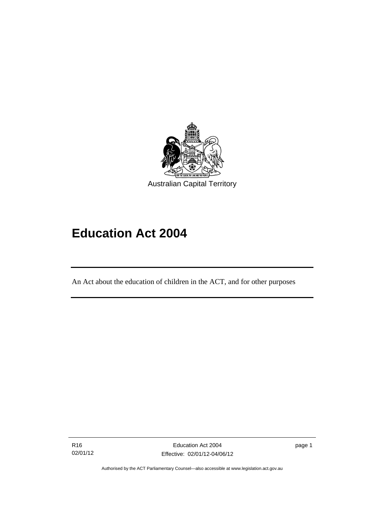

# **Education Act 2004**

An Act about the education of children in the ACT, and for other purposes

R16 02/01/12

l

page 1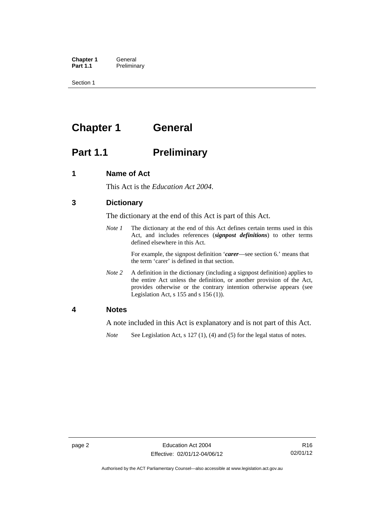**Chapter 1 General**<br>**Part 1.1 Prelimina Preliminary** 

Section 1

# <span id="page-13-0"></span>**Chapter 1 General**

# <span id="page-13-1"></span>**Part 1.1** Preliminary

### <span id="page-13-2"></span>**1 Name of Act**

This Act is the *Education Act 2004*.

## <span id="page-13-3"></span>**3 Dictionary**

The dictionary at the end of this Act is part of this Act.

*Note 1* The dictionary at the end of this Act defines certain terms used in this Act, and includes references (*signpost definitions*) to other terms defined elsewhere in this Act.

> For example, the signpost definition '*carer*—see section 6.' means that the term 'carer' is defined in that section.

*Note 2* A definition in the dictionary (including a signpost definition) applies to the entire Act unless the definition, or another provision of the Act, provides otherwise or the contrary intention otherwise appears (see Legislation Act,  $s$  155 and  $s$  156 (1)).

### <span id="page-13-4"></span>**4 Notes**

A note included in this Act is explanatory and is not part of this Act.

*Note* See Legislation Act, s 127 (1), (4) and (5) for the legal status of notes.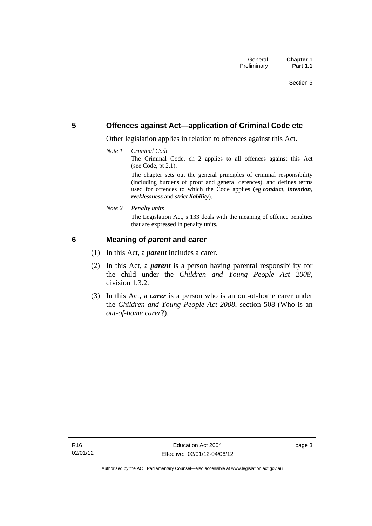### <span id="page-14-0"></span>**5 Offences against Act—application of Criminal Code etc**

Other legislation applies in relation to offences against this Act.

*Note 1 Criminal Code*

The Criminal Code, ch 2 applies to all offences against this Act (see Code, pt 2.1).

The chapter sets out the general principles of criminal responsibility (including burdens of proof and general defences), and defines terms used for offences to which the Code applies (eg *conduct*, *intention*, *recklessness* and *strict liability*).

*Note 2 Penalty units* 

The Legislation Act, s 133 deals with the meaning of offence penalties that are expressed in penalty units.

## <span id="page-14-1"></span>**6 Meaning of** *parent* **and** *carer*

- (1) In this Act, a *parent* includes a carer.
- (2) In this Act, a *parent* is a person having parental responsibility for the child under the *Children and Young People Act 2008*, division 1.3.2.
- (3) In this Act, a *carer* is a person who is an out-of-home carer under the *Children and Young People Act 2008*, section 508 (Who is an *out-of-home carer*?).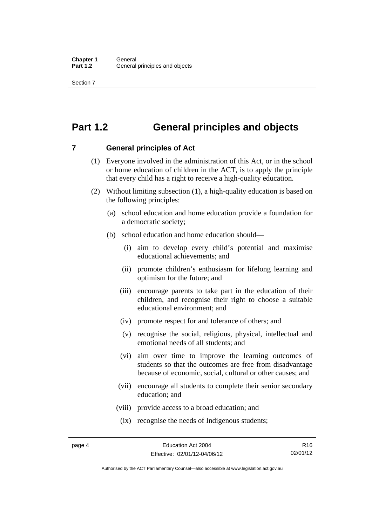Section 7

# <span id="page-15-0"></span>**Part 1.2 General principles and objects**

<span id="page-15-1"></span>**7 General principles of Act** 

- (1) Everyone involved in the administration of this Act, or in the school or home education of children in the ACT, is to apply the principle that every child has a right to receive a high-quality education.
- (2) Without limiting subsection (1), a high-quality education is based on the following principles:
	- (a) school education and home education provide a foundation for a democratic society;
	- (b) school education and home education should—
		- (i) aim to develop every child's potential and maximise educational achievements; and
		- (ii) promote children's enthusiasm for lifelong learning and optimism for the future; and
		- (iii) encourage parents to take part in the education of their children, and recognise their right to choose a suitable educational environment; and
		- (iv) promote respect for and tolerance of others; and
		- (v) recognise the social, religious, physical, intellectual and emotional needs of all students; and
		- (vi) aim over time to improve the learning outcomes of students so that the outcomes are free from disadvantage because of economic, social, cultural or other causes; and
		- (vii) encourage all students to complete their senior secondary education; and
		- (viii) provide access to a broad education; and
		- (ix) recognise the needs of Indigenous students;

R16 02/01/12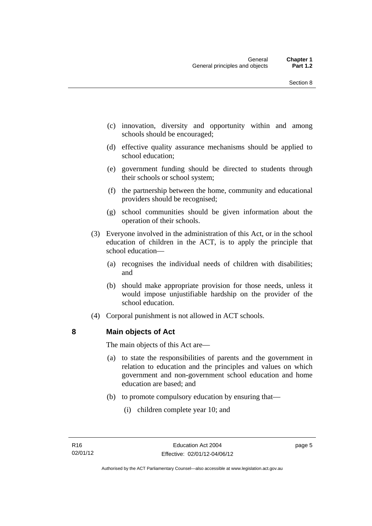- (c) innovation, diversity and opportunity within and among schools should be encouraged;
- (d) effective quality assurance mechanisms should be applied to school education;
- (e) government funding should be directed to students through their schools or school system;
- (f) the partnership between the home, community and educational providers should be recognised;
- (g) school communities should be given information about the operation of their schools.
- (3) Everyone involved in the administration of this Act, or in the school education of children in the ACT, is to apply the principle that school education—
	- (a) recognises the individual needs of children with disabilities; and
	- (b) should make appropriate provision for those needs, unless it would impose unjustifiable hardship on the provider of the school education.
- (4) Corporal punishment is not allowed in ACT schools.

### <span id="page-16-0"></span>**8 Main objects of Act**

The main objects of this Act are—

- (a) to state the responsibilities of parents and the government in relation to education and the principles and values on which government and non-government school education and home education are based; and
- (b) to promote compulsory education by ensuring that—
	- (i) children complete year 10; and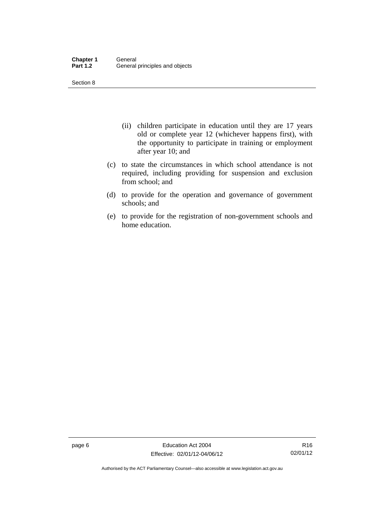Section 8

- (ii) children participate in education until they are 17 years old or complete year 12 (whichever happens first), with the opportunity to participate in training or employment after year 10; and
- (c) to state the circumstances in which school attendance is not required, including providing for suspension and exclusion from school; and
- (d) to provide for the operation and governance of government schools; and
- (e) to provide for the registration of non-government schools and home education.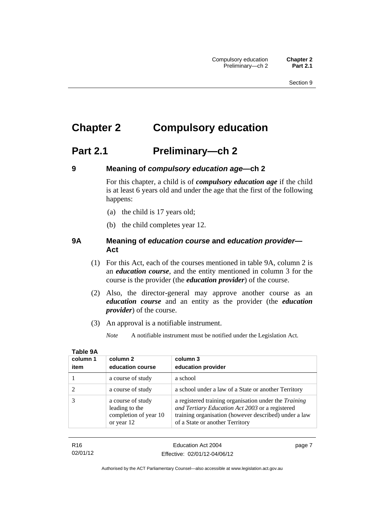# <span id="page-18-0"></span>**Chapter 2 Compulsory education**

# <span id="page-18-1"></span>**Part 2.1 Preliminary—ch 2**

<span id="page-18-2"></span>

## **9 Meaning of** *compulsory education age***—ch 2**

For this chapter, a child is of *compulsory education age* if the child is at least 6 years old and under the age that the first of the following happens:

- (a) the child is 17 years old;
- (b) the child completes year 12.

### <span id="page-18-3"></span>**9A Meaning of** *education course* **and** *education provider***— Act**

- (1) For this Act, each of the courses mentioned in table 9A, column 2 is an *education course*, and the entity mentioned in column 3 for the course is the provider (the *education provider*) of the course.
- (2) Also, the director-general may approve another course as an *education course* and an entity as the provider (the *education provider*) of the course.
- (3) An approval is a notifiable instrument.
	- *Note* A notifiable instrument must be notified under the Legislation Act.

| column 1<br>item | column 2<br>education course                                               | column 3<br>education provider                                                                                                                                                                       |
|------------------|----------------------------------------------------------------------------|------------------------------------------------------------------------------------------------------------------------------------------------------------------------------------------------------|
|                  | a course of study                                                          | a school                                                                                                                                                                                             |
|                  | a course of study                                                          | a school under a law of a State or another Territory                                                                                                                                                 |
|                  | a course of study<br>leading to the<br>completion of year 10<br>or year 12 | a registered training organisation under the Training<br>and Tertiary Education Act 2003 or a registered<br>training organisation (however described) under a law<br>of a State or another Territory |

## **Table 9A**

| R16      | Education Act 2004           | page 7 |
|----------|------------------------------|--------|
| 02/01/12 | Effective: 02/01/12-04/06/12 |        |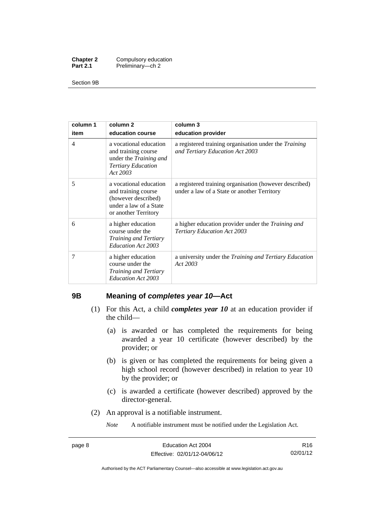| <b>Chapter 2</b> | Compulsory education |
|------------------|----------------------|
| <b>Part 2.1</b>  | Preliminary-ch 2     |

Section 9B

| column 1       | column <sub>2</sub>                                                                                                     | column 3                                                                                              |
|----------------|-------------------------------------------------------------------------------------------------------------------------|-------------------------------------------------------------------------------------------------------|
| item           | education course                                                                                                        | education provider                                                                                    |
| $\overline{4}$ | a vocational education<br>and training course<br>under the <i>Training and</i><br><b>Tertiary Education</b><br>Act 2003 | a registered training organisation under the Training<br>and Tertiary Education Act 2003              |
| 5              | a vocational education<br>and training course<br>(however described)<br>under a law of a State<br>or another Territory  | a registered training organisation (however described)<br>under a law of a State or another Territory |
| 6              | a higher education<br>course under the<br>Training and Tertiary<br>Education Act 2003                                   | a higher education provider under the <i>Training and</i><br><b>Tertiary Education Act 2003</b>       |
| 7              | a higher education<br>course under the<br>Training and Tertiary<br>Education Act 2003                                   | a university under the <i>Training and Tertiary Education</i><br>Act 2003                             |

### <span id="page-19-0"></span>**9B Meaning of** *completes year 10***—Act**

- (1) For this Act, a child *completes year 10* at an education provider if the child—
	- (a) is awarded or has completed the requirements for being awarded a year 10 certificate (however described) by the provider; or
	- (b) is given or has completed the requirements for being given a high school record (however described) in relation to year 10 by the provider; or
	- (c) is awarded a certificate (however described) approved by the director-general.
- (2) An approval is a notifiable instrument.

*Note* A notifiable instrument must be notified under the Legislation Act.

R16 02/01/12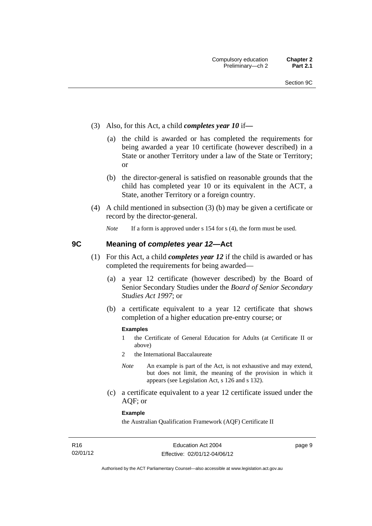- (3) Also, for this Act, a child *completes year 10* if*—*
	- (a) the child is awarded or has completed the requirements for being awarded a year 10 certificate (however described) in a State or another Territory under a law of the State or Territory; or
	- (b) the director-general is satisfied on reasonable grounds that the child has completed year 10 or its equivalent in the ACT, a State, another Territory or a foreign country.
- (4) A child mentioned in subsection (3) (b) may be given a certificate or record by the director-general.

*Note* If a form is approved under s 154 for s (4), the form must be used.

## <span id="page-20-0"></span>**9C Meaning of** *completes year 12***—Act**

- (1) For this Act, a child *completes year 12* if the child is awarded or has completed the requirements for being awarded—
	- (a) a year 12 certificate (however described) by the Board of Senior Secondary Studies under the *Board of Senior Secondary Studies Act 1997*; or
	- (b) a certificate equivalent to a year 12 certificate that shows completion of a higher education pre-entry course; or

### **Examples**

- 1 the Certificate of General Education for Adults (at Certificate II or above)
- 2 the International Baccalaureate
- *Note* An example is part of the Act, is not exhaustive and may extend, but does not limit, the meaning of the provision in which it appears (see Legislation Act, s 126 and s 132).
- (c) a certificate equivalent to a year 12 certificate issued under the AQF; or

### **Example**

the Australian Qualification Framework (AQF) Certificate II

page 9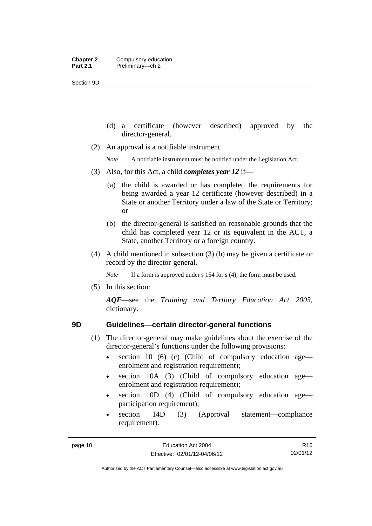Section 9D

- (d) a certificate (however described) approved by the director-general.
- (2) An approval is a notifiable instrument.

*Note* A notifiable instrument must be notified under the Legislation Act.

- (3) Also, for this Act, a child *completes year 12* if—
	- (a) the child is awarded or has completed the requirements for being awarded a year 12 certificate (however described) in a State or another Territory under a law of the State or Territory; or
	- (b) the director-general is satisfied on reasonable grounds that the child has completed year 12 or its equivalent in the ACT, a State, another Territory or a foreign country.
- (4) A child mentioned in subsection (3) (b) may be given a certificate or record by the director-general.

*Note* If a form is approved under s 154 for s (4), the form must be used.

(5) In this section:

*AQF*—see the *Training and Tertiary Education Act 2003*, dictionary.

- <span id="page-21-0"></span>**9D Guidelines—certain director-general functions** 
	- (1) The director-general may make guidelines about the exercise of the director-general's functions under the following provisions:
		- $\bullet$  section 10 (6) (c) (Child of compulsory education age enrolment and registration requirement);
		- section 10A (3) (Child of compulsory education age enrolment and registration requirement);
		- section 10D (4) (Child of compulsory education age participation requirement);
		- section 14D (3) (Approval statement—compliance requirement).

R16 02/01/12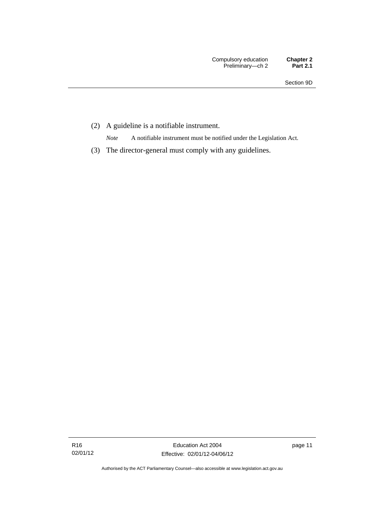(2) A guideline is a notifiable instrument.

*Note* A notifiable instrument must be notified under the Legislation Act.

(3) The director-general must comply with any guidelines.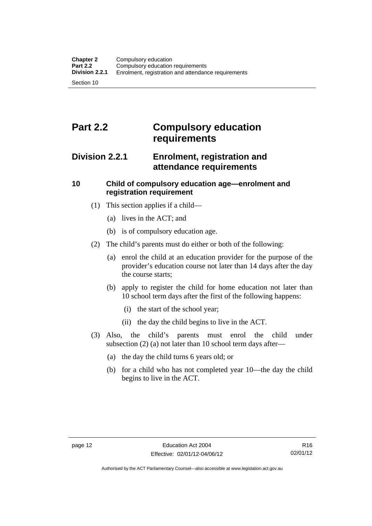# <span id="page-23-0"></span>**Part 2.2 Compulsory education requirements**

## <span id="page-23-1"></span>**Division 2.2.1 Enrolment, registration and attendance requirements**

## <span id="page-23-2"></span>**10 Child of compulsory education age—enrolment and registration requirement**

- (1) This section applies if a child—
	- (a) lives in the ACT; and
	- (b) is of compulsory education age.
- (2) The child's parents must do either or both of the following:
	- (a) enrol the child at an education provider for the purpose of the provider's education course not later than 14 days after the day the course starts;
	- (b) apply to register the child for home education not later than 10 school term days after the first of the following happens:
		- (i) the start of the school year;
		- (ii) the day the child begins to live in the ACT.
- (3) Also, the child's parents must enrol the child under subsection (2) (a) not later than 10 school term days after—
	- (a) the day the child turns 6 years old; or
	- (b) for a child who has not completed year 10—the day the child begins to live in the ACT.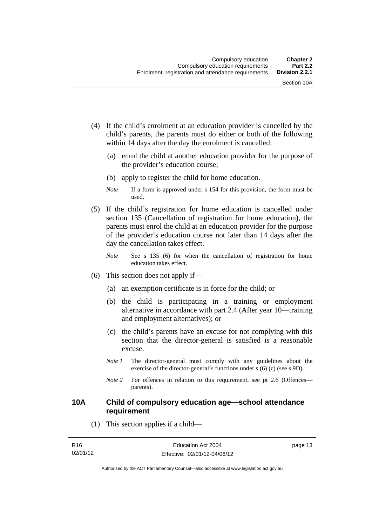- (4) If the child's enrolment at an education provider is cancelled by the child's parents, the parents must do either or both of the following within 14 days after the day the enrolment is cancelled:
	- (a) enrol the child at another education provider for the purpose of the provider's education course;
	- (b) apply to register the child for home education.
	- *Note* If a form is approved under s 154 for this provision, the form must be used.
- (5) If the child's registration for home education is cancelled under section 135 (Cancellation of registration for home education), the parents must enrol the child at an education provider for the purpose of the provider's education course not later than 14 days after the day the cancellation takes effect.
	- *Note* See s 135 (6) for when the cancellation of registration for home education takes effect.
- (6) This section does not apply if—
	- (a) an exemption certificate is in force for the child; or
	- (b) the child is participating in a training or employment alternative in accordance with part 2.4 (After year 10—training and employment alternatives); or
	- (c) the child's parents have an excuse for not complying with this section that the director-general is satisfied is a reasonable excuse.
	- *Note 1* The director-general must comply with any guidelines about the exercise of the director-general's functions under s (6) (c) (see s 9D).
	- *Note* 2 For offences in relation to this requirement, see pt 2.6 (Offences parents).

### <span id="page-24-0"></span>**10A Child of compulsory education age—school attendance requirement**

(1) This section applies if a child—

| R16      | Education Act 2004           | page 13 |
|----------|------------------------------|---------|
| 02/01/12 | Effective: 02/01/12-04/06/12 |         |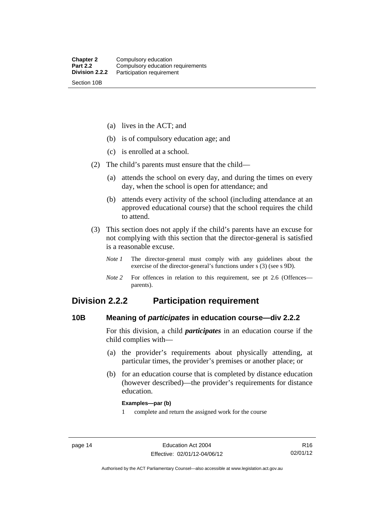(a) lives in the ACT; and

(b) is of compulsory education age; and

(c) is enrolled at a school.

(2) The child's parents must ensure that the child—

 (a) attends the school on every day, and during the times on every day, when the school is open for attendance; and

 (b) attends every activity of the school (including attendance at an approved educational course) that the school requires the child to attend.

 (3) This section does not apply if the child's parents have an excuse for not complying with this section that the director-general is satisfied is a reasonable excuse.

*Note 1* The director-general must comply with any guidelines about the exercise of the director-general's functions under s (3) (see s 9D).

*Note 2* For offences in relation to this requirement, see pt 2.6 (Offences parents).

## <span id="page-25-0"></span>**Division 2.2.2 Participation requirement**

### <span id="page-25-1"></span>**10B Meaning of** *participates* **in education course—div 2.2.2**

For this division, a child *participates* in an education course if the child complies with—

- (a) the provider's requirements about physically attending, at particular times, the provider's premises or another place; or
- (b) for an education course that is completed by distance education (however described)—the provider's requirements for distance education.

### **Examples—par (b)**

1 complete and return the assigned work for the course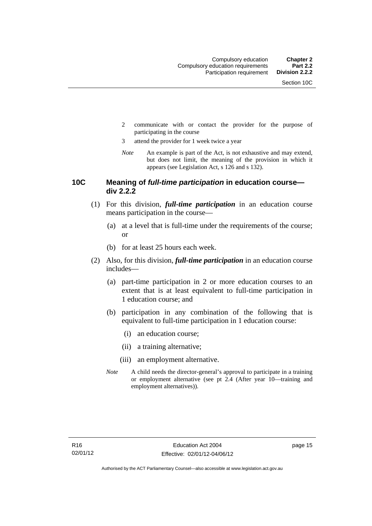- 2 communicate with or contact the provider for the purpose of participating in the course
- 3 attend the provider for 1 week twice a year
- *Note* An example is part of the Act, is not exhaustive and may extend, but does not limit, the meaning of the provision in which it appears (see Legislation Act, s 126 and s 132).

### <span id="page-26-0"></span>**10C Meaning of** *full-time participation* **in education course div 2.2.2**

- (1) For this division, *full-time participation* in an education course means participation in the course—
	- (a) at a level that is full-time under the requirements of the course; or
	- (b) for at least 25 hours each week.
- (2) Also, for this division, *full-time participation* in an education course includes—
	- (a) part-time participation in 2 or more education courses to an extent that is at least equivalent to full-time participation in 1 education course; and
	- (b) participation in any combination of the following that is equivalent to full-time participation in 1 education course:
		- (i) an education course;
		- (ii) a training alternative;
		- (iii) an employment alternative.
	- *Note* A child needs the director-general's approval to participate in a training or employment alternative (see pt 2.4 (After year 10—training and employment alternatives)).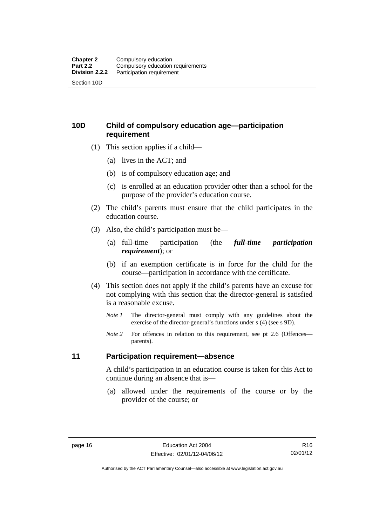## <span id="page-27-0"></span>**10D Child of compulsory education age—participation requirement**

- (1) This section applies if a child—
	- (a) lives in the ACT; and
	- (b) is of compulsory education age; and
	- (c) is enrolled at an education provider other than a school for the purpose of the provider's education course.
- (2) The child's parents must ensure that the child participates in the education course.
- (3) Also, the child's participation must be—
	- (a) full-time participation (the *full-time participation requirement*); or
	- (b) if an exemption certificate is in force for the child for the course—participation in accordance with the certificate.
- (4) This section does not apply if the child's parents have an excuse for not complying with this section that the director-general is satisfied is a reasonable excuse.
	- *Note 1* The director-general must comply with any guidelines about the exercise of the director-general's functions under s (4) (see s 9D).
	- *Note* 2 For offences in relation to this requirement, see pt 2.6 (Offences parents).

### <span id="page-27-1"></span>**11 Participation requirement—absence**

A child's participation in an education course is taken for this Act to continue during an absence that is—

 (a) allowed under the requirements of the course or by the provider of the course; or

Authorised by the ACT Parliamentary Counsel—also accessible at www.legislation.act.gov.au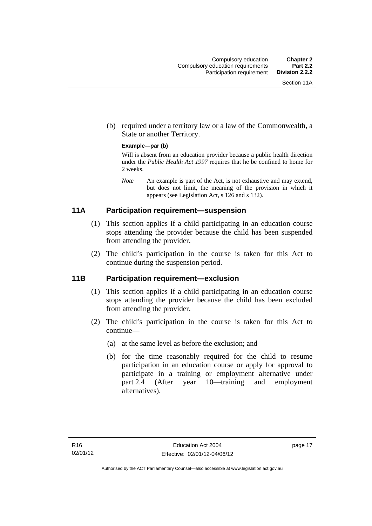(b) required under a territory law or a law of the Commonwealth, a State or another Territory.

### **Example—par (b)**

Will is absent from an education provider because a public health direction under the *Public Health Act 1997* requires that he be confined to home for 2 weeks.

*Note* An example is part of the Act, is not exhaustive and may extend, but does not limit, the meaning of the provision in which it appears (see Legislation Act, s 126 and s 132).

## <span id="page-28-0"></span>**11A Participation requirement—suspension**

- (1) This section applies if a child participating in an education course stops attending the provider because the child has been suspended from attending the provider.
- (2) The child's participation in the course is taken for this Act to continue during the suspension period.

### <span id="page-28-1"></span>**11B Participation requirement—exclusion**

- (1) This section applies if a child participating in an education course stops attending the provider because the child has been excluded from attending the provider.
- (2) The child's participation in the course is taken for this Act to continue—
	- (a) at the same level as before the exclusion; and
	- (b) for the time reasonably required for the child to resume participation in an education course or apply for approval to participate in a training or employment alternative under part 2.4 (After year 10—training and employment alternatives).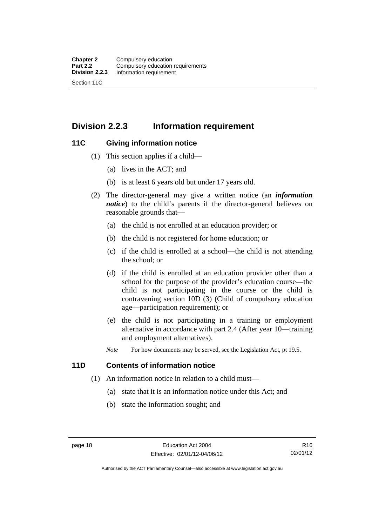## <span id="page-29-0"></span>**Division 2.2.3 Information requirement**

### <span id="page-29-1"></span>**11C Giving information notice**

- (1) This section applies if a child—
	- (a) lives in the ACT; and
	- (b) is at least 6 years old but under 17 years old.
- (2) The director-general may give a written notice (an *information notice*) to the child's parents if the director-general believes on reasonable grounds that—
	- (a) the child is not enrolled at an education provider; or
	- (b) the child is not registered for home education; or
	- (c) if the child is enrolled at a school—the child is not attending the school; or
	- (d) if the child is enrolled at an education provider other than a school for the purpose of the provider's education course—the child is not participating in the course or the child is contravening section 10D (3) (Child of compulsory education age—participation requirement); or
	- (e) the child is not participating in a training or employment alternative in accordance with part 2.4 (After year 10—training and employment alternatives).
	- *Note* For how documents may be served, see the Legislation Act, pt 19.5.

## <span id="page-29-2"></span>**11D Contents of information notice**

- (1) An information notice in relation to a child must—
	- (a) state that it is an information notice under this Act; and
	- (b) state the information sought; and

Authorised by the ACT Parliamentary Counsel—also accessible at www.legislation.act.gov.au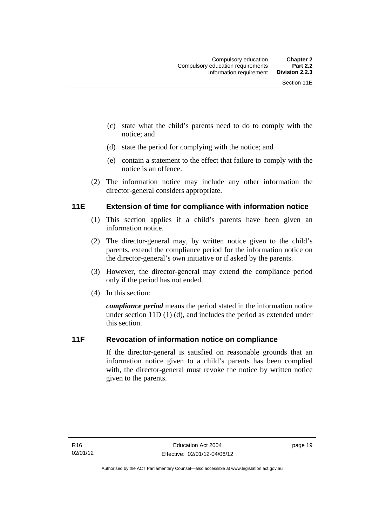- (c) state what the child's parents need to do to comply with the notice; and
- (d) state the period for complying with the notice; and
- (e) contain a statement to the effect that failure to comply with the notice is an offence.
- (2) The information notice may include any other information the director-general considers appropriate.

### <span id="page-30-0"></span>**11E Extension of time for compliance with information notice**

- (1) This section applies if a child's parents have been given an information notice.
- (2) The director-general may, by written notice given to the child's parents, extend the compliance period for the information notice on the director-general's own initiative or if asked by the parents.
- (3) However, the director-general may extend the compliance period only if the period has not ended.
- (4) In this section:

*compliance period* means the period stated in the information notice under section 11D (1) (d), and includes the period as extended under this section.

## <span id="page-30-1"></span>**11F Revocation of information notice on compliance**

If the director-general is satisfied on reasonable grounds that an information notice given to a child's parents has been complied with, the director-general must revoke the notice by written notice given to the parents.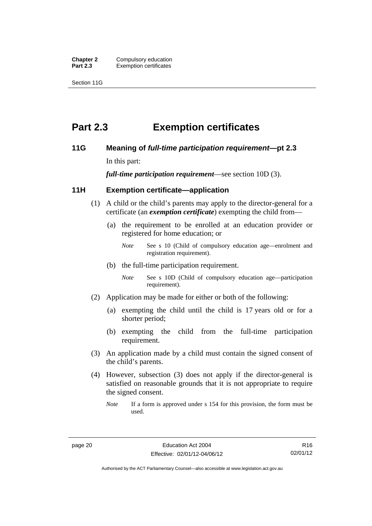**Chapter 2** Compulsory education<br>**Part 2.3** Exemption certificates **Exemption certificates** 

Section 11G

# <span id="page-31-0"></span>**Part 2.3 Exemption certificates**

### <span id="page-31-1"></span>**11G Meaning of** *full-time participation requirement***—pt 2.3**

In this part:

*full-time participation requirement*—see section 10D (3).

### <span id="page-31-2"></span>**11H Exemption certificate—application**

- (1) A child or the child's parents may apply to the director-general for a certificate (an *exemption certificate*) exempting the child from—
	- (a) the requirement to be enrolled at an education provider or registered for home education; or
		- *Note* See s 10 (Child of compulsory education age—enrolment and registration requirement).
	- (b) the full-time participation requirement.
		- *Note* See s 10D (Child of compulsory education age—participation requirement).
- (2) Application may be made for either or both of the following:
	- (a) exempting the child until the child is 17 years old or for a shorter period;
	- (b) exempting the child from the full-time participation requirement.
- (3) An application made by a child must contain the signed consent of the child's parents.
- (4) However, subsection (3) does not apply if the director-general is satisfied on reasonable grounds that it is not appropriate to require the signed consent.
	- *Note* If a form is approved under s 154 for this provision, the form must be used.

R16 02/01/12

Authorised by the ACT Parliamentary Counsel—also accessible at www.legislation.act.gov.au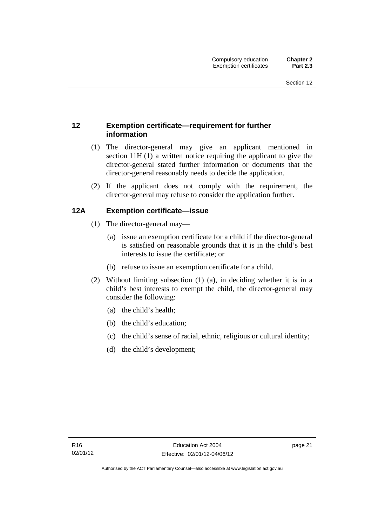## <span id="page-32-0"></span>**12 Exemption certificate—requirement for further information**

- (1) The director-general may give an applicant mentioned in section 11H (1) a written notice requiring the applicant to give the director-general stated further information or documents that the director-general reasonably needs to decide the application.
- (2) If the applicant does not comply with the requirement, the director-general may refuse to consider the application further.

## <span id="page-32-1"></span>**12A Exemption certificate—issue**

- (1) The director-general may—
	- (a) issue an exemption certificate for a child if the director-general is satisfied on reasonable grounds that it is in the child's best interests to issue the certificate; or
	- (b) refuse to issue an exemption certificate for a child.
- (2) Without limiting subsection (1) (a), in deciding whether it is in a child's best interests to exempt the child, the director-general may consider the following:
	- (a) the child's health;
	- (b) the child's education;
	- (c) the child's sense of racial, ethnic, religious or cultural identity;
	- (d) the child's development;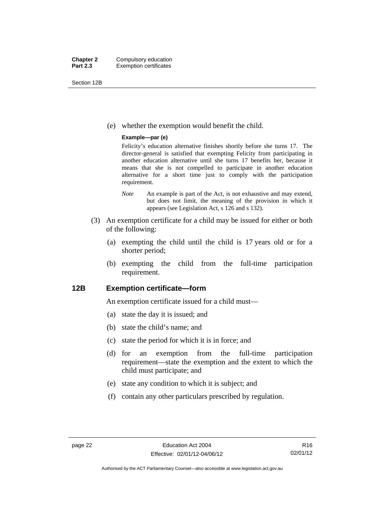Section 12B

(e) whether the exemption would benefit the child.

### **Example—par (e)**

Felicity's education alternative finishes shortly before she turns 17. The director-general is satisfied that exempting Felicity from participating in another education alternative until she turns 17 benefits her, because it means that she is not compelled to participate in another education alternative for a short time just to comply with the participation requirement.

- *Note* An example is part of the Act, is not exhaustive and may extend, but does not limit, the meaning of the provision in which it appears (see Legislation Act, s 126 and s 132).
- (3) An exemption certificate for a child may be issued for either or both of the following:
	- (a) exempting the child until the child is 17 years old or for a shorter period;
	- (b) exempting the child from the full-time participation requirement.

### <span id="page-33-0"></span>**12B Exemption certificate—form**

An exemption certificate issued for a child must—

- (a) state the day it is issued; and
- (b) state the child's name; and
- (c) state the period for which it is in force; and
- (d) for an exemption from the full-time participation requirement—state the exemption and the extent to which the child must participate; and
- (e) state any condition to which it is subject; and
- (f) contain any other particulars prescribed by regulation.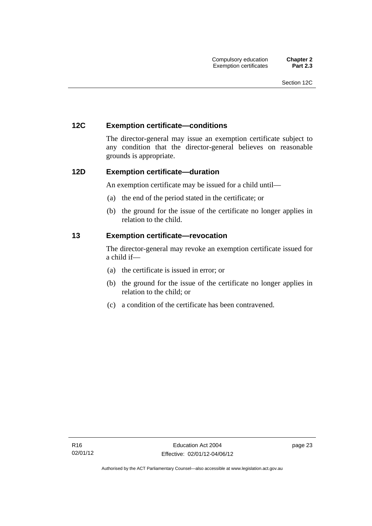### <span id="page-34-0"></span>**12C Exemption certificate—conditions**

The director-general may issue an exemption certificate subject to any condition that the director-general believes on reasonable grounds is appropriate.

### <span id="page-34-1"></span>**12D Exemption certificate—duration**

An exemption certificate may be issued for a child until—

- (a) the end of the period stated in the certificate; or
- (b) the ground for the issue of the certificate no longer applies in relation to the child.

### <span id="page-34-2"></span>**13 Exemption certificate—revocation**

The director-general may revoke an exemption certificate issued for a child if—

- (a) the certificate is issued in error; or
- (b) the ground for the issue of the certificate no longer applies in relation to the child; or
- (c) a condition of the certificate has been contravened.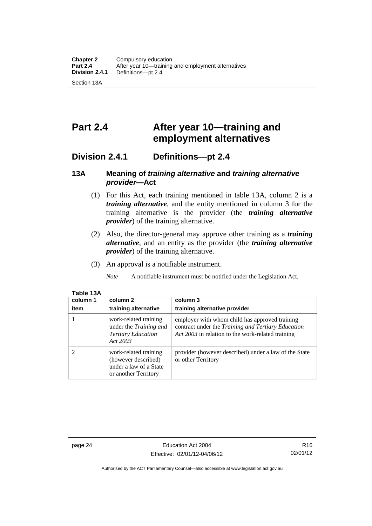# <span id="page-35-0"></span>**Part 2.4 After year 10—training and employment alternatives**

## <span id="page-35-1"></span>**Division 2.4.1 Definitions—pt 2.4**

## <span id="page-35-2"></span>**13A Meaning of** *training alternative* **and** *training alternative provider***—Act**

- (1) For this Act, each training mentioned in table 13A, column 2 is a *training alternative*, and the entity mentioned in column 3 for the training alternative is the provider (the *training alternative provider*) of the training alternative.
- (2) Also, the director-general may approve other training as a *training alternative*, and an entity as the provider (the *training alternative provider*) of the training alternative.
- (3) An approval is a notifiable instrument.

*Note* A notifiable instrument must be notified under the Legislation Act.

| column 1 | column 2                                                                                       | column 3                                                                                                                                                  |
|----------|------------------------------------------------------------------------------------------------|-----------------------------------------------------------------------------------------------------------------------------------------------------------|
| item     | training alternative                                                                           | training alternative provider                                                                                                                             |
|          | work-related training<br>under the Training and<br><b>Tertiary Education</b><br>Act 2003       | employer with whom child has approved training<br>contract under the Training and Tertiary Education<br>Act 2003 in relation to the work-related training |
| 2        | work-related training<br>(however described)<br>under a law of a State<br>or another Territory | provider (however described) under a law of the State<br>or other Territory                                                                               |

### **Table 13A**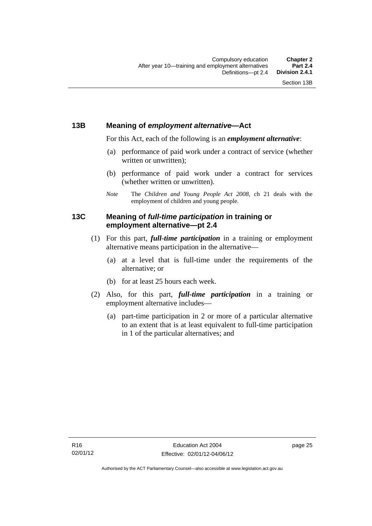## **13B Meaning of** *employment alternative***—Act**

For this Act, each of the following is an *employment alternative*:

- (a) performance of paid work under a contract of service (whether written or unwritten);
- (b) performance of paid work under a contract for services (whether written or unwritten).
- *Note* The *Children and Young People Act 2008*, ch 21 deals with the employment of children and young people.

## **13C Meaning of** *full-time participation* **in training or employment alternative—pt 2.4**

- (1) For this part, *full-time participation* in a training or employment alternative means participation in the alternative—
	- (a) at a level that is full-time under the requirements of the alternative; or
	- (b) for at least 25 hours each week.
- (2) Also, for this part, *full-time participation* in a training or employment alternative includes—
	- (a) part-time participation in 2 or more of a particular alternative to an extent that is at least equivalent to full-time participation in 1 of the particular alternatives; and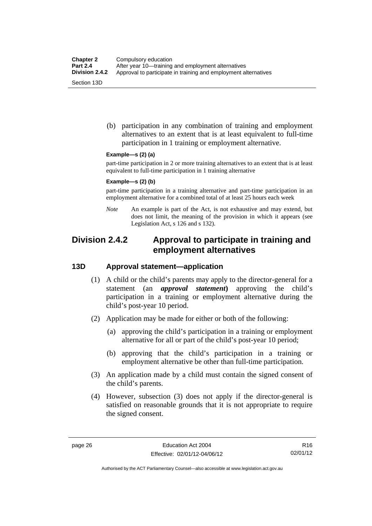(b) participation in any combination of training and employment alternatives to an extent that is at least equivalent to full-time participation in 1 training or employment alternative.

#### **Example—s (2) (a)**

part-time participation in 2 or more training alternatives to an extent that is at least equivalent to full-time participation in 1 training alternative

#### **Example—s (2) (b)**

part-time participation in a training alternative and part-time participation in an employment alternative for a combined total of at least 25 hours each week

*Note* An example is part of the Act, is not exhaustive and may extend, but does not limit, the meaning of the provision in which it appears (see Legislation Act, s 126 and s 132).

## **Division 2.4.2 Approval to participate in training and employment alternatives**

## **13D Approval statement—application**

- (1) A child or the child's parents may apply to the director-general for a statement (an *approval statement***)** approving the child's participation in a training or employment alternative during the child's post-year 10 period.
- (2) Application may be made for either or both of the following:
	- (a) approving the child's participation in a training or employment alternative for all or part of the child's post-year 10 period;
	- (b) approving that the child's participation in a training or employment alternative be other than full-time participation.
- (3) An application made by a child must contain the signed consent of the child's parents.
- (4) However, subsection (3) does not apply if the director-general is satisfied on reasonable grounds that it is not appropriate to require the signed consent.

R16 02/01/12

Authorised by the ACT Parliamentary Counsel—also accessible at www.legislation.act.gov.au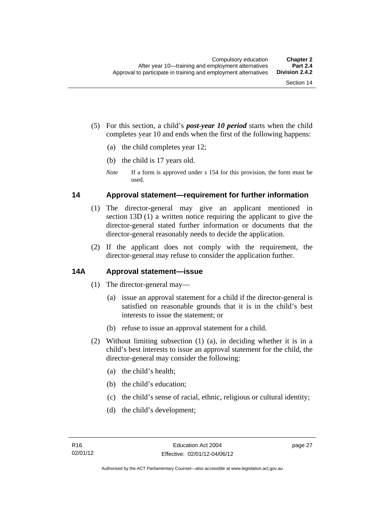- (5) For this section, a child's *post-year 10 period* starts when the child completes year 10 and ends when the first of the following happens:
	- (a) the child completes year 12;
	- (b) the child is 17 years old.
	- *Note* If a form is approved under s 154 for this provision, the form must be used.

## **14 Approval statement—requirement for further information**

- (1) The director-general may give an applicant mentioned in section 13D (1) a written notice requiring the applicant to give the director-general stated further information or documents that the director-general reasonably needs to decide the application.
- (2) If the applicant does not comply with the requirement, the director-general may refuse to consider the application further.

## **14A Approval statement—issue**

- (1) The director-general may—
	- (a) issue an approval statement for a child if the director-general is satisfied on reasonable grounds that it is in the child's best interests to issue the statement; or
	- (b) refuse to issue an approval statement for a child.
- (2) Without limiting subsection (1) (a), in deciding whether it is in a child's best interests to issue an approval statement for the child, the director-general may consider the following:
	- (a) the child's health;
	- (b) the child's education;
	- (c) the child's sense of racial, ethnic, religious or cultural identity;
	- (d) the child's development;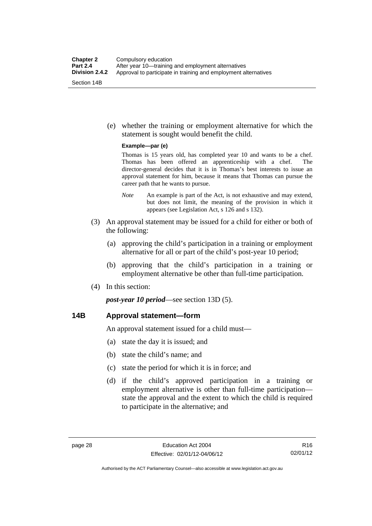(e) whether the training or employment alternative for which the statement is sought would benefit the child.

#### **Example—par (e)**

Thomas is 15 years old, has completed year 10 and wants to be a chef. Thomas has been offered an apprenticeship with a chef. The director-general decides that it is in Thomas's best interests to issue an approval statement for him, because it means that Thomas can pursue the career path that he wants to pursue.

- *Note* An example is part of the Act, is not exhaustive and may extend, but does not limit, the meaning of the provision in which it appears (see Legislation Act, s 126 and s 132).
- (3) An approval statement may be issued for a child for either or both of the following:
	- (a) approving the child's participation in a training or employment alternative for all or part of the child's post-year 10 period;
	- (b) approving that the child's participation in a training or employment alternative be other than full-time participation.
- (4) In this section:

*post-year 10 period*—see section 13D (5).

## **14B Approval statement—form**

An approval statement issued for a child must—

- (a) state the day it is issued; and
- (b) state the child's name; and
- (c) state the period for which it is in force; and
- (d) if the child's approved participation in a training or employment alternative is other than full-time participation state the approval and the extent to which the child is required to participate in the alternative; and

Authorised by the ACT Parliamentary Counsel—also accessible at www.legislation.act.gov.au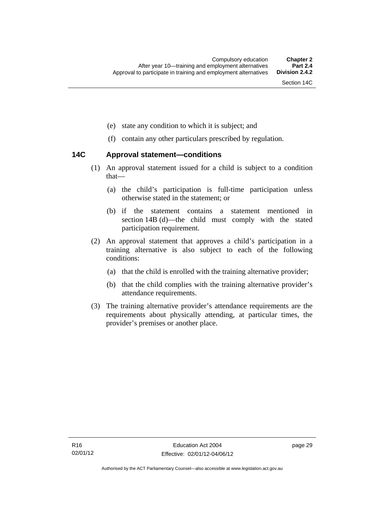- (e) state any condition to which it is subject; and
- (f) contain any other particulars prescribed by regulation.

## **14C Approval statement—conditions**

- (1) An approval statement issued for a child is subject to a condition that—
	- (a) the child's participation is full-time participation unless otherwise stated in the statement; or
	- (b) if the statement contains a statement mentioned in section 14B (d)—the child must comply with the stated participation requirement.
- (2) An approval statement that approves a child's participation in a training alternative is also subject to each of the following conditions:
	- (a) that the child is enrolled with the training alternative provider;
	- (b) that the child complies with the training alternative provider's attendance requirements.
- (3) The training alternative provider's attendance requirements are the requirements about physically attending, at particular times, the provider's premises or another place.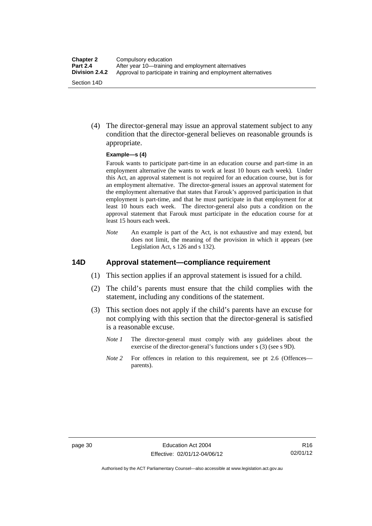(4) The director-general may issue an approval statement subject to any condition that the director-general believes on reasonable grounds is appropriate.

#### **Example—s (4)**

Farouk wants to participate part-time in an education course and part-time in an employment alternative (he wants to work at least 10 hours each week). Under this Act, an approval statement is not required for an education course, but is for an employment alternative. The director-general issues an approval statement for the employment alternative that states that Farouk's approved participation in that employment is part-time, and that he must participate in that employment for at least 10 hours each week. The director-general also puts a condition on the approval statement that Farouk must participate in the education course for at least 15 hours each week.

*Note* An example is part of the Act, is not exhaustive and may extend, but does not limit, the meaning of the provision in which it appears (see Legislation Act, s 126 and s 132).

## **14D Approval statement—compliance requirement**

- (1) This section applies if an approval statement is issued for a child.
- (2) The child's parents must ensure that the child complies with the statement, including any conditions of the statement.
- (3) This section does not apply if the child's parents have an excuse for not complying with this section that the director-general is satisfied is a reasonable excuse.
	- *Note 1* The director-general must comply with any guidelines about the exercise of the director-general's functions under s (3) (see s 9D).
	- *Note 2* For offences in relation to this requirement, see pt 2.6 (Offences parents).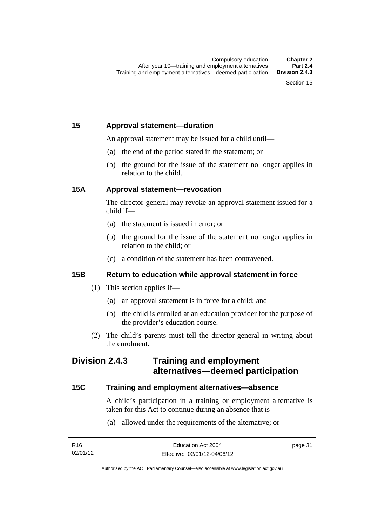## **15 Approval statement—duration**

An approval statement may be issued for a child until—

- (a) the end of the period stated in the statement; or
- (b) the ground for the issue of the statement no longer applies in relation to the child.

## **15A Approval statement—revocation**

The director-general may revoke an approval statement issued for a child if—

- (a) the statement is issued in error; or
- (b) the ground for the issue of the statement no longer applies in relation to the child; or
- (c) a condition of the statement has been contravened.

## **15B Return to education while approval statement in force**

- (1) This section applies if—
	- (a) an approval statement is in force for a child; and
	- (b) the child is enrolled at an education provider for the purpose of the provider's education course.
- (2) The child's parents must tell the director-general in writing about the enrolment.

## **Division 2.4.3 Training and employment alternatives—deemed participation**

## **15C Training and employment alternatives—absence**

A child's participation in a training or employment alternative is taken for this Act to continue during an absence that is—

(a) allowed under the requirements of the alternative; or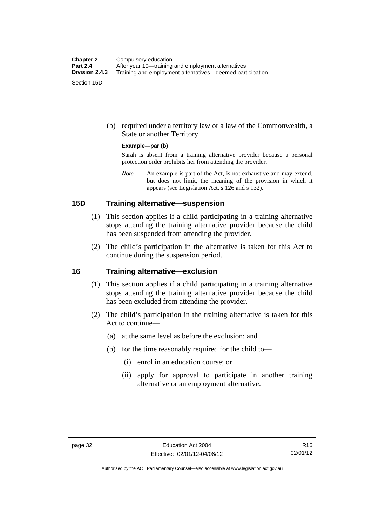(b) required under a territory law or a law of the Commonwealth, a State or another Territory.

#### **Example—par (b)**

Sarah is absent from a training alternative provider because a personal protection order prohibits her from attending the provider.

*Note* An example is part of the Act, is not exhaustive and may extend, but does not limit, the meaning of the provision in which it appears (see Legislation Act, s 126 and s 132).

## **15D Training alternative—suspension**

- (1) This section applies if a child participating in a training alternative stops attending the training alternative provider because the child has been suspended from attending the provider.
- (2) The child's participation in the alternative is taken for this Act to continue during the suspension period.

#### **16 Training alternative—exclusion**

- (1) This section applies if a child participating in a training alternative stops attending the training alternative provider because the child has been excluded from attending the provider.
- (2) The child's participation in the training alternative is taken for this Act to continue—
	- (a) at the same level as before the exclusion; and
	- (b) for the time reasonably required for the child to—
		- (i) enrol in an education course; or
		- (ii) apply for approval to participate in another training alternative or an employment alternative.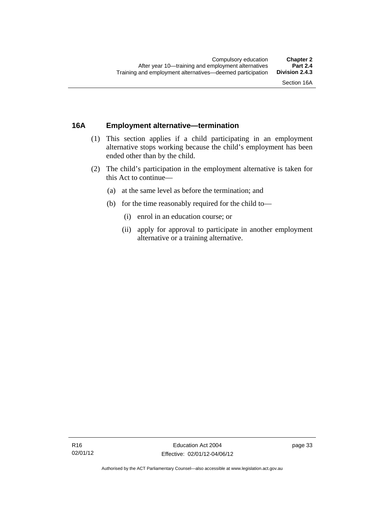## **16A Employment alternative—termination**

- (1) This section applies if a child participating in an employment alternative stops working because the child's employment has been ended other than by the child.
- (2) The child's participation in the employment alternative is taken for this Act to continue—
	- (a) at the same level as before the termination; and
	- (b) for the time reasonably required for the child to—
		- (i) enrol in an education course; or
		- (ii) apply for approval to participate in another employment alternative or a training alternative.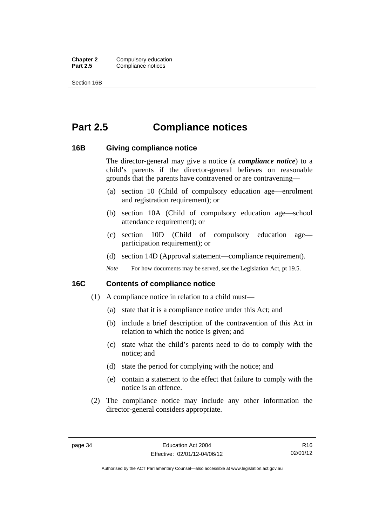**Chapter 2** Compulsory education<br>**Part 2.5** Compliance notices **Compliance notices** 

Section 16B

# **Part 2.5 Compliance notices**

### **16B Giving compliance notice**

The director-general may give a notice (a *compliance notice*) to a child's parents if the director-general believes on reasonable grounds that the parents have contravened or are contravening—

- (a) section 10 (Child of compulsory education age—enrolment and registration requirement); or
- (b) section 10A (Child of compulsory education age—school attendance requirement); or
- (c) section 10D (Child of compulsory education age participation requirement); or
- (d) section 14D (Approval statement—compliance requirement).
- *Note* For how documents may be served, see the Legislation Act, pt 19.5.

## **16C Contents of compliance notice**

- (1) A compliance notice in relation to a child must—
	- (a) state that it is a compliance notice under this Act; and
	- (b) include a brief description of the contravention of this Act in relation to which the notice is given; and
	- (c) state what the child's parents need to do to comply with the notice; and
	- (d) state the period for complying with the notice; and
	- (e) contain a statement to the effect that failure to comply with the notice is an offence.
- (2) The compliance notice may include any other information the director-general considers appropriate.

R16 02/01/12

Authorised by the ACT Parliamentary Counsel—also accessible at www.legislation.act.gov.au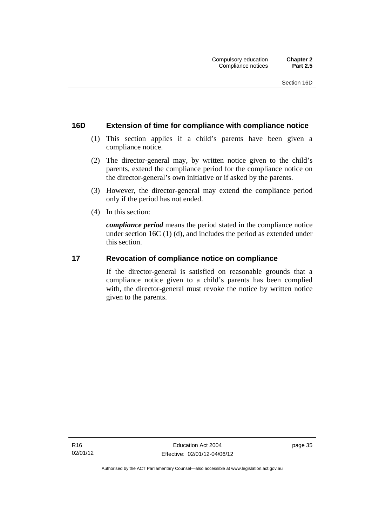## **16D Extension of time for compliance with compliance notice**

- (1) This section applies if a child's parents have been given a compliance notice.
- (2) The director-general may, by written notice given to the child's parents, extend the compliance period for the compliance notice on the director-general's own initiative or if asked by the parents.
- (3) However, the director-general may extend the compliance period only if the period has not ended.
- (4) In this section:

*compliance period* means the period stated in the compliance notice under section 16C (1) (d), and includes the period as extended under this section.

## **17 Revocation of compliance notice on compliance**

If the director-general is satisfied on reasonable grounds that a compliance notice given to a child's parents has been complied with, the director-general must revoke the notice by written notice given to the parents.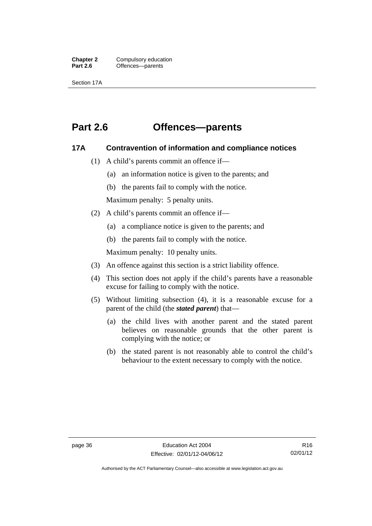**Chapter 2** Compulsory education<br>**Part 2.6 C** Offences—parents Offences—parents

Section 17A

## **Part 2.6 Offences—parents**

### **17A Contravention of information and compliance notices**

- (1) A child's parents commit an offence if—
	- (a) an information notice is given to the parents; and
	- (b) the parents fail to comply with the notice.

Maximum penalty: 5 penalty units.

- (2) A child's parents commit an offence if—
	- (a) a compliance notice is given to the parents; and
	- (b) the parents fail to comply with the notice.

Maximum penalty: 10 penalty units.

- (3) An offence against this section is a strict liability offence.
- (4) This section does not apply if the child's parents have a reasonable excuse for failing to comply with the notice.
- (5) Without limiting subsection (4), it is a reasonable excuse for a parent of the child (the *stated parent*) that—
	- (a) the child lives with another parent and the stated parent believes on reasonable grounds that the other parent is complying with the notice; or
	- (b) the stated parent is not reasonably able to control the child's behaviour to the extent necessary to comply with the notice.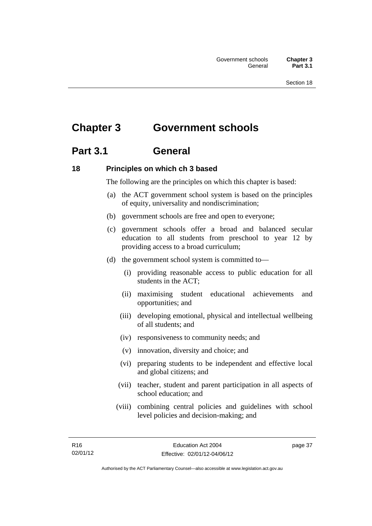# **Chapter 3 Government schools**

## **Part 3.1 General**

## **18 Principles on which ch 3 based**

The following are the principles on which this chapter is based:

- (a) the ACT government school system is based on the principles of equity, universality and nondiscrimination;
- (b) government schools are free and open to everyone;
- (c) government schools offer a broad and balanced secular education to all students from preschool to year 12 by providing access to a broad curriculum;
- (d) the government school system is committed to—
	- (i) providing reasonable access to public education for all students in the ACT;
	- (ii) maximising student educational achievements and opportunities; and
	- (iii) developing emotional, physical and intellectual wellbeing of all students; and
	- (iv) responsiveness to community needs; and
	- (v) innovation, diversity and choice; and
	- (vi) preparing students to be independent and effective local and global citizens; and
	- (vii) teacher, student and parent participation in all aspects of school education; and
	- (viii) combining central policies and guidelines with school level policies and decision-making; and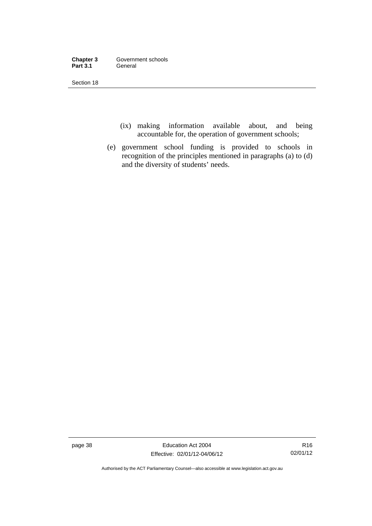| Chapter 3       | Government schools |
|-----------------|--------------------|
| <b>Part 3.1</b> | General            |

- (ix) making information available about, and being accountable for, the operation of government schools;
- (e) government school funding is provided to schools in recognition of the principles mentioned in paragraphs (a) to (d) and the diversity of students' needs.

page 38 Education Act 2004 Effective: 02/01/12-04/06/12

R16 02/01/12

Authorised by the ACT Parliamentary Counsel—also accessible at www.legislation.act.gov.au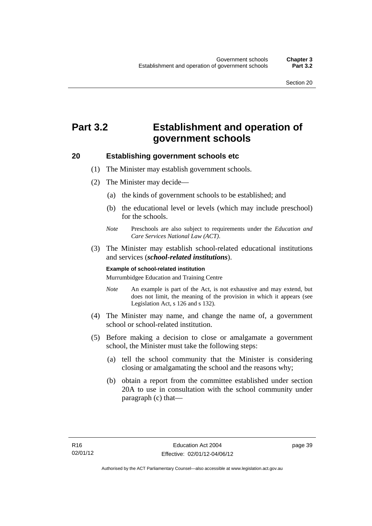# **Part 3.2 Establishment and operation of government schools**

#### **20 Establishing government schools etc**

- (1) The Minister may establish government schools.
- (2) The Minister may decide—
	- (a) the kinds of government schools to be established; and
	- (b) the educational level or levels (which may include preschool) for the schools.
	- *Note* Preschools are also subject to requirements under the *Education and Care Services National Law (ACT)*.
- (3) The Minister may establish school-related educational institutions and services (*school-related institutions*).

#### **Example of school-related institution**

Murrumbidgee Education and Training Centre

- *Note* An example is part of the Act, is not exhaustive and may extend, but does not limit, the meaning of the provision in which it appears (see Legislation Act, s 126 and s 132).
- (4) The Minister may name, and change the name of, a government school or school-related institution.
- (5) Before making a decision to close or amalgamate a government school, the Minister must take the following steps:
	- (a) tell the school community that the Minister is considering closing or amalgamating the school and the reasons why;
	- (b) obtain a report from the committee established under section 20A to use in consultation with the school community under paragraph (c) that—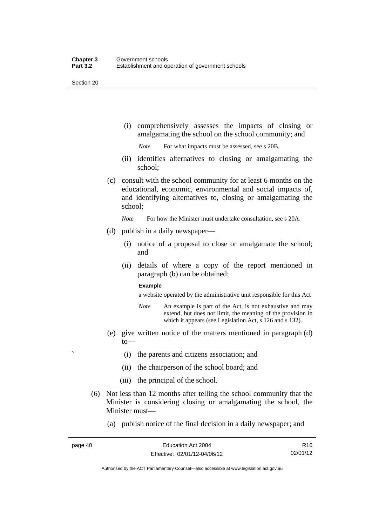(i) comprehensively assesses the impacts of closing or amalgamating the school on the school community; and

*Note* For what impacts must be assessed, see s 20B.

- (ii) identifies alternatives to closing or amalgamating the school;
- (c) consult with the school community for at least 6 months on the educational, economic, environmental and social impacts of, and identifying alternatives to, closing or amalgamating the school;

*Note* For how the Minister must undertake consultation, see s 20A.

- (d) publish in a daily newspaper—
	- (i) notice of a proposal to close or amalgamate the school; and
	- (ii) details of where a copy of the report mentioned in paragraph (b) can be obtained;

#### **Example**

a website operated by the administrative unit responsible for this Act

- *Note* An example is part of the Act, is not exhaustive and may extend, but does not limit, the meaning of the provision in which it appears (see Legislation Act, s 126 and s 132).
- (e) give written notice of the matters mentioned in paragraph (d) to—
	- ` (i) the parents and citizens association; and
	- (ii) the chairperson of the school board; and
	- (iii) the principal of the school.
- (6) Not less than 12 months after telling the school community that the Minister is considering closing or amalgamating the school, the Minister must—
	- (a) publish notice of the final decision in a daily newspaper; and

R16 02/01/12

Authorised by the ACT Parliamentary Counsel—also accessible at www.legislation.act.gov.au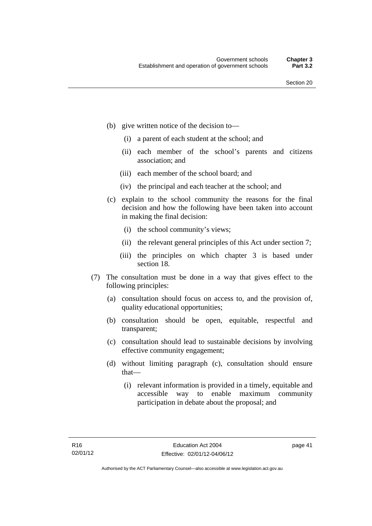- (b) give written notice of the decision to—
	- (i) a parent of each student at the school; and
	- (ii) each member of the school's parents and citizens association; and
	- (iii) each member of the school board; and
	- (iv) the principal and each teacher at the school; and
- (c) explain to the school community the reasons for the final decision and how the following have been taken into account in making the final decision:
	- (i) the school community's views;
	- (ii) the relevant general principles of this Act under section 7;
	- (iii) the principles on which chapter 3 is based under section 18.
- (7) The consultation must be done in a way that gives effect to the following principles:
	- (a) consultation should focus on access to, and the provision of, quality educational opportunities;
	- (b) consultation should be open, equitable, respectful and transparent;
	- (c) consultation should lead to sustainable decisions by involving effective community engagement;
	- (d) without limiting paragraph (c), consultation should ensure that—
		- (i) relevant information is provided in a timely, equitable and accessible way to enable maximum community participation in debate about the proposal; and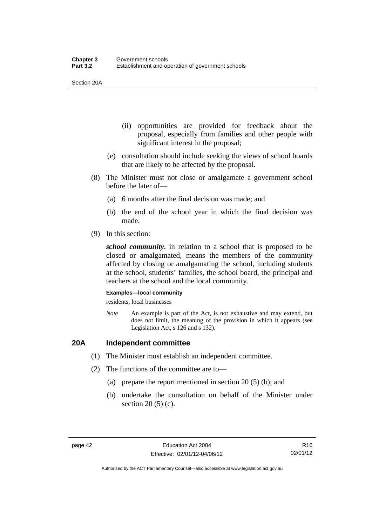Section 20A

- (ii) opportunities are provided for feedback about the proposal, especially from families and other people with significant interest in the proposal;
- (e) consultation should include seeking the views of school boards that are likely to be affected by the proposal.
- (8) The Minister must not close or amalgamate a government school before the later of—
	- (a) 6 months after the final decision was made; and
	- (b) the end of the school year in which the final decision was made.
- (9) In this section:

*school community*, in relation to a school that is proposed to be closed or amalgamated, means the members of the community affected by closing or amalgamating the school, including students at the school, students' families, the school board, the principal and teachers at the school and the local community.

#### **Examples—local community**

residents, local businesses

*Note* An example is part of the Act, is not exhaustive and may extend, but does not limit, the meaning of the provision in which it appears (see Legislation Act, s 126 and s 132).

## **20A Independent committee**

- (1) The Minister must establish an independent committee.
- (2) The functions of the committee are to—
	- (a) prepare the report mentioned in section 20 (5) (b); and
	- (b) undertake the consultation on behalf of the Minister under section 20 (5) (c).

Authorised by the ACT Parliamentary Counsel—also accessible at www.legislation.act.gov.au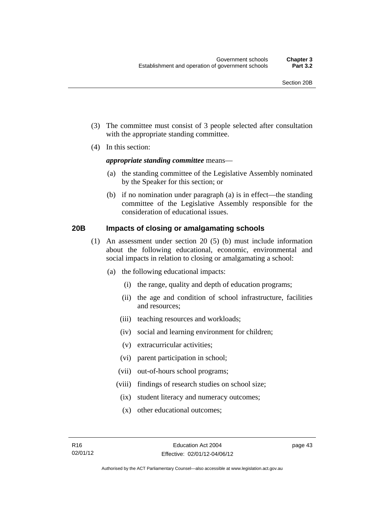- (3) The committee must consist of 3 people selected after consultation with the appropriate standing committee.
- (4) In this section:

#### *appropriate standing committee* means—

- (a) the standing committee of the Legislative Assembly nominated by the Speaker for this section; or
- (b) if no nomination under paragraph (a) is in effect—the standing committee of the Legislative Assembly responsible for the consideration of educational issues.

## **20B Impacts of closing or amalgamating schools**

- (1) An assessment under section 20 (5) (b) must include information about the following educational, economic, environmental and social impacts in relation to closing or amalgamating a school:
	- (a) the following educational impacts:
		- (i) the range, quality and depth of education programs;
		- (ii) the age and condition of school infrastructure, facilities and resources;
		- (iii) teaching resources and workloads;
		- (iv) social and learning environment for children;
		- (v) extracurricular activities;
		- (vi) parent participation in school;
		- (vii) out-of-hours school programs;
		- (viii) findings of research studies on school size;
			- (ix) student literacy and numeracy outcomes;
			- (x) other educational outcomes;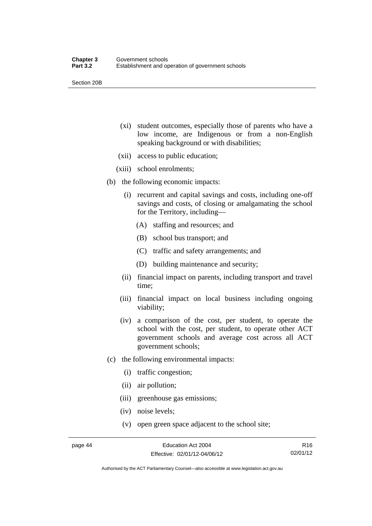Section 20B

- (xi) student outcomes, especially those of parents who have a low income, are Indigenous or from a non-English speaking background or with disabilities;
- (xii) access to public education;
- (xiii) school enrolments;
- (b) the following economic impacts:
	- (i) recurrent and capital savings and costs, including one-off savings and costs, of closing or amalgamating the school for the Territory, including—
		- (A) staffing and resources; and
		- (B) school bus transport; and
		- (C) traffic and safety arrangements; and
		- (D) building maintenance and security;
	- (ii) financial impact on parents, including transport and travel time;
	- (iii) financial impact on local business including ongoing viability;
	- (iv) a comparison of the cost, per student, to operate the school with the cost, per student, to operate other ACT government schools and average cost across all ACT government schools;
- (c) the following environmental impacts:
	- (i) traffic congestion;
	- (ii) air pollution;
	- (iii) greenhouse gas emissions;
	- (iv) noise levels;
	- (v) open green space adjacent to the school site;

R16 02/01/12

Authorised by the ACT Parliamentary Counsel—also accessible at www.legislation.act.gov.au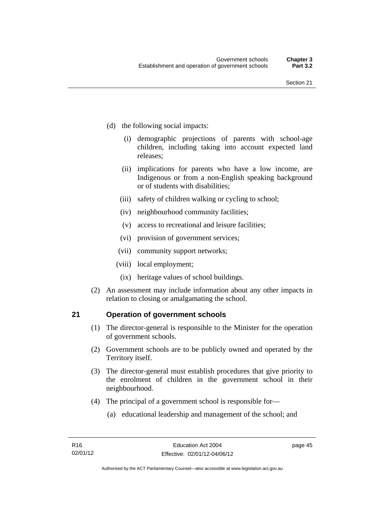- (d) the following social impacts:
	- (i) demographic projections of parents with school-age children, including taking into account expected land releases;
	- (ii) implications for parents who have a low income, are Indigenous or from a non-English speaking background or of students with disabilities;
	- (iii) safety of children walking or cycling to school;
	- (iv) neighbourhood community facilities;
	- (v) access to recreational and leisure facilities;
	- (vi) provision of government services;
	- (vii) community support networks;
	- (viii) local employment;
		- (ix) heritage values of school buildings.
- (2) An assessment may include information about any other impacts in relation to closing or amalgamating the school.

## **21 Operation of government schools**

- (1) The director-general is responsible to the Minister for the operation of government schools.
- (2) Government schools are to be publicly owned and operated by the Territory itself.
- (3) The director-general must establish procedures that give priority to the enrolment of children in the government school in their neighbourhood.
- (4) The principal of a government school is responsible for—
	- (a) educational leadership and management of the school; and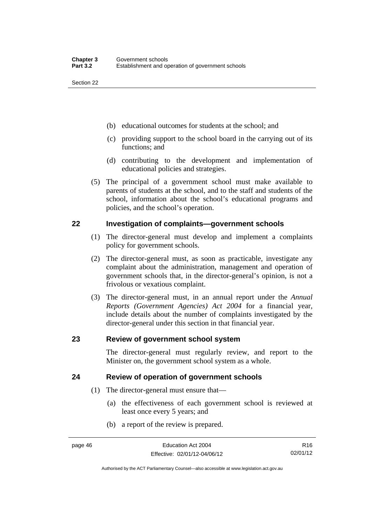- (b) educational outcomes for students at the school; and
- (c) providing support to the school board in the carrying out of its functions; and
- (d) contributing to the development and implementation of educational policies and strategies.
- (5) The principal of a government school must make available to parents of students at the school, and to the staff and students of the school, information about the school's educational programs and policies, and the school's operation.

## **22 Investigation of complaints—government schools**

- (1) The director-general must develop and implement a complaints policy for government schools.
- (2) The director-general must, as soon as practicable, investigate any complaint about the administration, management and operation of government schools that, in the director-general's opinion, is not a frivolous or vexatious complaint.
- (3) The director-general must, in an annual report under the *Annual Reports (Government Agencies) Act 2004* for a financial year, include details about the number of complaints investigated by the director-general under this section in that financial year.

## **23 Review of government school system**

The director-general must regularly review, and report to the Minister on, the government school system as a whole.

## **24 Review of operation of government schools**

- (1) The director-general must ensure that—
	- (a) the effectiveness of each government school is reviewed at least once every 5 years; and
	- (b) a report of the review is prepared.

R16 02/01/12

Authorised by the ACT Parliamentary Counsel—also accessible at www.legislation.act.gov.au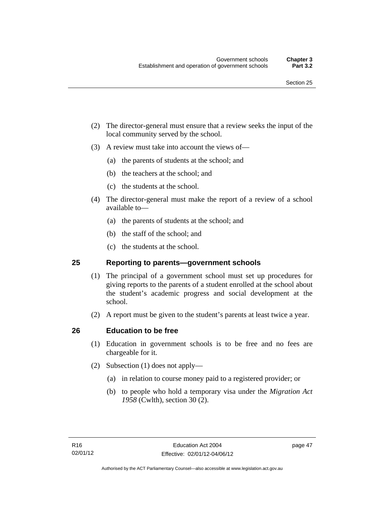- (2) The director-general must ensure that a review seeks the input of the local community served by the school.
- (3) A review must take into account the views of—
	- (a) the parents of students at the school; and
	- (b) the teachers at the school; and
	- (c) the students at the school.
- (4) The director-general must make the report of a review of a school available to—
	- (a) the parents of students at the school; and
	- (b) the staff of the school; and
	- (c) the students at the school.

## **25 Reporting to parents—government schools**

- (1) The principal of a government school must set up procedures for giving reports to the parents of a student enrolled at the school about the student's academic progress and social development at the school.
- (2) A report must be given to the student's parents at least twice a year.

## **26 Education to be free**

- (1) Education in government schools is to be free and no fees are chargeable for it.
- (2) Subsection (1) does not apply—
	- (a) in relation to course money paid to a registered provider; or
	- (b) to people who hold a temporary visa under the *Migration Act 1958* (Cwlth), section 30 (2).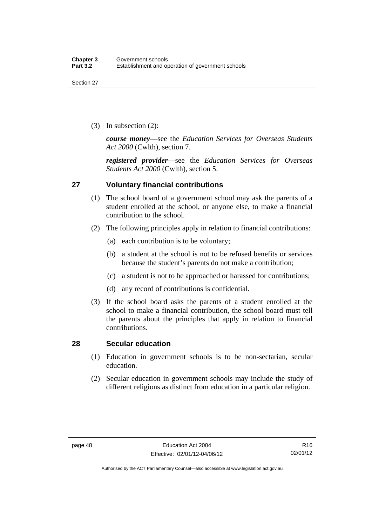(3) In subsection (2):

*course money*—see the *Education Services for Overseas Students Act 2000* (Cwlth), section 7.

*registered provider*—see the *Education Services for Overseas Students Act 2000* (Cwlth), section 5.

## **27 Voluntary financial contributions**

- (1) The school board of a government school may ask the parents of a student enrolled at the school, or anyone else, to make a financial contribution to the school.
- (2) The following principles apply in relation to financial contributions:
	- (a) each contribution is to be voluntary;
	- (b) a student at the school is not to be refused benefits or services because the student's parents do not make a contribution;
	- (c) a student is not to be approached or harassed for contributions;
	- (d) any record of contributions is confidential.
- (3) If the school board asks the parents of a student enrolled at the school to make a financial contribution, the school board must tell the parents about the principles that apply in relation to financial contributions.

## **28 Secular education**

- (1) Education in government schools is to be non-sectarian, secular education.
- (2) Secular education in government schools may include the study of different religions as distinct from education in a particular religion.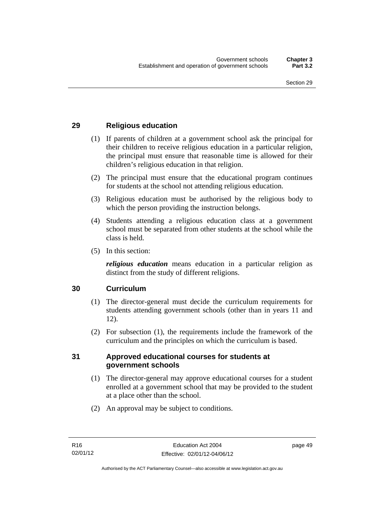## **29 Religious education**

- (1) If parents of children at a government school ask the principal for their children to receive religious education in a particular religion, the principal must ensure that reasonable time is allowed for their children's religious education in that religion.
- (2) The principal must ensure that the educational program continues for students at the school not attending religious education.
- (3) Religious education must be authorised by the religious body to which the person providing the instruction belongs.
- (4) Students attending a religious education class at a government school must be separated from other students at the school while the class is held.
- (5) In this section:

*religious education* means education in a particular religion as distinct from the study of different religions.

## **30 Curriculum**

- (1) The director-general must decide the curriculum requirements for students attending government schools (other than in years 11 and 12).
- (2) For subsection (1), the requirements include the framework of the curriculum and the principles on which the curriculum is based.

### **31 Approved educational courses for students at government schools**

- (1) The director-general may approve educational courses for a student enrolled at a government school that may be provided to the student at a place other than the school.
- (2) An approval may be subject to conditions.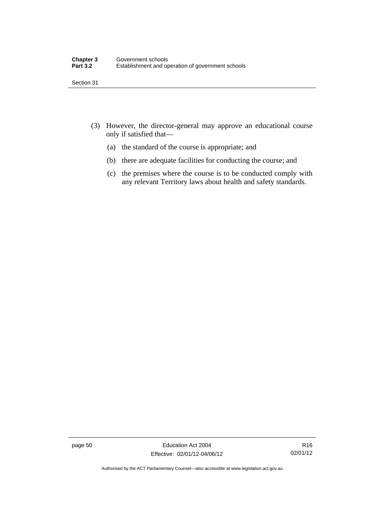- (3) However, the director-general may approve an educational course only if satisfied that—
	- (a) the standard of the course is appropriate; and
	- (b) there are adequate facilities for conducting the course; and
	- (c) the premises where the course is to be conducted comply with any relevant Territory laws about health and safety standards.

page 50 Education Act 2004 Effective: 02/01/12-04/06/12

R16 02/01/12

Authorised by the ACT Parliamentary Counsel—also accessible at www.legislation.act.gov.au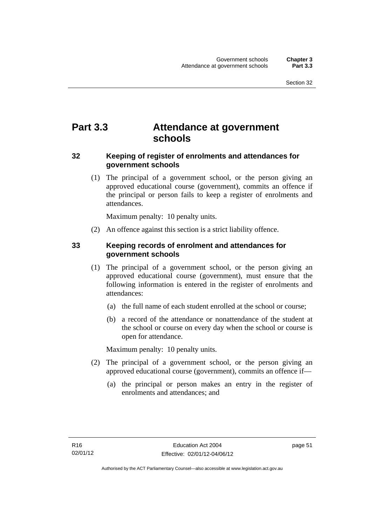# **Part 3.3 Attendance at government schools**

## **32 Keeping of register of enrolments and attendances for government schools**

 (1) The principal of a government school, or the person giving an approved educational course (government), commits an offence if the principal or person fails to keep a register of enrolments and attendances.

Maximum penalty: 10 penalty units.

(2) An offence against this section is a strict liability offence.

## **33 Keeping records of enrolment and attendances for government schools**

- (1) The principal of a government school, or the person giving an approved educational course (government), must ensure that the following information is entered in the register of enrolments and attendances:
	- (a) the full name of each student enrolled at the school or course;
	- (b) a record of the attendance or nonattendance of the student at the school or course on every day when the school or course is open for attendance.

Maximum penalty: 10 penalty units.

- (2) The principal of a government school, or the person giving an approved educational course (government), commits an offence if—
	- (a) the principal or person makes an entry in the register of enrolments and attendances; and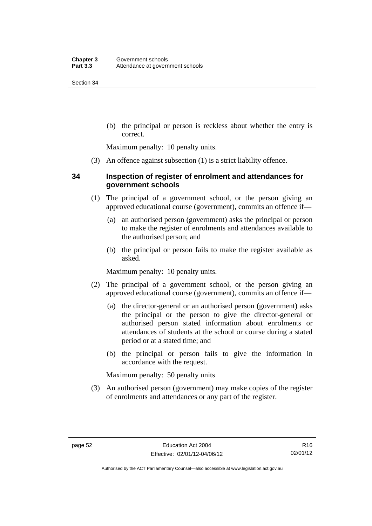(b) the principal or person is reckless about whether the entry is correct.

Maximum penalty: 10 penalty units.

(3) An offence against subsection (1) is a strict liability offence.

## **34 Inspection of register of enrolment and attendances for government schools**

- (1) The principal of a government school, or the person giving an approved educational course (government), commits an offence if—
	- (a) an authorised person (government) asks the principal or person to make the register of enrolments and attendances available to the authorised person; and
	- (b) the principal or person fails to make the register available as asked.

Maximum penalty: 10 penalty units.

- (2) The principal of a government school, or the person giving an approved educational course (government), commits an offence if—
	- (a) the director-general or an authorised person (government) asks the principal or the person to give the director-general or authorised person stated information about enrolments or attendances of students at the school or course during a stated period or at a stated time; and
	- (b) the principal or person fails to give the information in accordance with the request.

Maximum penalty: 50 penalty units

 (3) An authorised person (government) may make copies of the register of enrolments and attendances or any part of the register.

R16 02/01/12

Authorised by the ACT Parliamentary Counsel—also accessible at www.legislation.act.gov.au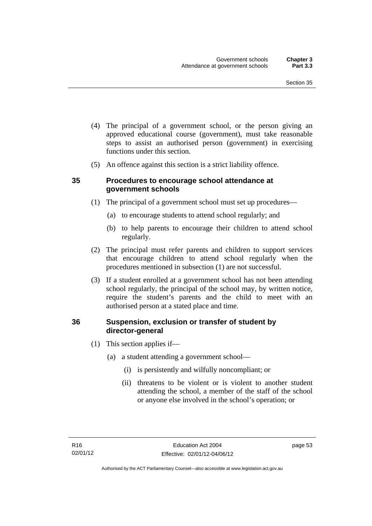- (4) The principal of a government school, or the person giving an approved educational course (government), must take reasonable steps to assist an authorised person (government) in exercising functions under this section.
- (5) An offence against this section is a strict liability offence.

## **35 Procedures to encourage school attendance at government schools**

- (1) The principal of a government school must set up procedures—
	- (a) to encourage students to attend school regularly; and
	- (b) to help parents to encourage their children to attend school regularly.
- (2) The principal must refer parents and children to support services that encourage children to attend school regularly when the procedures mentioned in subsection (1) are not successful.
- (3) If a student enrolled at a government school has not been attending school regularly, the principal of the school may, by written notice, require the student's parents and the child to meet with an authorised person at a stated place and time.

## **36 Suspension, exclusion or transfer of student by director-general**

- (1) This section applies if—
	- (a) a student attending a government school—
		- (i) is persistently and wilfully noncompliant; or
		- (ii) threatens to be violent or is violent to another student attending the school, a member of the staff of the school or anyone else involved in the school's operation; or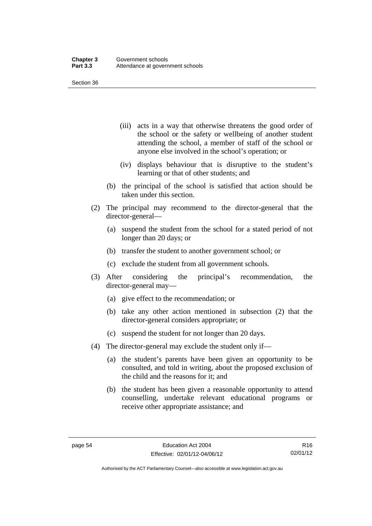- (iii) acts in a way that otherwise threatens the good order of the school or the safety or wellbeing of another student attending the school, a member of staff of the school or anyone else involved in the school's operation; or
- (iv) displays behaviour that is disruptive to the student's learning or that of other students; and
- (b) the principal of the school is satisfied that action should be taken under this section.
- (2) The principal may recommend to the director-general that the director-general—
	- (a) suspend the student from the school for a stated period of not longer than 20 days; or
	- (b) transfer the student to another government school; or
	- (c) exclude the student from all government schools.
- (3) After considering the principal's recommendation, the director-general may—
	- (a) give effect to the recommendation; or
	- (b) take any other action mentioned in subsection (2) that the director-general considers appropriate; or
	- (c) suspend the student for not longer than 20 days.
- (4) The director-general may exclude the student only if—
	- (a) the student's parents have been given an opportunity to be consulted, and told in writing, about the proposed exclusion of the child and the reasons for it; and
	- (b) the student has been given a reasonable opportunity to attend counselling, undertake relevant educational programs or receive other appropriate assistance; and

Authorised by the ACT Parliamentary Counsel—also accessible at www.legislation.act.gov.au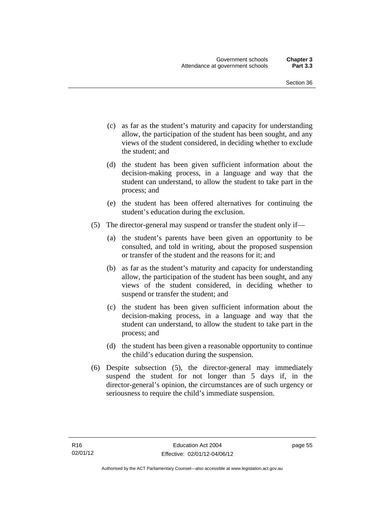- (c) as far as the student's maturity and capacity for understanding allow, the participation of the student has been sought, and any views of the student considered, in deciding whether to exclude the student; and
- (d) the student has been given sufficient information about the decision-making process, in a language and way that the student can understand, to allow the student to take part in the process; and
- (e) the student has been offered alternatives for continuing the student's education during the exclusion.
- (5) The director-general may suspend or transfer the student only if—
	- (a) the student's parents have been given an opportunity to be consulted, and told in writing, about the proposed suspension or transfer of the student and the reasons for it; and
	- (b) as far as the student's maturity and capacity for understanding allow, the participation of the student has been sought, and any views of the student considered, in deciding whether to suspend or transfer the student; and
	- (c) the student has been given sufficient information about the decision-making process, in a language and way that the student can understand, to allow the student to take part in the process; and
	- (d) the student has been given a reasonable opportunity to continue the child's education during the suspension.
- (6) Despite subsection (5), the director-general may immediately suspend the student for not longer than 5 days if, in the director-general's opinion, the circumstances are of such urgency or seriousness to require the child's immediate suspension.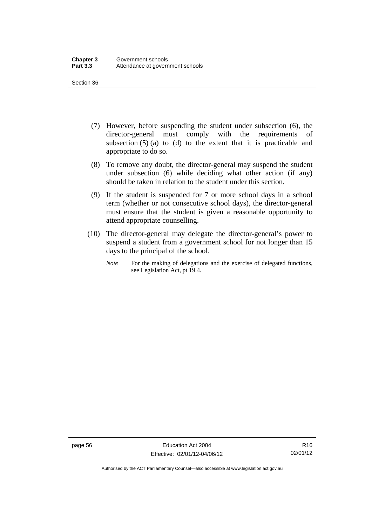- (7) However, before suspending the student under subsection (6), the director-general must comply with the requirements of subsection  $(5)$  (a) to (d) to the extent that it is practicable and appropriate to do so.
- (8) To remove any doubt, the director-general may suspend the student under subsection (6) while deciding what other action (if any) should be taken in relation to the student under this section.
- (9) If the student is suspended for 7 or more school days in a school term (whether or not consecutive school days), the director-general must ensure that the student is given a reasonable opportunity to attend appropriate counselling.
- (10) The director-general may delegate the director-general's power to suspend a student from a government school for not longer than 15 days to the principal of the school.
	- *Note* For the making of delegations and the exercise of delegated functions, see Legislation Act, pt 19.4.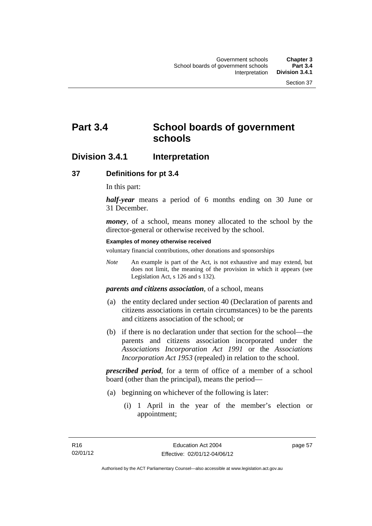# **Part 3.4 School boards of government schools**

## **Division 3.4.1 Interpretation**

## **37 Definitions for pt 3.4**

In this part:

*half-year* means a period of 6 months ending on 30 June or 31 December.

*money*, of a school, means money allocated to the school by the director-general or otherwise received by the school.

#### **Examples of money otherwise received**

voluntary financial contributions, other donations and sponsorships

*Note* An example is part of the Act, is not exhaustive and may extend, but does not limit, the meaning of the provision in which it appears (see Legislation Act, s 126 and s 132).

*parents and citizens association*, of a school, means

- (a) the entity declared under section 40 (Declaration of parents and citizens associations in certain circumstances) to be the parents and citizens association of the school; or
- (b) if there is no declaration under that section for the school—the parents and citizens association incorporated under the *Associations Incorporation Act 1991* or the *Associations Incorporation Act 1953* (repealed) in relation to the school.

*prescribed period*, for a term of office of a member of a school board (other than the principal), means the period—

- (a) beginning on whichever of the following is later:
	- (i) 1 April in the year of the member's election or appointment;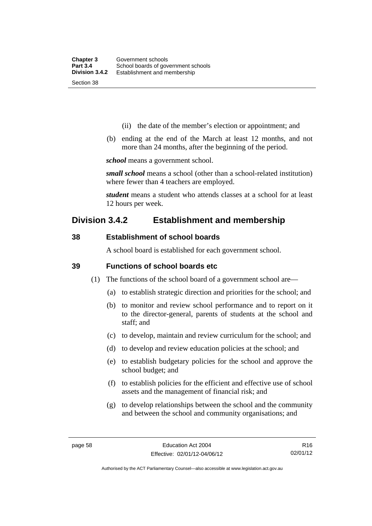- (ii) the date of the member's election or appointment; and
- (b) ending at the end of the March at least 12 months, and not more than 24 months, after the beginning of the period.

*school* means a government school.

*small school* means a school (other than a school-related institution) where fewer than 4 teachers are employed.

*student* means a student who attends classes at a school for at least 12 hours per week.

## **Division 3.4.2 Establishment and membership**

## **38 Establishment of school boards**

A school board is established for each government school.

### **39 Functions of school boards etc**

- (1) The functions of the school board of a government school are—
	- (a) to establish strategic direction and priorities for the school; and
	- (b) to monitor and review school performance and to report on it to the director-general, parents of students at the school and staff; and
	- (c) to develop, maintain and review curriculum for the school; and
	- (d) to develop and review education policies at the school; and
	- (e) to establish budgetary policies for the school and approve the school budget; and
	- (f) to establish policies for the efficient and effective use of school assets and the management of financial risk; and
	- (g) to develop relationships between the school and the community and between the school and community organisations; and

R16 02/01/12

Authorised by the ACT Parliamentary Counsel—also accessible at www.legislation.act.gov.au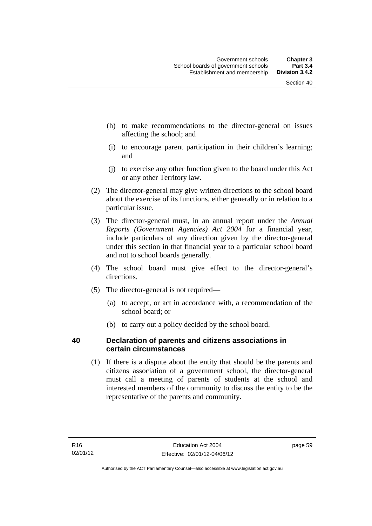- (h) to make recommendations to the director-general on issues affecting the school; and
- (i) to encourage parent participation in their children's learning; and
- (j) to exercise any other function given to the board under this Act or any other Territory law.
- (2) The director-general may give written directions to the school board about the exercise of its functions, either generally or in relation to a particular issue.
- (3) The director-general must, in an annual report under the *Annual Reports (Government Agencies) Act 2004* for a financial year, include particulars of any direction given by the director-general under this section in that financial year to a particular school board and not to school boards generally.
- (4) The school board must give effect to the director-general's directions.
- (5) The director-general is not required—
	- (a) to accept, or act in accordance with, a recommendation of the school board; or
	- (b) to carry out a policy decided by the school board.

## **40 Declaration of parents and citizens associations in certain circumstances**

 (1) If there is a dispute about the entity that should be the parents and citizens association of a government school, the director-general must call a meeting of parents of students at the school and interested members of the community to discuss the entity to be the representative of the parents and community.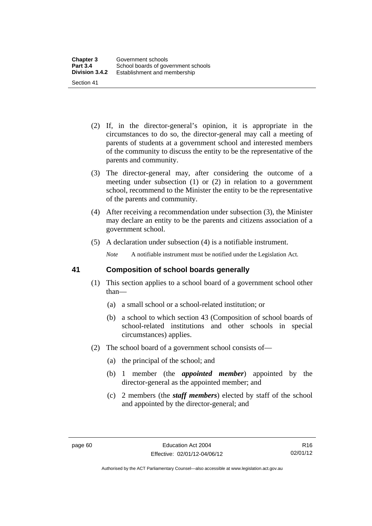- (2) If, in the director-general's opinion, it is appropriate in the circumstances to do so, the director-general may call a meeting of parents of students at a government school and interested members of the community to discuss the entity to be the representative of the parents and community.
- (3) The director-general may, after considering the outcome of a meeting under subsection (1) or (2) in relation to a government school, recommend to the Minister the entity to be the representative of the parents and community.
- (4) After receiving a recommendation under subsection (3), the Minister may declare an entity to be the parents and citizens association of a government school.
- (5) A declaration under subsection (4) is a notifiable instrument.

*Note* A notifiable instrument must be notified under the Legislation Act.

## **41 Composition of school boards generally**

- (1) This section applies to a school board of a government school other than—
	- (a) a small school or a school-related institution; or
	- (b) a school to which section 43 (Composition of school boards of school-related institutions and other schools in special circumstances) applies.
- (2) The school board of a government school consists of—
	- (a) the principal of the school; and
	- (b) 1 member (the *appointed member*) appointed by the director-general as the appointed member; and
	- (c) 2 members (the *staff members*) elected by staff of the school and appointed by the director-general; and

Authorised by the ACT Parliamentary Counsel—also accessible at www.legislation.act.gov.au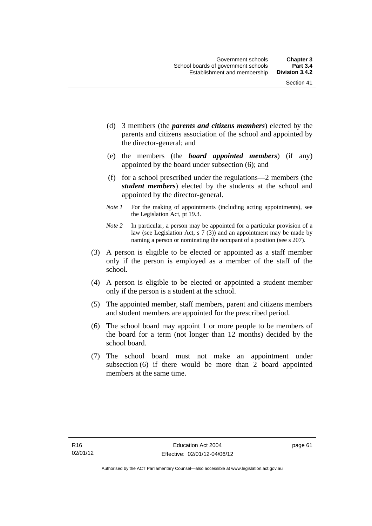- (d) 3 members (the *parents and citizens members*) elected by the parents and citizens association of the school and appointed by the director-general; and
- (e) the members (the *board appointed members*) (if any) appointed by the board under subsection (6); and
- (f) for a school prescribed under the regulations—2 members (the *student members*) elected by the students at the school and appointed by the director-general.
- *Note 1* For the making of appointments (including acting appointments), see the Legislation Act, pt 19.3.
- *Note 2* In particular, a person may be appointed for a particular provision of a law (see Legislation Act, s 7 (3)) and an appointment may be made by naming a person or nominating the occupant of a position (see s 207).
- (3) A person is eligible to be elected or appointed as a staff member only if the person is employed as a member of the staff of the school.
- (4) A person is eligible to be elected or appointed a student member only if the person is a student at the school.
- (5) The appointed member, staff members, parent and citizens members and student members are appointed for the prescribed period.
- (6) The school board may appoint 1 or more people to be members of the board for a term (not longer than 12 months) decided by the school board.
- (7) The school board must not make an appointment under subsection (6) if there would be more than 2 board appointed members at the same time.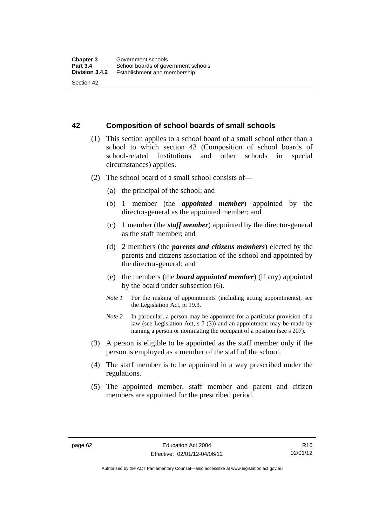#### **42 Composition of school boards of small schools**

- (1) This section applies to a school board of a small school other than a school to which section 43 (Composition of school boards of school-related institutions and other schools in special circumstances) applies.
- (2) The school board of a small school consists of—
	- (a) the principal of the school; and
	- (b) 1 member (the *appointed member*) appointed by the director-general as the appointed member; and
	- (c) 1 member (the *staff member*) appointed by the director-general as the staff member; and
	- (d) 2 members (the *parents and citizens members*) elected by the parents and citizens association of the school and appointed by the director-general; and
	- (e) the members (the *board appointed member*) (if any) appointed by the board under subsection (6).
	- *Note 1* For the making of appointments (including acting appointments), see the Legislation Act, pt 19.3.
	- *Note* 2 In particular, a person may be appointed for a particular provision of a law (see Legislation Act, s 7 (3)) and an appointment may be made by naming a person or nominating the occupant of a position (see s 207).
- (3) A person is eligible to be appointed as the staff member only if the person is employed as a member of the staff of the school.
- (4) The staff member is to be appointed in a way prescribed under the regulations.
- (5) The appointed member, staff member and parent and citizen members are appointed for the prescribed period.

Authorised by the ACT Parliamentary Counsel—also accessible at www.legislation.act.gov.au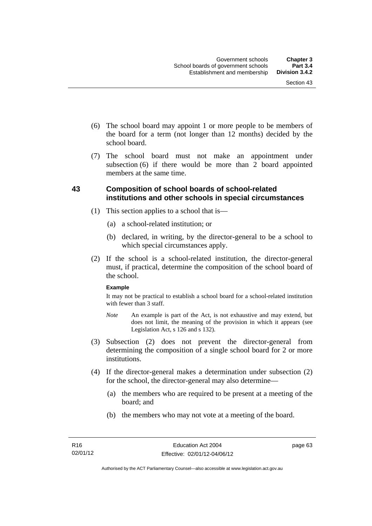- (6) The school board may appoint 1 or more people to be members of the board for a term (not longer than 12 months) decided by the school board.
- (7) The school board must not make an appointment under subsection  $(6)$  if there would be more than  $2$  board appointed members at the same time.

### **43 Composition of school boards of school-related institutions and other schools in special circumstances**

- (1) This section applies to a school that is—
	- (a) a school-related institution; or
	- (b) declared, in writing, by the director-general to be a school to which special circumstances apply.
- (2) If the school is a school-related institution, the director-general must, if practical, determine the composition of the school board of the school.

#### **Example**

It may not be practical to establish a school board for a school-related institution with fewer than 3 staff.

- *Note* An example is part of the Act, is not exhaustive and may extend, but does not limit, the meaning of the provision in which it appears (see Legislation Act, s 126 and s 132).
- (3) Subsection (2) does not prevent the director-general from determining the composition of a single school board for 2 or more institutions.
- (4) If the director-general makes a determination under subsection (2) for the school, the director-general may also determine—
	- (a) the members who are required to be present at a meeting of the board; and
	- (b) the members who may not vote at a meeting of the board.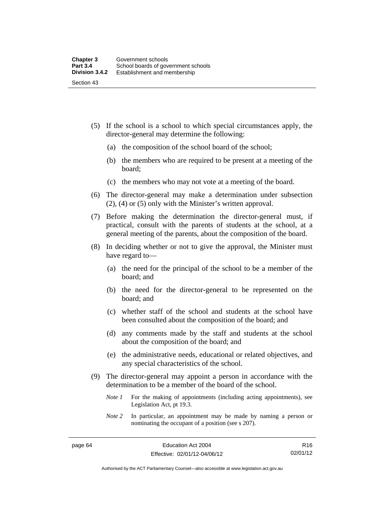- (5) If the school is a school to which special circumstances apply, the director-general may determine the following:
	- (a) the composition of the school board of the school;
	- (b) the members who are required to be present at a meeting of the board;
	- (c) the members who may not vote at a meeting of the board.
- (6) The director-general may make a determination under subsection (2), (4) or (5) only with the Minister's written approval.
- (7) Before making the determination the director-general must, if practical, consult with the parents of students at the school, at a general meeting of the parents, about the composition of the board.
- (8) In deciding whether or not to give the approval, the Minister must have regard to—
	- (a) the need for the principal of the school to be a member of the board; and
	- (b) the need for the director-general to be represented on the board; and
	- (c) whether staff of the school and students at the school have been consulted about the composition of the board; and
	- (d) any comments made by the staff and students at the school about the composition of the board; and
	- (e) the administrative needs, educational or related objectives, and any special characteristics of the school.
- (9) The director-general may appoint a person in accordance with the determination to be a member of the board of the school.
	- *Note 1* For the making of appointments (including acting appointments), see Legislation Act, pt 19.3.
	- *Note 2* In particular, an appointment may be made by naming a person or nominating the occupant of a position (see s 207).

R16 02/01/12

Authorised by the ACT Parliamentary Counsel—also accessible at www.legislation.act.gov.au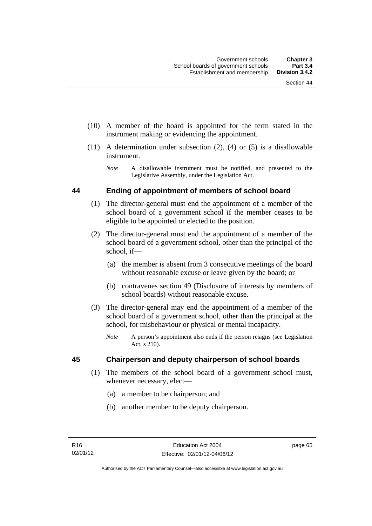- (10) A member of the board is appointed for the term stated in the instrument making or evidencing the appointment.
- (11) A determination under subsection (2), (4) or (5) is a disallowable instrument.
	- *Note* A disallowable instrument must be notified, and presented to the Legislative Assembly, under the Legislation Act.

#### **44 Ending of appointment of members of school board**

- (1) The director-general must end the appointment of a member of the school board of a government school if the member ceases to be eligible to be appointed or elected to the position.
- (2) The director-general must end the appointment of a member of the school board of a government school, other than the principal of the school, if—
	- (a) the member is absent from 3 consecutive meetings of the board without reasonable excuse or leave given by the board; or
	- (b) contravenes section 49 (Disclosure of interests by members of school boards) without reasonable excuse.
- (3) The director-general may end the appointment of a member of the school board of a government school, other than the principal at the school, for misbehaviour or physical or mental incapacity.
	- *Note* A person's appointment also ends if the person resigns (see Legislation Act, s 210).

#### **45 Chairperson and deputy chairperson of school boards**

- (1) The members of the school board of a government school must, whenever necessary, elect—
	- (a) a member to be chairperson; and
	- (b) another member to be deputy chairperson.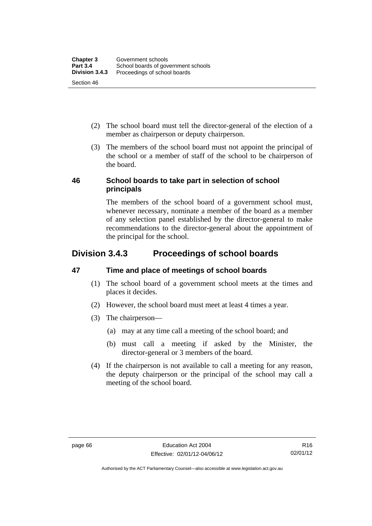- (2) The school board must tell the director-general of the election of a member as chairperson or deputy chairperson.
- (3) The members of the school board must not appoint the principal of the school or a member of staff of the school to be chairperson of the board.

#### **46 School boards to take part in selection of school principals**

The members of the school board of a government school must, whenever necessary, nominate a member of the board as a member of any selection panel established by the director-general to make recommendations to the director-general about the appointment of the principal for the school.

# **Division 3.4.3 Proceedings of school boards**

# **47 Time and place of meetings of school boards**

- (1) The school board of a government school meets at the times and places it decides.
- (2) However, the school board must meet at least 4 times a year.
- (3) The chairperson—
	- (a) may at any time call a meeting of the school board; and
	- (b) must call a meeting if asked by the Minister, the director-general or 3 members of the board.
- (4) If the chairperson is not available to call a meeting for any reason, the deputy chairperson or the principal of the school may call a meeting of the school board.

Authorised by the ACT Parliamentary Counsel—also accessible at www.legislation.act.gov.au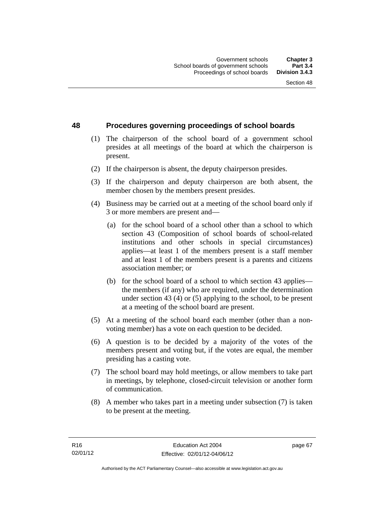#### **48 Procedures governing proceedings of school boards**

- (1) The chairperson of the school board of a government school presides at all meetings of the board at which the chairperson is present.
- (2) If the chairperson is absent, the deputy chairperson presides.
- (3) If the chairperson and deputy chairperson are both absent, the member chosen by the members present presides.
- (4) Business may be carried out at a meeting of the school board only if 3 or more members are present and—
	- (a) for the school board of a school other than a school to which section 43 (Composition of school boards of school-related institutions and other schools in special circumstances) applies—at least 1 of the members present is a staff member and at least 1 of the members present is a parents and citizens association member; or
	- (b) for the school board of a school to which section 43 applies the members (if any) who are required, under the determination under section 43 (4) or (5) applying to the school, to be present at a meeting of the school board are present.
- (5) At a meeting of the school board each member (other than a nonvoting member) has a vote on each question to be decided.
- (6) A question is to be decided by a majority of the votes of the members present and voting but, if the votes are equal, the member presiding has a casting vote.
- (7) The school board may hold meetings, or allow members to take part in meetings, by telephone, closed-circuit television or another form of communication.
- (8) A member who takes part in a meeting under subsection (7) is taken to be present at the meeting.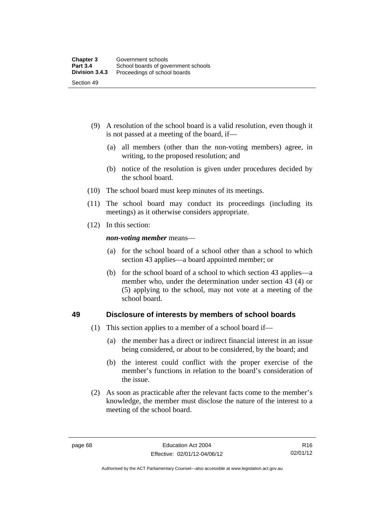- (9) A resolution of the school board is a valid resolution, even though it is not passed at a meeting of the board, if—
	- (a) all members (other than the non-voting members) agree, in writing, to the proposed resolution; and
	- (b) notice of the resolution is given under procedures decided by the school board.
- (10) The school board must keep minutes of its meetings.
- (11) The school board may conduct its proceedings (including its meetings) as it otherwise considers appropriate.
- (12) In this section:

*non-voting member* means—

- (a) for the school board of a school other than a school to which section 43 applies—a board appointed member; or
- (b) for the school board of a school to which section 43 applies—a member who, under the determination under section 43 (4) or (5) applying to the school, may not vote at a meeting of the school board.

#### **49 Disclosure of interests by members of school boards**

- (1) This section applies to a member of a school board if—
	- (a) the member has a direct or indirect financial interest in an issue being considered, or about to be considered, by the board; and
	- (b) the interest could conflict with the proper exercise of the member's functions in relation to the board's consideration of the issue.
- (2) As soon as practicable after the relevant facts come to the member's knowledge, the member must disclose the nature of the interest to a meeting of the school board.

Authorised by the ACT Parliamentary Counsel—also accessible at www.legislation.act.gov.au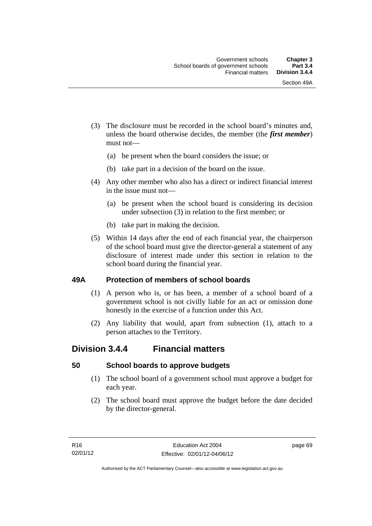- (3) The disclosure must be recorded in the school board's minutes and, unless the board otherwise decides, the member (the *first member*) must not—
	- (a) be present when the board considers the issue; or
	- (b) take part in a decision of the board on the issue.
- (4) Any other member who also has a direct or indirect financial interest in the issue must not—
	- (a) be present when the school board is considering its decision under subsection (3) in relation to the first member; or
	- (b) take part in making the decision.
- (5) Within 14 days after the end of each financial year, the chairperson of the school board must give the director-general a statement of any disclosure of interest made under this section in relation to the school board during the financial year.

#### **49A Protection of members of school boards**

- (1) A person who is, or has been, a member of a school board of a government school is not civilly liable for an act or omission done honestly in the exercise of a function under this Act.
- (2) Any liability that would, apart from subsection (1), attach to a person attaches to the Territory.

# **Division 3.4.4 Financial matters**

#### **50 School boards to approve budgets**

- (1) The school board of a government school must approve a budget for each year.
- (2) The school board must approve the budget before the date decided by the director-general.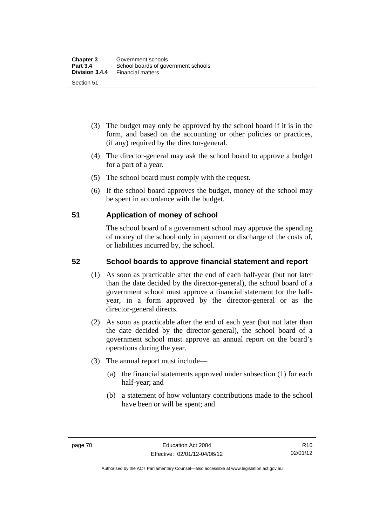- (3) The budget may only be approved by the school board if it is in the form, and based on the accounting or other policies or practices, (if any) required by the director-general.
- (4) The director-general may ask the school board to approve a budget for a part of a year.
- (5) The school board must comply with the request.
- (6) If the school board approves the budget, money of the school may be spent in accordance with the budget.

#### **51 Application of money of school**

The school board of a government school may approve the spending of money of the school only in payment or discharge of the costs of, or liabilities incurred by, the school.

## **52 School boards to approve financial statement and report**

- (1) As soon as practicable after the end of each half-year (but not later than the date decided by the director-general), the school board of a government school must approve a financial statement for the halfyear, in a form approved by the director-general or as the director-general directs.
- (2) As soon as practicable after the end of each year (but not later than the date decided by the director-general), the school board of a government school must approve an annual report on the board's operations during the year.
- (3) The annual report must include—
	- (a) the financial statements approved under subsection (1) for each half-year; and
	- (b) a statement of how voluntary contributions made to the school have been or will be spent; and

Authorised by the ACT Parliamentary Counsel—also accessible at www.legislation.act.gov.au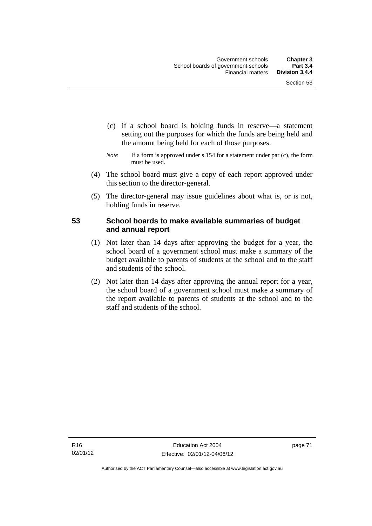- (c) if a school board is holding funds in reserve—a statement setting out the purposes for which the funds are being held and the amount being held for each of those purposes.
- *Note* If a form is approved under s 154 for a statement under par (c), the form must be used.
- (4) The school board must give a copy of each report approved under this section to the director-general.
- (5) The director-general may issue guidelines about what is, or is not, holding funds in reserve.

### **53 School boards to make available summaries of budget and annual report**

- (1) Not later than 14 days after approving the budget for a year, the school board of a government school must make a summary of the budget available to parents of students at the school and to the staff and students of the school.
- (2) Not later than 14 days after approving the annual report for a year, the school board of a government school must make a summary of the report available to parents of students at the school and to the staff and students of the school.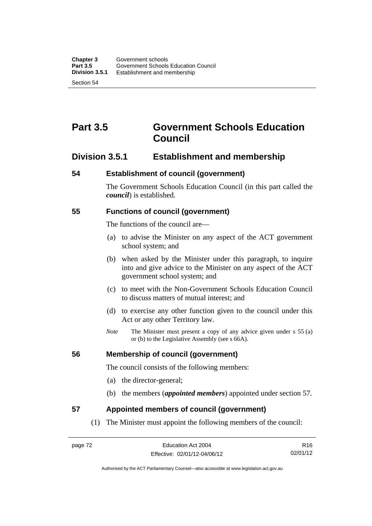# **Part 3.5 Government Schools Education Council**

# **Division 3.5.1 Establishment and membership**

#### **54 Establishment of council (government)**

The Government Schools Education Council (in this part called the *council*) is established.

#### **55 Functions of council (government)**

The functions of the council are—

- (a) to advise the Minister on any aspect of the ACT government school system; and
- (b) when asked by the Minister under this paragraph, to inquire into and give advice to the Minister on any aspect of the ACT government school system; and
- (c) to meet with the Non-Government Schools Education Council to discuss matters of mutual interest; and
- (d) to exercise any other function given to the council under this Act or any other Territory law.
- *Note* The Minister must present a copy of any advice given under s 55 (a) or (b) to the Legislative Assembly (see s 66A).

#### **56 Membership of council (government)**

The council consists of the following members:

- (a) the director-general;
- (b) the members (*appointed members*) appointed under section 57.

#### **57 Appointed members of council (government)**

(1) The Minister must appoint the following members of the council:

R16 02/01/12

Authorised by the ACT Parliamentary Counsel—also accessible at www.legislation.act.gov.au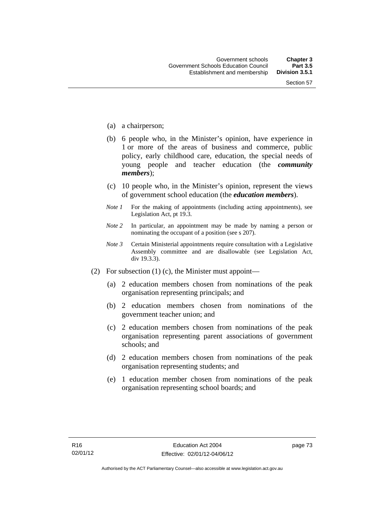- (a) a chairperson;
- (b) 6 people who, in the Minister's opinion, have experience in 1 or more of the areas of business and commerce, public policy, early childhood care, education, the special needs of young people and teacher education (the *community members*);
- (c) 10 people who, in the Minister's opinion, represent the views of government school education (the *education members*).
- *Note 1* For the making of appointments (including acting appointments), see Legislation Act, pt 19.3.
- *Note 2* In particular, an appointment may be made by naming a person or nominating the occupant of a position (see s 207).
- *Note 3* Certain Ministerial appointments require consultation with a Legislative Assembly committee and are disallowable (see Legislation Act, div 19.3.3).
- (2) For subsection (1) (c), the Minister must appoint—
	- (a) 2 education members chosen from nominations of the peak organisation representing principals; and
	- (b) 2 education members chosen from nominations of the government teacher union; and
	- (c) 2 education members chosen from nominations of the peak organisation representing parent associations of government schools; and
	- (d) 2 education members chosen from nominations of the peak organisation representing students; and
	- (e) 1 education member chosen from nominations of the peak organisation representing school boards; and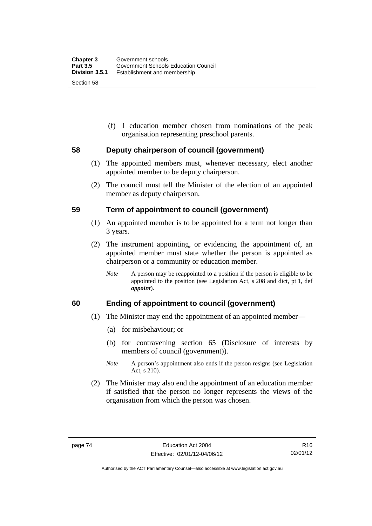(f) 1 education member chosen from nominations of the peak organisation representing preschool parents.

#### **58 Deputy chairperson of council (government)**

- (1) The appointed members must, whenever necessary, elect another appointed member to be deputy chairperson.
- (2) The council must tell the Minister of the election of an appointed member as deputy chairperson.

#### **59 Term of appointment to council (government)**

- (1) An appointed member is to be appointed for a term not longer than 3 years.
- (2) The instrument appointing, or evidencing the appointment of, an appointed member must state whether the person is appointed as chairperson or a community or education member.
	- *Note* A person may be reappointed to a position if the person is eligible to be appointed to the position (see Legislation Act, s 208 and dict, pt 1, def *appoint*).

#### **60 Ending of appointment to council (government)**

- (1) The Minister may end the appointment of an appointed member—
	- (a) for misbehaviour; or
	- (b) for contravening section 65 (Disclosure of interests by members of council (government)).
	- *Note* A person's appointment also ends if the person resigns (see Legislation Act, s 210).
- (2) The Minister may also end the appointment of an education member if satisfied that the person no longer represents the views of the organisation from which the person was chosen.

Authorised by the ACT Parliamentary Counsel—also accessible at www.legislation.act.gov.au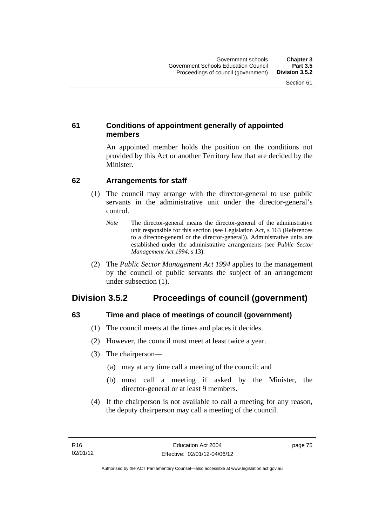## **61 Conditions of appointment generally of appointed members**

An appointed member holds the position on the conditions not provided by this Act or another Territory law that are decided by the Minister.

#### **62 Arrangements for staff**

- (1) The council may arrange with the director-general to use public servants in the administrative unit under the director-general's control.
	- *Note* The director-general means the director-general of the administrative unit responsible for this section (see Legislation Act, s 163 (References to a director-general or the director-general)). Administrative units are established under the administrative arrangements (see *Public Sector Management Act 1994*, s 13).
- (2) The *Public Sector Management Act 1994* applies to the management by the council of public servants the subject of an arrangement under subsection (1).

# **Division 3.5.2 Proceedings of council (government)**

# **63 Time and place of meetings of council (government)**

- (1) The council meets at the times and places it decides.
- (2) However, the council must meet at least twice a year.
- (3) The chairperson—
	- (a) may at any time call a meeting of the council; and
	- (b) must call a meeting if asked by the Minister, the director-general or at least 9 members.
- (4) If the chairperson is not available to call a meeting for any reason, the deputy chairperson may call a meeting of the council.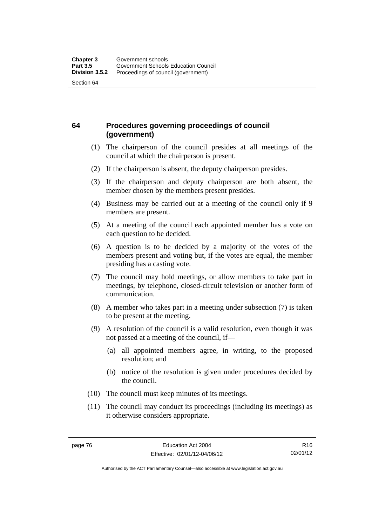## **64 Procedures governing proceedings of council (government)**

- (1) The chairperson of the council presides at all meetings of the council at which the chairperson is present.
- (2) If the chairperson is absent, the deputy chairperson presides.
- (3) If the chairperson and deputy chairperson are both absent, the member chosen by the members present presides.
- (4) Business may be carried out at a meeting of the council only if 9 members are present.
- (5) At a meeting of the council each appointed member has a vote on each question to be decided.
- (6) A question is to be decided by a majority of the votes of the members present and voting but, if the votes are equal, the member presiding has a casting vote.
- (7) The council may hold meetings, or allow members to take part in meetings, by telephone, closed-circuit television or another form of communication.
- (8) A member who takes part in a meeting under subsection (7) is taken to be present at the meeting.
- (9) A resolution of the council is a valid resolution, even though it was not passed at a meeting of the council, if—
	- (a) all appointed members agree, in writing, to the proposed resolution; and
	- (b) notice of the resolution is given under procedures decided by the council.
- (10) The council must keep minutes of its meetings.
- (11) The council may conduct its proceedings (including its meetings) as it otherwise considers appropriate.

R16 02/01/12

Authorised by the ACT Parliamentary Counsel—also accessible at www.legislation.act.gov.au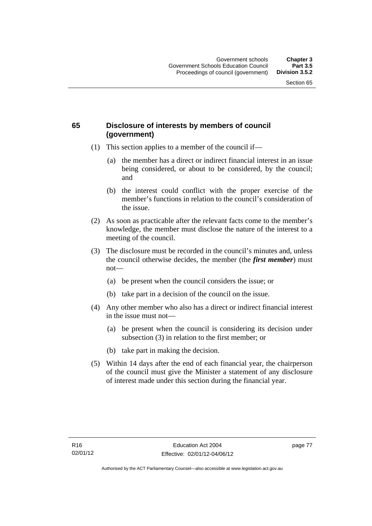## **65 Disclosure of interests by members of council (government)**

- (1) This section applies to a member of the council if—
	- (a) the member has a direct or indirect financial interest in an issue being considered, or about to be considered, by the council; and
	- (b) the interest could conflict with the proper exercise of the member's functions in relation to the council's consideration of the issue.
- (2) As soon as practicable after the relevant facts come to the member's knowledge, the member must disclose the nature of the interest to a meeting of the council.
- (3) The disclosure must be recorded in the council's minutes and, unless the council otherwise decides, the member (the *first member*) must not—
	- (a) be present when the council considers the issue; or
	- (b) take part in a decision of the council on the issue.
- (4) Any other member who also has a direct or indirect financial interest in the issue must not—
	- (a) be present when the council is considering its decision under subsection (3) in relation to the first member; or
	- (b) take part in making the decision.
- (5) Within 14 days after the end of each financial year, the chairperson of the council must give the Minister a statement of any disclosure of interest made under this section during the financial year.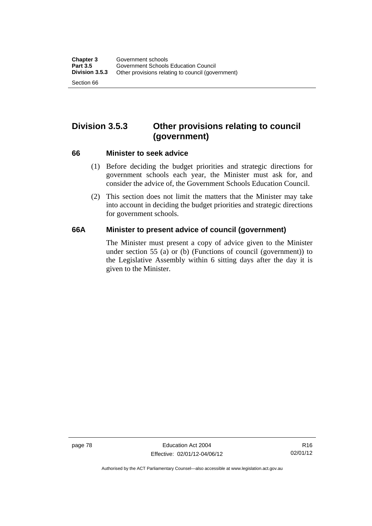# **Division 3.5.3 Other provisions relating to council (government)**

#### **66 Minister to seek advice**

- (1) Before deciding the budget priorities and strategic directions for government schools each year, the Minister must ask for, and consider the advice of, the Government Schools Education Council.
- (2) This section does not limit the matters that the Minister may take into account in deciding the budget priorities and strategic directions for government schools.

#### **66A Minister to present advice of council (government)**

The Minister must present a copy of advice given to the Minister under section 55 (a) or (b) (Functions of council (government)) to the Legislative Assembly within 6 sitting days after the day it is given to the Minister.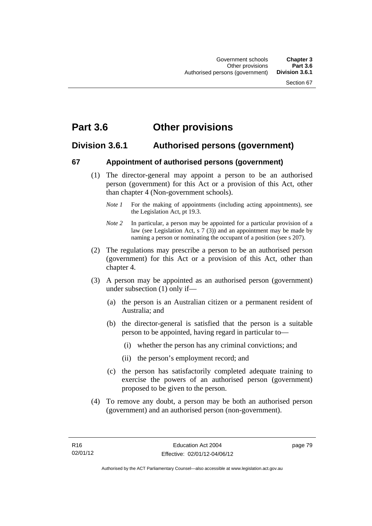# **Part 3.6 Other provisions**

# **Division 3.6.1 Authorised persons (government)**

#### **67 Appointment of authorised persons (government)**

- (1) The director-general may appoint a person to be an authorised person (government) for this Act or a provision of this Act, other than chapter 4 (Non-government schools).
	- *Note 1* For the making of appointments (including acting appointments), see the Legislation Act, pt 19.3.
	- *Note 2* In particular, a person may be appointed for a particular provision of a law (see Legislation Act, s 7 (3)) and an appointment may be made by naming a person or nominating the occupant of a position (see s 207).
- (2) The regulations may prescribe a person to be an authorised person (government) for this Act or a provision of this Act, other than chapter 4.
- (3) A person may be appointed as an authorised person (government) under subsection (1) only if—
	- (a) the person is an Australian citizen or a permanent resident of Australia; and
	- (b) the director-general is satisfied that the person is a suitable person to be appointed, having regard in particular to—
		- (i) whether the person has any criminal convictions; and
		- (ii) the person's employment record; and
	- (c) the person has satisfactorily completed adequate training to exercise the powers of an authorised person (government) proposed to be given to the person.
- (4) To remove any doubt, a person may be both an authorised person (government) and an authorised person (non-government).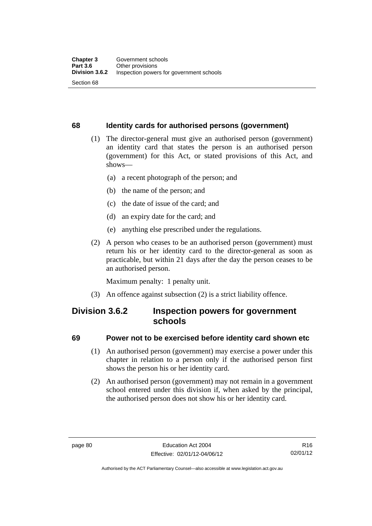#### **68 Identity cards for authorised persons (government)**

- (1) The director-general must give an authorised person (government) an identity card that states the person is an authorised person (government) for this Act, or stated provisions of this Act, and shows—
	- (a) a recent photograph of the person; and
	- (b) the name of the person; and
	- (c) the date of issue of the card; and
	- (d) an expiry date for the card; and
	- (e) anything else prescribed under the regulations.
- (2) A person who ceases to be an authorised person (government) must return his or her identity card to the director-general as soon as practicable, but within 21 days after the day the person ceases to be an authorised person.

Maximum penalty: 1 penalty unit.

(3) An offence against subsection (2) is a strict liability offence.

# **Division 3.6.2 Inspection powers for government schools**

#### **69 Power not to be exercised before identity card shown etc**

- (1) An authorised person (government) may exercise a power under this chapter in relation to a person only if the authorised person first shows the person his or her identity card.
- (2) An authorised person (government) may not remain in a government school entered under this division if, when asked by the principal, the authorised person does not show his or her identity card.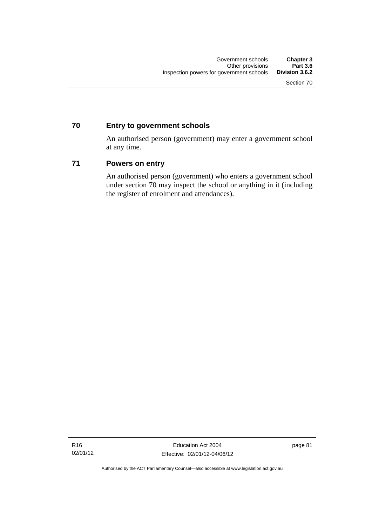## **70 Entry to government schools**

An authorised person (government) may enter a government school at any time.

#### **71 Powers on entry**

An authorised person (government) who enters a government school under section 70 may inspect the school or anything in it (including the register of enrolment and attendances).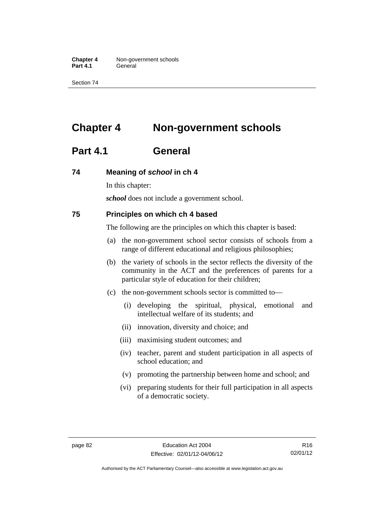**Chapter 4** Non-government schools Part 4.1 **General** 

Section 74

# **Chapter 4 Non-government schools**

# **Part 4.1 General**

#### **74 Meaning of** *school* **in ch 4**

In this chapter:

*school* does not include a government school.

#### **75 Principles on which ch 4 based**

The following are the principles on which this chapter is based:

- (a) the non-government school sector consists of schools from a range of different educational and religious philosophies;
- (b) the variety of schools in the sector reflects the diversity of the community in the ACT and the preferences of parents for a particular style of education for their children;
- (c) the non-government schools sector is committed to—
	- (i) developing the spiritual, physical, emotional and intellectual welfare of its students; and
	- (ii) innovation, diversity and choice; and
	- (iii) maximising student outcomes; and
	- (iv) teacher, parent and student participation in all aspects of school education; and
	- (v) promoting the partnership between home and school; and
	- (vi) preparing students for their full participation in all aspects of a democratic society.

R16 02/01/12

Authorised by the ACT Parliamentary Counsel—also accessible at www.legislation.act.gov.au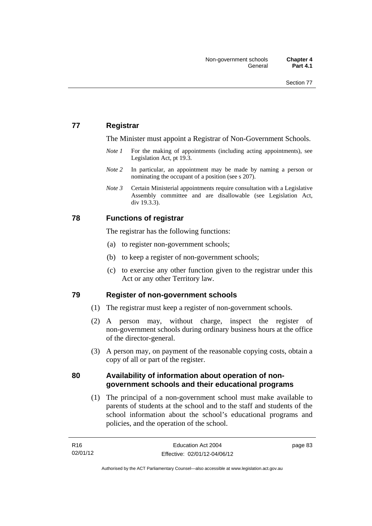## **77 Registrar**

The Minister must appoint a Registrar of Non-Government Schools.

- *Note 1* For the making of appointments (including acting appointments), see Legislation Act, pt 19.3.
- *Note* 2 In particular, an appointment may be made by naming a person or nominating the occupant of a position (see s 207).
- *Note 3* Certain Ministerial appointments require consultation with a Legislative Assembly committee and are disallowable (see Legislation Act, div 19.3.3).

#### **78 Functions of registrar**

The registrar has the following functions:

- (a) to register non-government schools;
- (b) to keep a register of non-government schools;
- (c) to exercise any other function given to the registrar under this Act or any other Territory law.

#### **79 Register of non-government schools**

- (1) The registrar must keep a register of non-government schools.
- (2) A person may, without charge, inspect the register of non-government schools during ordinary business hours at the office of the director-general.
- (3) A person may, on payment of the reasonable copying costs, obtain a copy of all or part of the register.

#### **80 Availability of information about operation of nongovernment schools and their educational programs**

(1) The principal of a non-government school must make available to parents of students at the school and to the staff and students of the school information about the school's educational programs and policies, and the operation of the school.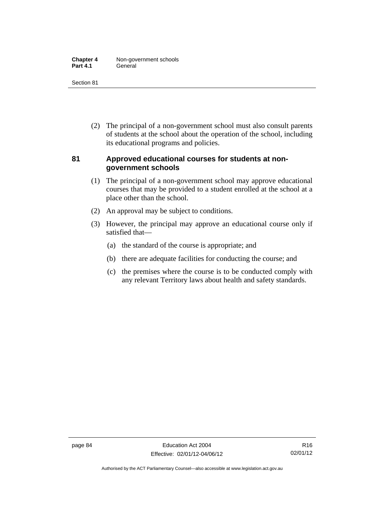| <b>Chapter 4</b> | Non-government schools |
|------------------|------------------------|
| <b>Part 4.1</b>  | General                |

Section 81

 (2) The principal of a non-government school must also consult parents of students at the school about the operation of the school, including its educational programs and policies.

#### **81 Approved educational courses for students at nongovernment schools**

- (1) The principal of a non-government school may approve educational courses that may be provided to a student enrolled at the school at a place other than the school.
- (2) An approval may be subject to conditions.
- (3) However, the principal may approve an educational course only if satisfied that—
	- (a) the standard of the course is appropriate; and
	- (b) there are adequate facilities for conducting the course; and
	- (c) the premises where the course is to be conducted comply with any relevant Territory laws about health and safety standards.

Authorised by the ACT Parliamentary Counsel—also accessible at www.legislation.act.gov.au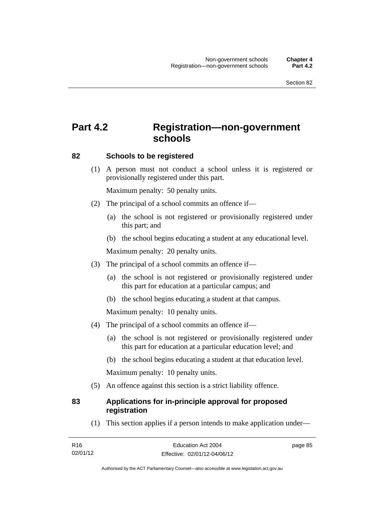# **Part 4.2 Registration—non-government schools**

#### **82 Schools to be registered**

 (1) A person must not conduct a school unless it is registered or provisionally registered under this part.

Maximum penalty: 50 penalty units.

- (2) The principal of a school commits an offence if—
	- (a) the school is not registered or provisionally registered under this part; and
	- (b) the school begins educating a student at any educational level.

Maximum penalty: 20 penalty units.

- (3) The principal of a school commits an offence if—
	- (a) the school is not registered or provisionally registered under this part for education at a particular campus; and
	- (b) the school begins educating a student at that campus.

Maximum penalty: 10 penalty units.

- (4) The principal of a school commits an offence if—
	- (a) the school is not registered or provisionally registered under this part for education at a particular education level; and
	- (b) the school begins educating a student at that education level.

Maximum penalty: 10 penalty units.

(5) An offence against this section is a strict liability offence.

#### **83 Applications for in-principle approval for proposed registration**

(1) This section applies if a person intends to make application under—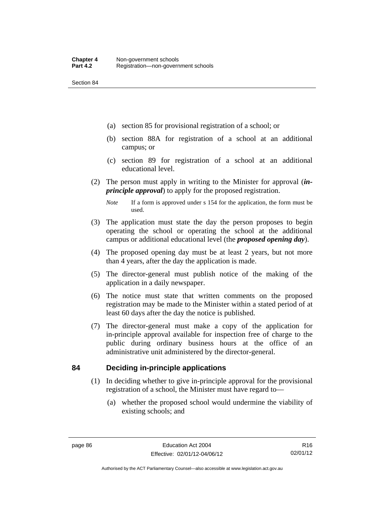Section 84

- (a) section 85 for provisional registration of a school; or
- (b) section 88A for registration of a school at an additional campus; or
- (c) section 89 for registration of a school at an additional educational level.
- (2) The person must apply in writing to the Minister for approval (*inprinciple approval*) to apply for the proposed registration.
	- *Note* If a form is approved under s 154 for the application, the form must be used.
- (3) The application must state the day the person proposes to begin operating the school or operating the school at the additional campus or additional educational level (the *proposed opening day*).
- (4) The proposed opening day must be at least 2 years, but not more than 4 years, after the day the application is made.
- (5) The director-general must publish notice of the making of the application in a daily newspaper.
- (6) The notice must state that written comments on the proposed registration may be made to the Minister within a stated period of at least 60 days after the day the notice is published.
- (7) The director-general must make a copy of the application for in-principle approval available for inspection free of charge to the public during ordinary business hours at the office of an administrative unit administered by the director-general.

#### **84 Deciding in-principle applications**

- (1) In deciding whether to give in-principle approval for the provisional registration of a school, the Minister must have regard to—
	- (a) whether the proposed school would undermine the viability of existing schools; and

R16 02/01/12

Authorised by the ACT Parliamentary Counsel—also accessible at www.legislation.act.gov.au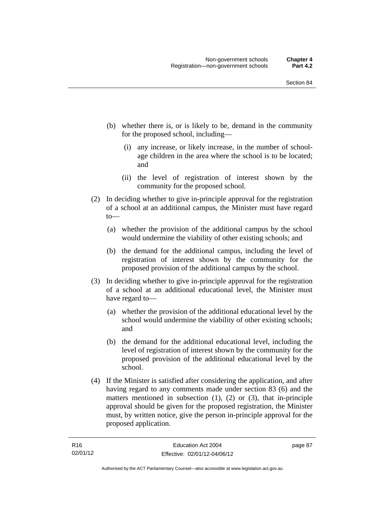- (b) whether there is, or is likely to be, demand in the community for the proposed school, including—
	- (i) any increase, or likely increase, in the number of schoolage children in the area where the school is to be located; and
	- (ii) the level of registration of interest shown by the community for the proposed school.
- (2) In deciding whether to give in-principle approval for the registration of a school at an additional campus, the Minister must have regard to—
	- (a) whether the provision of the additional campus by the school would undermine the viability of other existing schools; and
	- (b) the demand for the additional campus, including the level of registration of interest shown by the community for the proposed provision of the additional campus by the school.
- (3) In deciding whether to give in-principle approval for the registration of a school at an additional educational level, the Minister must have regard to—
	- (a) whether the provision of the additional educational level by the school would undermine the viability of other existing schools; and
	- (b) the demand for the additional educational level, including the level of registration of interest shown by the community for the proposed provision of the additional educational level by the school.
- (4) If the Minister is satisfied after considering the application, and after having regard to any comments made under section 83 (6) and the matters mentioned in subsection (1), (2) or (3), that in-principle approval should be given for the proposed registration, the Minister must, by written notice, give the person in-principle approval for the proposed application.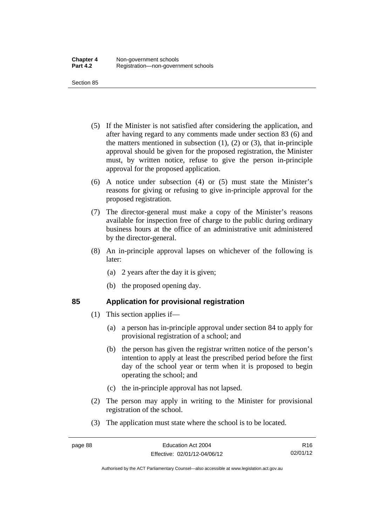Section 85

- (5) If the Minister is not satisfied after considering the application, and after having regard to any comments made under section 83 (6) and the matters mentioned in subsection  $(1)$ ,  $(2)$  or  $(3)$ , that in-principle approval should be given for the proposed registration, the Minister must, by written notice, refuse to give the person in-principle approval for the proposed application.
- (6) A notice under subsection (4) or (5) must state the Minister's reasons for giving or refusing to give in-principle approval for the proposed registration.
- (7) The director-general must make a copy of the Minister's reasons available for inspection free of charge to the public during ordinary business hours at the office of an administrative unit administered by the director-general.
- (8) An in-principle approval lapses on whichever of the following is later:
	- (a) 2 years after the day it is given;
	- (b) the proposed opening day.

# **85 Application for provisional registration**

- (1) This section applies if—
	- (a) a person has in-principle approval under section 84 to apply for provisional registration of a school; and
	- (b) the person has given the registrar written notice of the person's intention to apply at least the prescribed period before the first day of the school year or term when it is proposed to begin operating the school; and
	- (c) the in-principle approval has not lapsed.
- (2) The person may apply in writing to the Minister for provisional registration of the school.
- (3) The application must state where the school is to be located.

R16 02/01/12

Authorised by the ACT Parliamentary Counsel—also accessible at www.legislation.act.gov.au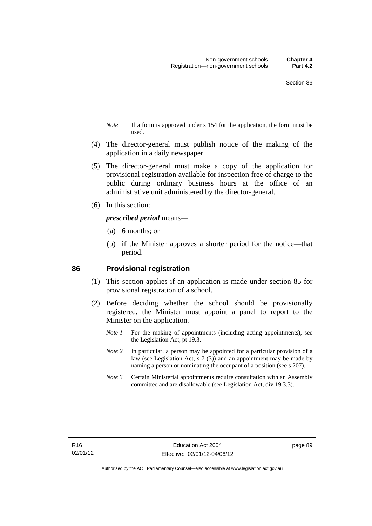- *Note* If a form is approved under s 154 for the application, the form must be used.
- (4) The director-general must publish notice of the making of the application in a daily newspaper.
- (5) The director-general must make a copy of the application for provisional registration available for inspection free of charge to the public during ordinary business hours at the office of an administrative unit administered by the director-general.
- (6) In this section:

#### *prescribed period* means—

- (a) 6 months; or
- (b) if the Minister approves a shorter period for the notice—that period.

#### **86 Provisional registration**

- (1) This section applies if an application is made under section 85 for provisional registration of a school.
- (2) Before deciding whether the school should be provisionally registered, the Minister must appoint a panel to report to the Minister on the application.
	- *Note 1* For the making of appointments (including acting appointments), see the Legislation Act, pt 19.3.
	- *Note 2* In particular, a person may be appointed for a particular provision of a law (see Legislation Act, s 7 (3)) and an appointment may be made by naming a person or nominating the occupant of a position (see s 207).
	- *Note 3* Certain Ministerial appointments require consultation with an Assembly committee and are disallowable (see Legislation Act, div 19.3.3).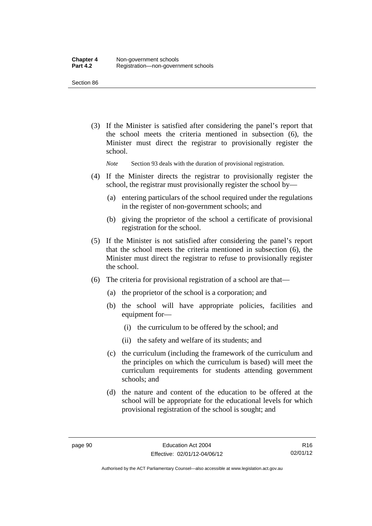Section 86

 (3) If the Minister is satisfied after considering the panel's report that the school meets the criteria mentioned in subsection (6), the Minister must direct the registrar to provisionally register the school.

*Note* Section 93 deals with the duration of provisional registration.

- (4) If the Minister directs the registrar to provisionally register the school, the registrar must provisionally register the school by—
	- (a) entering particulars of the school required under the regulations in the register of non-government schools; and
	- (b) giving the proprietor of the school a certificate of provisional registration for the school.
- (5) If the Minister is not satisfied after considering the panel's report that the school meets the criteria mentioned in subsection (6), the Minister must direct the registrar to refuse to provisionally register the school.
- (6) The criteria for provisional registration of a school are that—
	- (a) the proprietor of the school is a corporation; and
	- (b) the school will have appropriate policies, facilities and equipment for-
		- (i) the curriculum to be offered by the school; and
		- (ii) the safety and welfare of its students; and
	- (c) the curriculum (including the framework of the curriculum and the principles on which the curriculum is based) will meet the curriculum requirements for students attending government schools; and
	- (d) the nature and content of the education to be offered at the school will be appropriate for the educational levels for which provisional registration of the school is sought; and

Authorised by the ACT Parliamentary Counsel—also accessible at www.legislation.act.gov.au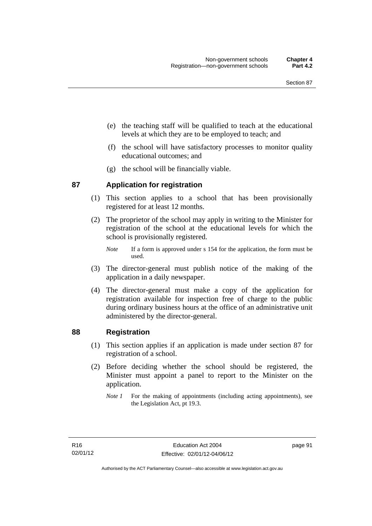- (e) the teaching staff will be qualified to teach at the educational levels at which they are to be employed to teach; and
- (f) the school will have satisfactory processes to monitor quality educational outcomes; and
- (g) the school will be financially viable.

#### **87 Application for registration**

- (1) This section applies to a school that has been provisionally registered for at least 12 months.
- (2) The proprietor of the school may apply in writing to the Minister for registration of the school at the educational levels for which the school is provisionally registered.
	- *Note* If a form is approved under s 154 for the application, the form must be used.
- (3) The director-general must publish notice of the making of the application in a daily newspaper.
- (4) The director-general must make a copy of the application for registration available for inspection free of charge to the public during ordinary business hours at the office of an administrative unit administered by the director-general.

#### **88 Registration**

- (1) This section applies if an application is made under section 87 for registration of a school.
- (2) Before deciding whether the school should be registered, the Minister must appoint a panel to report to the Minister on the application.
	- *Note 1* For the making of appointments (including acting appointments), see the Legislation Act, pt 19.3.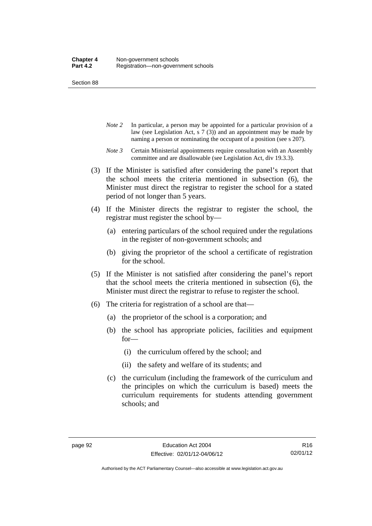Section 88

- *Note 2* In particular, a person may be appointed for a particular provision of a law (see Legislation Act, s 7 (3)) and an appointment may be made by naming a person or nominating the occupant of a position (see s 207).
- *Note 3* Certain Ministerial appointments require consultation with an Assembly committee and are disallowable (see Legislation Act, div 19.3.3).
- (3) If the Minister is satisfied after considering the panel's report that the school meets the criteria mentioned in subsection (6), the Minister must direct the registrar to register the school for a stated period of not longer than 5 years.
- (4) If the Minister directs the registrar to register the school, the registrar must register the school by—
	- (a) entering particulars of the school required under the regulations in the register of non-government schools; and
	- (b) giving the proprietor of the school a certificate of registration for the school.
- (5) If the Minister is not satisfied after considering the panel's report that the school meets the criteria mentioned in subsection (6), the Minister must direct the registrar to refuse to register the school.
- (6) The criteria for registration of a school are that—
	- (a) the proprietor of the school is a corporation; and
	- (b) the school has appropriate policies, facilities and equipment for—
		- (i) the curriculum offered by the school; and
		- (ii) the safety and welfare of its students; and
	- (c) the curriculum (including the framework of the curriculum and the principles on which the curriculum is based) meets the curriculum requirements for students attending government schools; and

Authorised by the ACT Parliamentary Counsel—also accessible at www.legislation.act.gov.au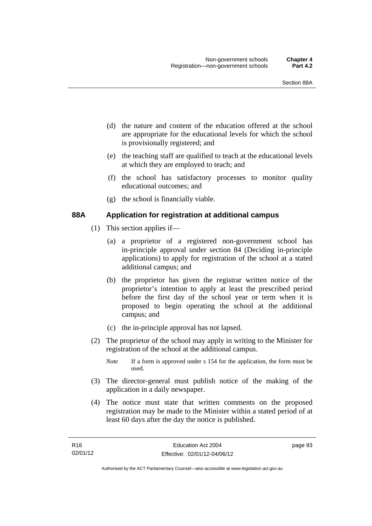- (d) the nature and content of the education offered at the school are appropriate for the educational levels for which the school is provisionally registered; and
- (e) the teaching staff are qualified to teach at the educational levels at which they are employed to teach; and
- (f) the school has satisfactory processes to monitor quality educational outcomes; and
- (g) the school is financially viable.

#### **88A Application for registration at additional campus**

- (1) This section applies if—
	- (a) a proprietor of a registered non-government school has in-principle approval under section 84 (Deciding in-principle applications) to apply for registration of the school at a stated additional campus; and
	- (b) the proprietor has given the registrar written notice of the proprietor's intention to apply at least the prescribed period before the first day of the school year or term when it is proposed to begin operating the school at the additional campus; and
	- (c) the in-principle approval has not lapsed.
- (2) The proprietor of the school may apply in writing to the Minister for registration of the school at the additional campus.
	- *Note* If a form is approved under s 154 for the application, the form must be used.
- (3) The director-general must publish notice of the making of the application in a daily newspaper.
- (4) The notice must state that written comments on the proposed registration may be made to the Minister within a stated period of at least 60 days after the day the notice is published.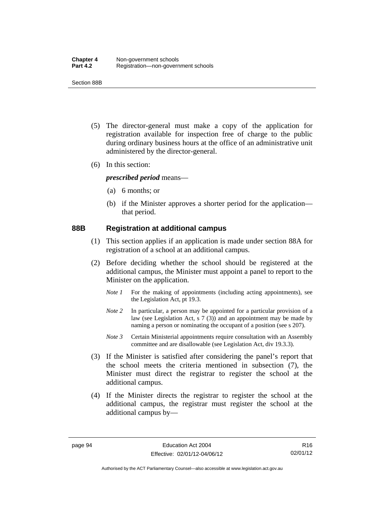Section 88B

- (5) The director-general must make a copy of the application for registration available for inspection free of charge to the public during ordinary business hours at the office of an administrative unit administered by the director-general.
- (6) In this section:

*prescribed period* means—

- (a) 6 months; or
- (b) if the Minister approves a shorter period for the application that period.

#### **88B Registration at additional campus**

- (1) This section applies if an application is made under section 88A for registration of a school at an additional campus.
- (2) Before deciding whether the school should be registered at the additional campus, the Minister must appoint a panel to report to the Minister on the application.
	- *Note 1* For the making of appointments (including acting appointments), see the Legislation Act, pt 19.3.
	- *Note 2* In particular, a person may be appointed for a particular provision of a law (see Legislation Act, s 7 (3)) and an appointment may be made by naming a person or nominating the occupant of a position (see s 207).
	- *Note 3* Certain Ministerial appointments require consultation with an Assembly committee and are disallowable (see Legislation Act, div 19.3.3).
- (3) If the Minister is satisfied after considering the panel's report that the school meets the criteria mentioned in subsection (7), the Minister must direct the registrar to register the school at the additional campus.
- (4) If the Minister directs the registrar to register the school at the additional campus, the registrar must register the school at the additional campus by—

Authorised by the ACT Parliamentary Counsel—also accessible at www.legislation.act.gov.au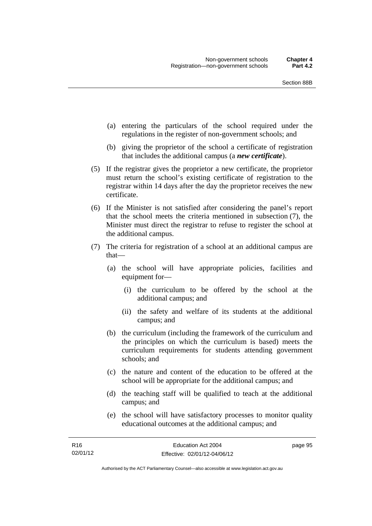- (a) entering the particulars of the school required under the regulations in the register of non-government schools; and
- (b) giving the proprietor of the school a certificate of registration that includes the additional campus (a *new certificate*).
- (5) If the registrar gives the proprietor a new certificate, the proprietor must return the school's existing certificate of registration to the registrar within 14 days after the day the proprietor receives the new certificate.
- (6) If the Minister is not satisfied after considering the panel's report that the school meets the criteria mentioned in subsection (7), the Minister must direct the registrar to refuse to register the school at the additional campus.
- (7) The criteria for registration of a school at an additional campus are that—
	- (a) the school will have appropriate policies, facilities and equipment for—
		- (i) the curriculum to be offered by the school at the additional campus; and
		- (ii) the safety and welfare of its students at the additional campus; and
	- (b) the curriculum (including the framework of the curriculum and the principles on which the curriculum is based) meets the curriculum requirements for students attending government schools; and
	- (c) the nature and content of the education to be offered at the school will be appropriate for the additional campus; and
	- (d) the teaching staff will be qualified to teach at the additional campus; and
	- (e) the school will have satisfactory processes to monitor quality educational outcomes at the additional campus; and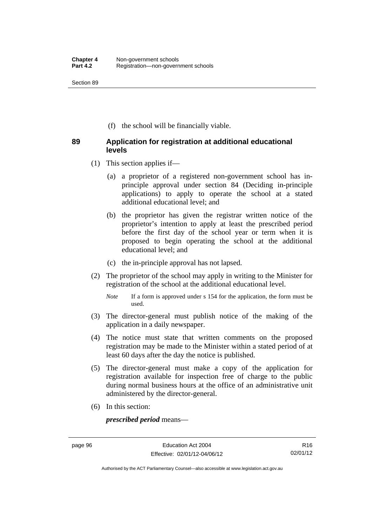Section 89

(f) the school will be financially viable.

### **89 Application for registration at additional educational levels**

- (1) This section applies if—
	- (a) a proprietor of a registered non-government school has inprinciple approval under section 84 (Deciding in-principle applications) to apply to operate the school at a stated additional educational level; and
	- (b) the proprietor has given the registrar written notice of the proprietor's intention to apply at least the prescribed period before the first day of the school year or term when it is proposed to begin operating the school at the additional educational level; and
	- (c) the in-principle approval has not lapsed.
- (2) The proprietor of the school may apply in writing to the Minister for registration of the school at the additional educational level.
	- *Note* If a form is approved under s 154 for the application, the form must be used.
- (3) The director-general must publish notice of the making of the application in a daily newspaper.
- (4) The notice must state that written comments on the proposed registration may be made to the Minister within a stated period of at least 60 days after the day the notice is published.
- (5) The director-general must make a copy of the application for registration available for inspection free of charge to the public during normal business hours at the office of an administrative unit administered by the director-general.
- (6) In this section:

*prescribed period* means—

Authorised by the ACT Parliamentary Counsel—also accessible at www.legislation.act.gov.au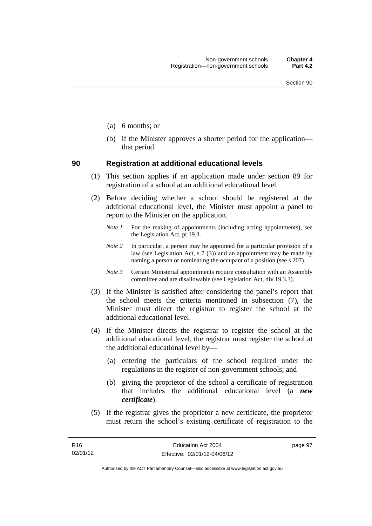- (a) 6 months; or
- (b) if the Minister approves a shorter period for the application that period.

#### **90 Registration at additional educational levels**

- (1) This section applies if an application made under section 89 for registration of a school at an additional educational level.
- (2) Before deciding whether a school should be registered at the additional educational level, the Minister must appoint a panel to report to the Minister on the application.
	- *Note 1* For the making of appointments (including acting appointments), see the Legislation Act, pt 19.3.
	- *Note 2* In particular, a person may be appointed for a particular provision of a law (see Legislation Act, s  $7(3)$ ) and an appointment may be made by naming a person or nominating the occupant of a position (see s 207).
	- *Note 3* Certain Ministerial appointments require consultation with an Assembly committee and are disallowable (see Legislation Act, div 19.3.3).
- (3) If the Minister is satisfied after considering the panel's report that the school meets the criteria mentioned in subsection (7), the Minister must direct the registrar to register the school at the additional educational level.
- (4) If the Minister directs the registrar to register the school at the additional educational level, the registrar must register the school at the additional educational level by—
	- (a) entering the particulars of the school required under the regulations in the register of non-government schools; and
	- (b) giving the proprietor of the school a certificate of registration that includes the additional educational level (a *new certificate*).
- (5) If the registrar gives the proprietor a new certificate, the proprietor must return the school's existing certificate of registration to the

page 97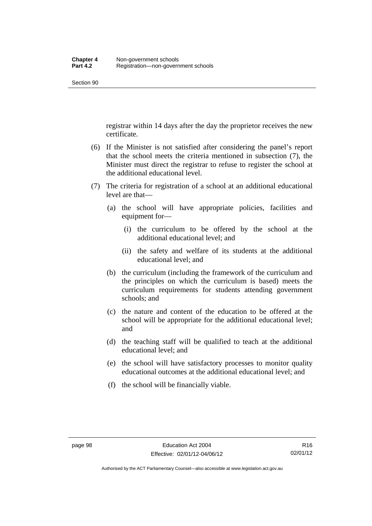registrar within 14 days after the day the proprietor receives the new certificate.

- (6) If the Minister is not satisfied after considering the panel's report that the school meets the criteria mentioned in subsection (7), the Minister must direct the registrar to refuse to register the school at the additional educational level.
- (7) The criteria for registration of a school at an additional educational level are that—
	- (a) the school will have appropriate policies, facilities and equipment for—
		- (i) the curriculum to be offered by the school at the additional educational level; and
		- (ii) the safety and welfare of its students at the additional educational level; and
	- (b) the curriculum (including the framework of the curriculum and the principles on which the curriculum is based) meets the curriculum requirements for students attending government schools; and
	- (c) the nature and content of the education to be offered at the school will be appropriate for the additional educational level; and
	- (d) the teaching staff will be qualified to teach at the additional educational level; and
	- (e) the school will have satisfactory processes to monitor quality educational outcomes at the additional educational level; and
	- (f) the school will be financially viable.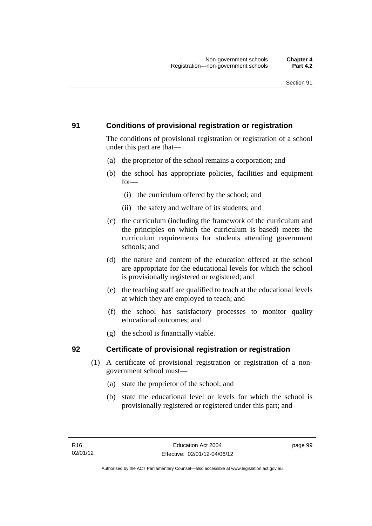# **91 Conditions of provisional registration or registration**

The conditions of provisional registration or registration of a school under this part are that—

- (a) the proprietor of the school remains a corporation; and
- (b) the school has appropriate policies, facilities and equipment for—
	- (i) the curriculum offered by the school; and
	- (ii) the safety and welfare of its students; and
- (c) the curriculum (including the framework of the curriculum and the principles on which the curriculum is based) meets the curriculum requirements for students attending government schools; and
- (d) the nature and content of the education offered at the school are appropriate for the educational levels for which the school is provisionally registered or registered; and
- (e) the teaching staff are qualified to teach at the educational levels at which they are employed to teach; and
- (f) the school has satisfactory processes to monitor quality educational outcomes; and
- (g) the school is financially viable.

# **92 Certificate of provisional registration or registration**

- (1) A certificate of provisional registration or registration of a nongovernment school must—
	- (a) state the proprietor of the school; and
	- (b) state the educational level or levels for which the school is provisionally registered or registered under this part; and

page 99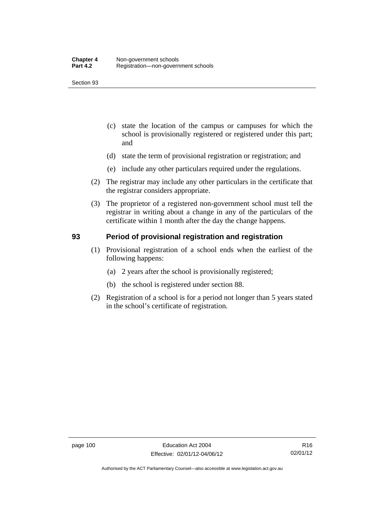- (c) state the location of the campus or campuses for which the school is provisionally registered or registered under this part; and
- (d) state the term of provisional registration or registration; and
- (e) include any other particulars required under the regulations.
- (2) The registrar may include any other particulars in the certificate that the registrar considers appropriate.
- (3) The proprietor of a registered non-government school must tell the registrar in writing about a change in any of the particulars of the certificate within 1 month after the day the change happens.

# **93 Period of provisional registration and registration**

- (1) Provisional registration of a school ends when the earliest of the following happens:
	- (a) 2 years after the school is provisionally registered;
	- (b) the school is registered under section 88.
- (2) Registration of a school is for a period not longer than 5 years stated in the school's certificate of registration.

Authorised by the ACT Parliamentary Counsel—also accessible at www.legislation.act.gov.au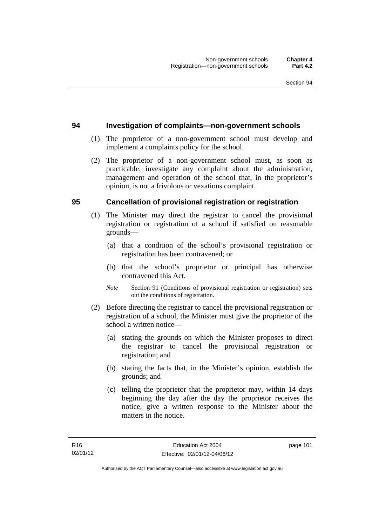#### **94 Investigation of complaints—non-government schools**

- (1) The proprietor of a non-government school must develop and implement a complaints policy for the school.
- (2) The proprietor of a non-government school must, as soon as practicable, investigate any complaint about the administration, management and operation of the school that, in the proprietor's opinion, is not a frivolous or vexatious complaint.

#### **95 Cancellation of provisional registration or registration**

- (1) The Minister may direct the registrar to cancel the provisional registration or registration of a school if satisfied on reasonable grounds—
	- (a) that a condition of the school's provisional registration or registration has been contravened; or
	- (b) that the school's proprietor or principal has otherwise contravened this Act.
	- *Note* Section 91 (Conditions of provisional registration or registration) sets out the conditions of registration.
- (2) Before directing the registrar to cancel the provisional registration or registration of a school, the Minister must give the proprietor of the school a written notice—
	- (a) stating the grounds on which the Minister proposes to direct the registrar to cancel the provisional registration or registration; and
	- (b) stating the facts that, in the Minister's opinion, establish the grounds; and
	- (c) telling the proprietor that the proprietor may, within 14 days beginning the day after the day the proprietor receives the notice, give a written response to the Minister about the matters in the notice.

page 101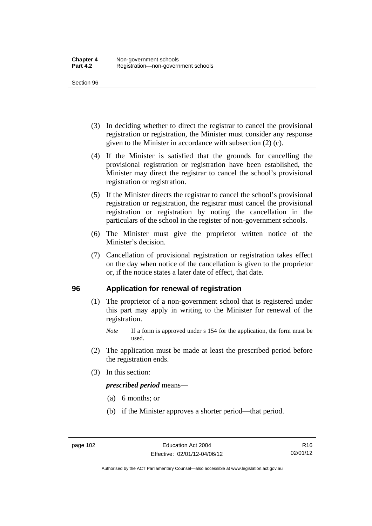- (3) In deciding whether to direct the registrar to cancel the provisional registration or registration, the Minister must consider any response given to the Minister in accordance with subsection (2) (c).
- (4) If the Minister is satisfied that the grounds for cancelling the provisional registration or registration have been established, the Minister may direct the registrar to cancel the school's provisional registration or registration.
- (5) If the Minister directs the registrar to cancel the school's provisional registration or registration, the registrar must cancel the provisional registration or registration by noting the cancellation in the particulars of the school in the register of non-government schools.
- (6) The Minister must give the proprietor written notice of the Minister's decision.
- (7) Cancellation of provisional registration or registration takes effect on the day when notice of the cancellation is given to the proprietor or, if the notice states a later date of effect, that date.

### **96 Application for renewal of registration**

- (1) The proprietor of a non-government school that is registered under this part may apply in writing to the Minister for renewal of the registration.
	- *Note* If a form is approved under s 154 for the application, the form must be used.
- (2) The application must be made at least the prescribed period before the registration ends.
- (3) In this section:

*prescribed period* means—

- (a) 6 months; or
- (b) if the Minister approves a shorter period—that period.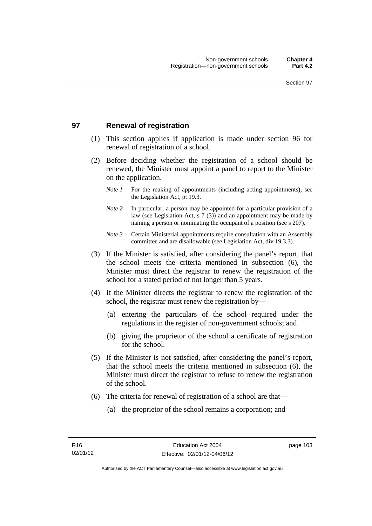# **97 Renewal of registration**

- (1) This section applies if application is made under section 96 for renewal of registration of a school.
- (2) Before deciding whether the registration of a school should be renewed, the Minister must appoint a panel to report to the Minister on the application.
	- *Note 1* For the making of appointments (including acting appointments), see the Legislation Act, pt 19.3.
	- *Note 2* In particular, a person may be appointed for a particular provision of a law (see Legislation Act, s 7 (3)) and an appointment may be made by naming a person or nominating the occupant of a position (see s 207).
	- *Note 3* Certain Ministerial appointments require consultation with an Assembly committee and are disallowable (see Legislation Act, div 19.3.3).
- (3) If the Minister is satisfied, after considering the panel's report, that the school meets the criteria mentioned in subsection (6), the Minister must direct the registrar to renew the registration of the school for a stated period of not longer than 5 years.
- (4) If the Minister directs the registrar to renew the registration of the school, the registrar must renew the registration by—
	- (a) entering the particulars of the school required under the regulations in the register of non-government schools; and
	- (b) giving the proprietor of the school a certificate of registration for the school.
- (5) If the Minister is not satisfied, after considering the panel's report, that the school meets the criteria mentioned in subsection (6), the Minister must direct the registrar to refuse to renew the registration of the school.
- (6) The criteria for renewal of registration of a school are that—
	- (a) the proprietor of the school remains a corporation; and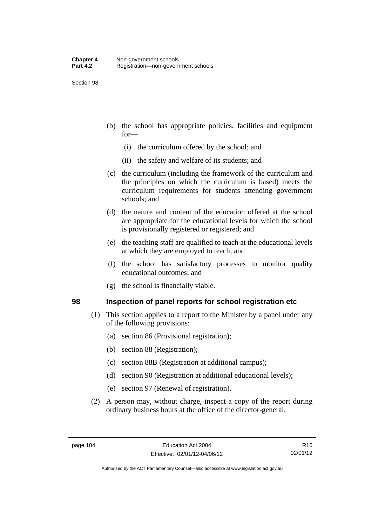- (b) the school has appropriate policies, facilities and equipment for—
	- (i) the curriculum offered by the school; and
	- (ii) the safety and welfare of its students; and
- (c) the curriculum (including the framework of the curriculum and the principles on which the curriculum is based) meets the curriculum requirements for students attending government schools; and
- (d) the nature and content of the education offered at the school are appropriate for the educational levels for which the school is provisionally registered or registered; and
- (e) the teaching staff are qualified to teach at the educational levels at which they are employed to teach; and
- (f) the school has satisfactory processes to monitor quality educational outcomes; and
- (g) the school is financially viable.

### **98 Inspection of panel reports for school registration etc**

- (1) This section applies to a report to the Minister by a panel under any of the following provisions:
	- (a) section 86 (Provisional registration);
	- (b) section 88 (Registration);
	- (c) section 88B (Registration at additional campus);
	- (d) section 90 (Registration at additional educational levels);
	- (e) section 97 (Renewal of registration).
- (2) A person may, without charge, inspect a copy of the report during ordinary business hours at the office of the director-general.

R16 02/01/12

Authorised by the ACT Parliamentary Counsel—also accessible at www.legislation.act.gov.au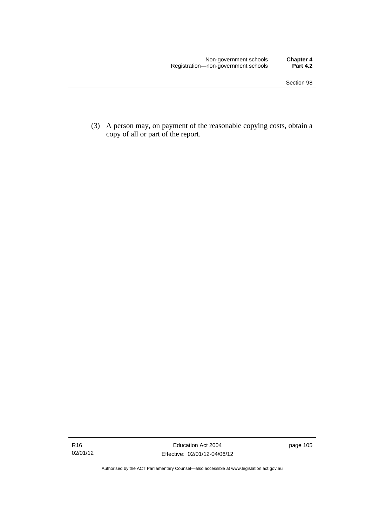(3) A person may, on payment of the reasonable copying costs, obtain a copy of all or part of the report.

Authorised by the ACT Parliamentary Counsel—also accessible at www.legislation.act.gov.au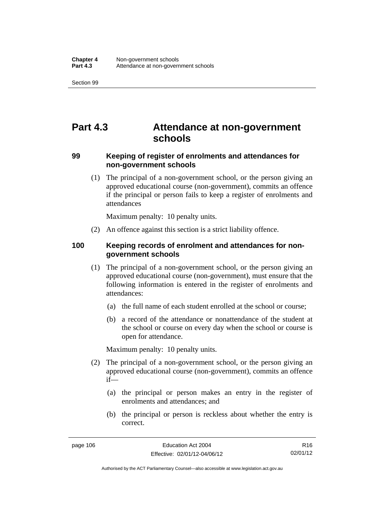# **Part 4.3 Attendance at non-government schools**

# **99 Keeping of register of enrolments and attendances for non-government schools**

 (1) The principal of a non-government school, or the person giving an approved educational course (non-government), commits an offence if the principal or person fails to keep a register of enrolments and attendances

Maximum penalty: 10 penalty units.

(2) An offence against this section is a strict liability offence.

### **100 Keeping records of enrolment and attendances for nongovernment schools**

- (1) The principal of a non-government school, or the person giving an approved educational course (non-government), must ensure that the following information is entered in the register of enrolments and attendances:
	- (a) the full name of each student enrolled at the school or course;
	- (b) a record of the attendance or nonattendance of the student at the school or course on every day when the school or course is open for attendance.

Maximum penalty: 10 penalty units.

- (2) The principal of a non-government school, or the person giving an approved educational course (non-government), commits an offence if—
	- (a) the principal or person makes an entry in the register of enrolments and attendances; and
	- (b) the principal or person is reckless about whether the entry is correct.

R16 02/01/12

Authorised by the ACT Parliamentary Counsel—also accessible at www.legislation.act.gov.au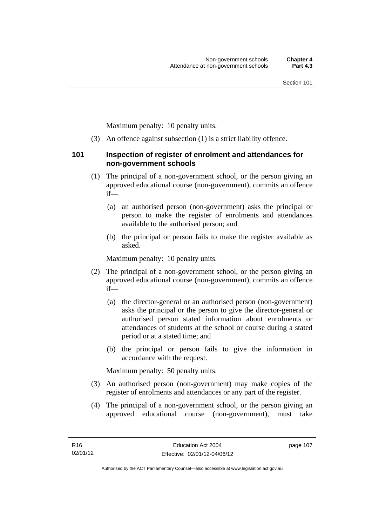Maximum penalty: 10 penalty units.

(3) An offence against subsection (1) is a strict liability offence.

### **101 Inspection of register of enrolment and attendances for non-government schools**

- (1) The principal of a non-government school, or the person giving an approved educational course (non-government), commits an offence if—
	- (a) an authorised person (non-government) asks the principal or person to make the register of enrolments and attendances available to the authorised person; and
	- (b) the principal or person fails to make the register available as asked.

Maximum penalty: 10 penalty units.

- (2) The principal of a non-government school, or the person giving an approved educational course (non-government), commits an offence if—
	- (a) the director-general or an authorised person (non-government) asks the principal or the person to give the director-general or authorised person stated information about enrolments or attendances of students at the school or course during a stated period or at a stated time; and
	- (b) the principal or person fails to give the information in accordance with the request.

Maximum penalty: 50 penalty units.

- (3) An authorised person (non-government) may make copies of the register of enrolments and attendances or any part of the register.
- (4) The principal of a non-government school, or the person giving an approved educational course (non-government), must take

page 107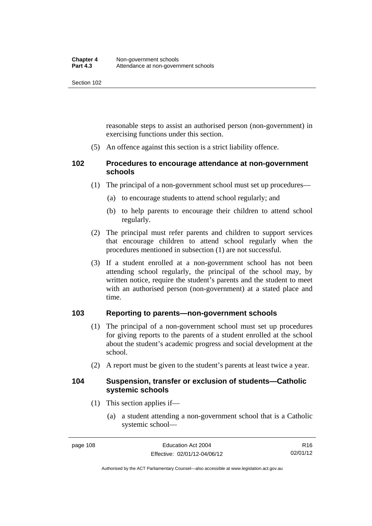reasonable steps to assist an authorised person (non-government) in exercising functions under this section.

(5) An offence against this section is a strict liability offence.

# **102 Procedures to encourage attendance at non-government schools**

- (1) The principal of a non-government school must set up procedures—
	- (a) to encourage students to attend school regularly; and
	- (b) to help parents to encourage their children to attend school regularly.
- (2) The principal must refer parents and children to support services that encourage children to attend school regularly when the procedures mentioned in subsection (1) are not successful.
- (3) If a student enrolled at a non-government school has not been attending school regularly, the principal of the school may, by written notice, require the student's parents and the student to meet with an authorised person (non-government) at a stated place and time.

# **103 Reporting to parents—non-government schools**

- (1) The principal of a non-government school must set up procedures for giving reports to the parents of a student enrolled at the school about the student's academic progress and social development at the school.
- (2) A report must be given to the student's parents at least twice a year.

### **104 Suspension, transfer or exclusion of students—Catholic systemic schools**

- (1) This section applies if—
	- (a) a student attending a non-government school that is a Catholic systemic school—

Authorised by the ACT Parliamentary Counsel—also accessible at www.legislation.act.gov.au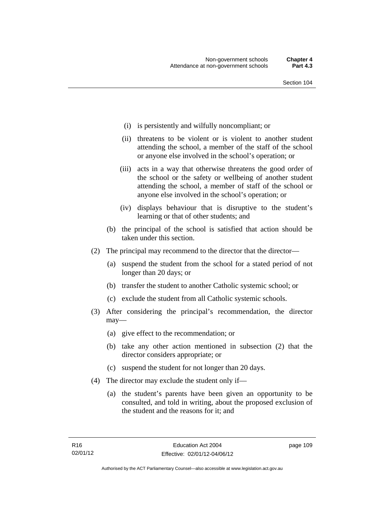- (i) is persistently and wilfully noncompliant; or
- (ii) threatens to be violent or is violent to another student attending the school, a member of the staff of the school or anyone else involved in the school's operation; or
- (iii) acts in a way that otherwise threatens the good order of the school or the safety or wellbeing of another student attending the school, a member of staff of the school or anyone else involved in the school's operation; or
- (iv) displays behaviour that is disruptive to the student's learning or that of other students; and
- (b) the principal of the school is satisfied that action should be taken under this section.
- (2) The principal may recommend to the director that the director—
	- (a) suspend the student from the school for a stated period of not longer than 20 days; or
	- (b) transfer the student to another Catholic systemic school; or
	- (c) exclude the student from all Catholic systemic schools.
- (3) After considering the principal's recommendation, the director may—
	- (a) give effect to the recommendation; or
	- (b) take any other action mentioned in subsection (2) that the director considers appropriate; or
	- (c) suspend the student for not longer than 20 days.
- (4) The director may exclude the student only if—
	- (a) the student's parents have been given an opportunity to be consulted, and told in writing, about the proposed exclusion of the student and the reasons for it; and

page 109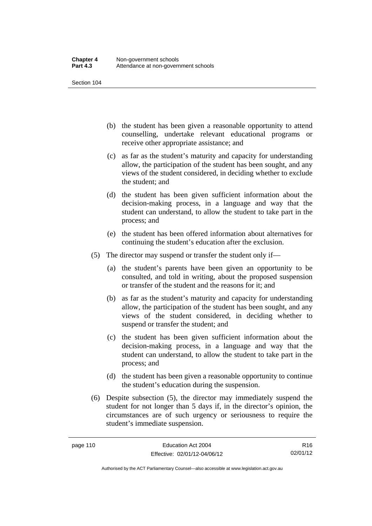- (b) the student has been given a reasonable opportunity to attend counselling, undertake relevant educational programs or receive other appropriate assistance; and
- (c) as far as the student's maturity and capacity for understanding allow, the participation of the student has been sought, and any views of the student considered, in deciding whether to exclude the student; and
- (d) the student has been given sufficient information about the decision-making process, in a language and way that the student can understand, to allow the student to take part in the process; and
- (e) the student has been offered information about alternatives for continuing the student's education after the exclusion.
- (5) The director may suspend or transfer the student only if—
	- (a) the student's parents have been given an opportunity to be consulted, and told in writing, about the proposed suspension or transfer of the student and the reasons for it; and
	- (b) as far as the student's maturity and capacity for understanding allow, the participation of the student has been sought, and any views of the student considered, in deciding whether to suspend or transfer the student; and
	- (c) the student has been given sufficient information about the decision-making process, in a language and way that the student can understand, to allow the student to take part in the process; and
	- (d) the student has been given a reasonable opportunity to continue the student's education during the suspension.
- (6) Despite subsection (5), the director may immediately suspend the student for not longer than 5 days if, in the director's opinion, the circumstances are of such urgency or seriousness to require the student's immediate suspension.

R16 02/01/12

Authorised by the ACT Parliamentary Counsel—also accessible at www.legislation.act.gov.au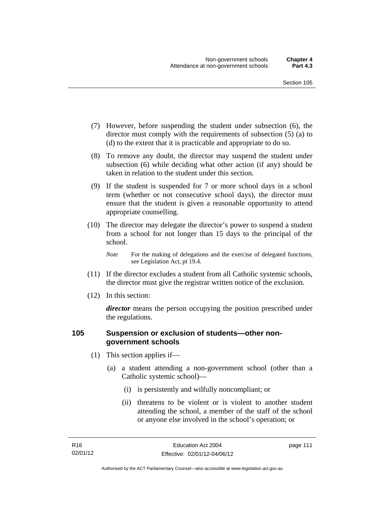- (7) However, before suspending the student under subsection (6), the director must comply with the requirements of subsection (5) (a) to (d) to the extent that it is practicable and appropriate to do so.
- (8) To remove any doubt, the director may suspend the student under subsection (6) while deciding what other action (if any) should be taken in relation to the student under this section.
- (9) If the student is suspended for 7 or more school days in a school term (whether or not consecutive school days), the director must ensure that the student is given a reasonable opportunity to attend appropriate counselling.
- (10) The director may delegate the director's power to suspend a student from a school for not longer than 15 days to the principal of the school.

*Note* For the making of delegations and the exercise of delegated functions, see Legislation Act, pt 19.4.

- (11) If the director excludes a student from all Catholic systemic schools, the director must give the registrar written notice of the exclusion.
- (12) In this section:

*director* means the person occupying the position prescribed under the regulations.

# **105 Suspension or exclusion of students—other nongovernment schools**

- (1) This section applies if—
	- (a) a student attending a non-government school (other than a Catholic systemic school)—
		- (i) is persistently and wilfully noncompliant; or
		- (ii) threatens to be violent or is violent to another student attending the school, a member of the staff of the school or anyone else involved in the school's operation; or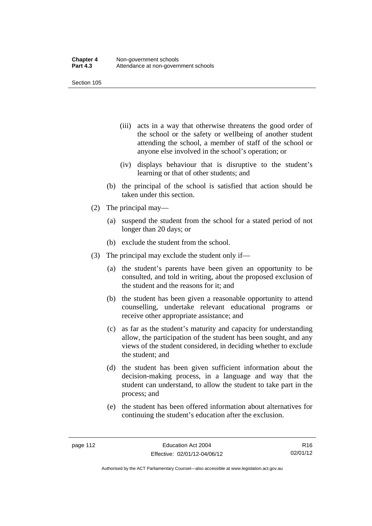- (iii) acts in a way that otherwise threatens the good order of the school or the safety or wellbeing of another student attending the school, a member of staff of the school or anyone else involved in the school's operation; or
- (iv) displays behaviour that is disruptive to the student's learning or that of other students; and
- (b) the principal of the school is satisfied that action should be taken under this section.
- (2) The principal may—
	- (a) suspend the student from the school for a stated period of not longer than 20 days; or
	- (b) exclude the student from the school.
- (3) The principal may exclude the student only if—
	- (a) the student's parents have been given an opportunity to be consulted, and told in writing, about the proposed exclusion of the student and the reasons for it; and
	- (b) the student has been given a reasonable opportunity to attend counselling, undertake relevant educational programs or receive other appropriate assistance; and
	- (c) as far as the student's maturity and capacity for understanding allow, the participation of the student has been sought, and any views of the student considered, in deciding whether to exclude the student; and
	- (d) the student has been given sufficient information about the decision-making process, in a language and way that the student can understand, to allow the student to take part in the process; and
	- (e) the student has been offered information about alternatives for continuing the student's education after the exclusion.

R16 02/01/12

Authorised by the ACT Parliamentary Counsel—also accessible at www.legislation.act.gov.au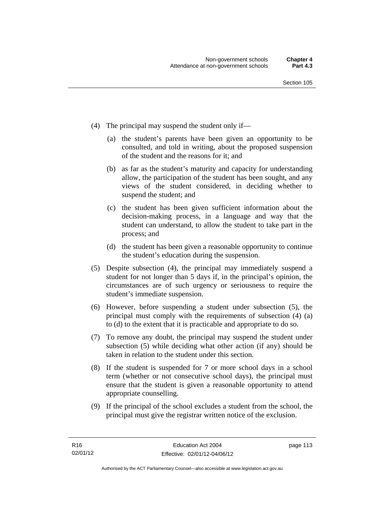- (4) The principal may suspend the student only if—
	- (a) the student's parents have been given an opportunity to be consulted, and told in writing, about the proposed suspension of the student and the reasons for it; and
	- (b) as far as the student's maturity and capacity for understanding allow, the participation of the student has been sought, and any views of the student considered, in deciding whether to suspend the student; and
	- (c) the student has been given sufficient information about the decision-making process, in a language and way that the student can understand, to allow the student to take part in the process; and
	- (d) the student has been given a reasonable opportunity to continue the student's education during the suspension.
- (5) Despite subsection (4), the principal may immediately suspend a student for not longer than 5 days if, in the principal's opinion, the circumstances are of such urgency or seriousness to require the student's immediate suspension.
- (6) However, before suspending a student under subsection (5), the principal must comply with the requirements of subsection (4) (a) to (d) to the extent that it is practicable and appropriate to do so.
- (7) To remove any doubt, the principal may suspend the student under subsection (5) while deciding what other action (if any) should be taken in relation to the student under this section.
- (8) If the student is suspended for 7 or more school days in a school term (whether or not consecutive school days), the principal must ensure that the student is given a reasonable opportunity to attend appropriate counselling.
- (9) If the principal of the school excludes a student from the school, the principal must give the registrar written notice of the exclusion.

page 113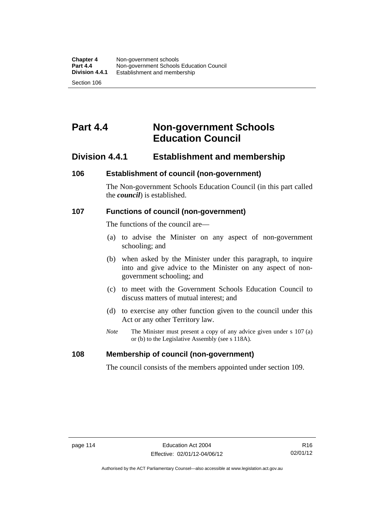# **Part 4.4 Non-government Schools Education Council**

# **Division 4.4.1 Establishment and membership**

#### **106 Establishment of council (non-government)**

The Non-government Schools Education Council (in this part called the *council*) is established.

#### **107 Functions of council (non-government)**

The functions of the council are—

- (a) to advise the Minister on any aspect of non-government schooling; and
- (b) when asked by the Minister under this paragraph, to inquire into and give advice to the Minister on any aspect of nongovernment schooling; and
- (c) to meet with the Government Schools Education Council to discuss matters of mutual interest; and
- (d) to exercise any other function given to the council under this Act or any other Territory law.
- *Note* The Minister must present a copy of any advice given under s 107 (a) or (b) to the Legislative Assembly (see s 118A).

#### **108 Membership of council (non-government)**

The council consists of the members appointed under section 109.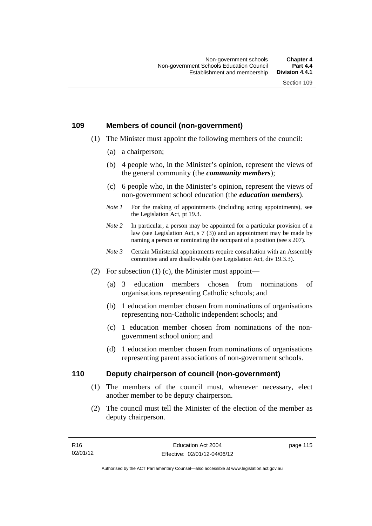### **109 Members of council (non-government)**

- (1) The Minister must appoint the following members of the council:
	- (a) a chairperson;
	- (b) 4 people who, in the Minister's opinion, represent the views of the general community (the *community members*);
	- (c) 6 people who, in the Minister's opinion, represent the views of non-government school education (the *education members*).
	- *Note 1* For the making of appointments (including acting appointments), see the Legislation Act, pt 19.3.
	- *Note* 2 In particular, a person may be appointed for a particular provision of a law (see Legislation Act, s 7 (3)) and an appointment may be made by naming a person or nominating the occupant of a position (see s 207).
	- *Note 3* Certain Ministerial appointments require consultation with an Assembly committee and are disallowable (see Legislation Act, div 19.3.3).
- (2) For subsection  $(1)$  (c), the Minister must appoint—
	- (a) 3 education members chosen from nominations of organisations representing Catholic schools; and
	- (b) 1 education member chosen from nominations of organisations representing non-Catholic independent schools; and
	- (c) 1 education member chosen from nominations of the nongovernment school union; and
	- (d) 1 education member chosen from nominations of organisations representing parent associations of non-government schools.

### **110 Deputy chairperson of council (non-government)**

- (1) The members of the council must, whenever necessary, elect another member to be deputy chairperson.
- (2) The council must tell the Minister of the election of the member as deputy chairperson.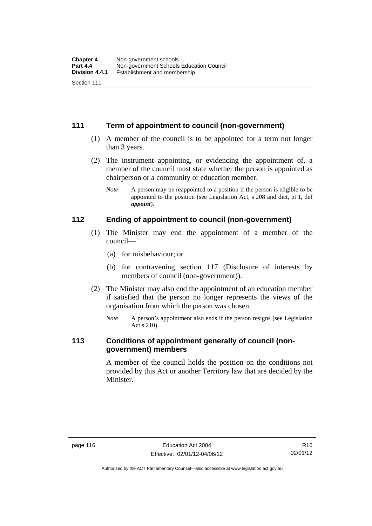# **111 Term of appointment to council (non-government)**

- (1) A member of the council is to be appointed for a term not longer than 3 years.
- (2) The instrument appointing, or evidencing the appointment of, a member of the council must state whether the person is appointed as chairperson or a community or education member.
	- *Note* A person may be reappointed to a position if the person is eligible to be appointed to the position (see Legislation Act, s 208 and dict, pt 1, def *appoint*).

#### **112 Ending of appointment to council (non-government)**

- (1) The Minister may end the appointment of a member of the council—
	- (a) for misbehaviour; or
	- (b) for contravening section 117 (Disclosure of interests by members of council (non-government)).
- (2) The Minister may also end the appointment of an education member if satisfied that the person no longer represents the views of the organisation from which the person was chosen.
	- *Note* A person's appointment also ends if the person resigns (see Legislation Act s 210).

# **113 Conditions of appointment generally of council (nongovernment) members**

A member of the council holds the position on the conditions not provided by this Act or another Territory law that are decided by the Minister.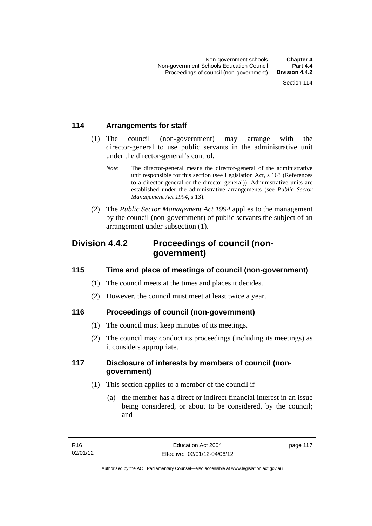# **114 Arrangements for staff**

- (1) The council (non-government) may arrange with the director-general to use public servants in the administrative unit under the director-general's control.
	- *Note* The director-general means the director-general of the administrative unit responsible for this section (see Legislation Act, s 163 (References to a director-general or the director-general)). Administrative units are established under the administrative arrangements (see *Public Sector Management Act 1994*, s 13).
- (2) The *Public Sector Management Act 1994* applies to the management by the council (non-government) of public servants the subject of an arrangement under subsection (1).

# **Division 4.4.2 Proceedings of council (nongovernment)**

# **115 Time and place of meetings of council (non-government)**

- (1) The council meets at the times and places it decides.
- (2) However, the council must meet at least twice a year.

# **116 Proceedings of council (non-government)**

- (1) The council must keep minutes of its meetings.
- (2) The council may conduct its proceedings (including its meetings) as it considers appropriate.

# **117 Disclosure of interests by members of council (nongovernment)**

- (1) This section applies to a member of the council if—
	- (a) the member has a direct or indirect financial interest in an issue being considered, or about to be considered, by the council; and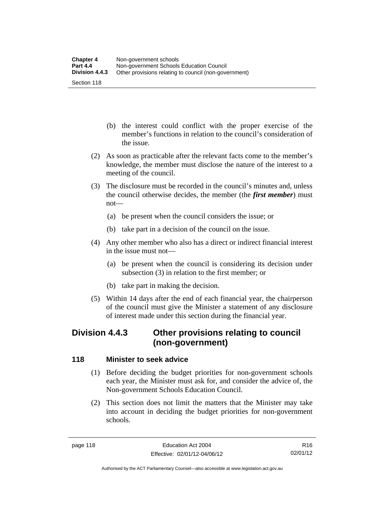- (b) the interest could conflict with the proper exercise of the member's functions in relation to the council's consideration of the issue.
- (2) As soon as practicable after the relevant facts come to the member's knowledge, the member must disclose the nature of the interest to a meeting of the council.
- (3) The disclosure must be recorded in the council's minutes and, unless the council otherwise decides, the member (the *first member*) must not—
	- (a) be present when the council considers the issue; or
	- (b) take part in a decision of the council on the issue.
- (4) Any other member who also has a direct or indirect financial interest in the issue must not—
	- (a) be present when the council is considering its decision under subsection (3) in relation to the first member; or
	- (b) take part in making the decision.
- (5) Within 14 days after the end of each financial year, the chairperson of the council must give the Minister a statement of any disclosure of interest made under this section during the financial year.

# **Division 4.4.3 Other provisions relating to council (non-government)**

# **118 Minister to seek advice**

- (1) Before deciding the budget priorities for non-government schools each year, the Minister must ask for, and consider the advice of, the Non-government Schools Education Council.
- (2) This section does not limit the matters that the Minister may take into account in deciding the budget priorities for non-government schools.

R16 02/01/12

Authorised by the ACT Parliamentary Counsel—also accessible at www.legislation.act.gov.au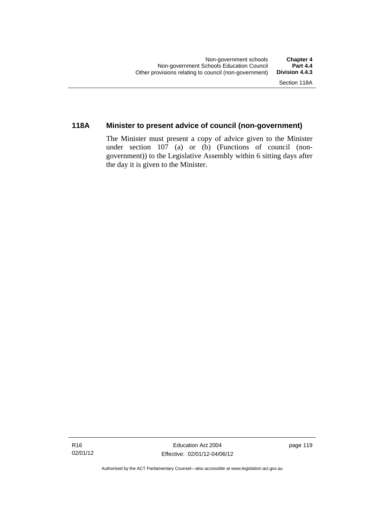# **118A Minister to present advice of council (non-government)**

The Minister must present a copy of advice given to the Minister under section 107 (a) or (b) (Functions of council (nongovernment)) to the Legislative Assembly within 6 sitting days after the day it is given to the Minister.

Authorised by the ACT Parliamentary Counsel—also accessible at www.legislation.act.gov.au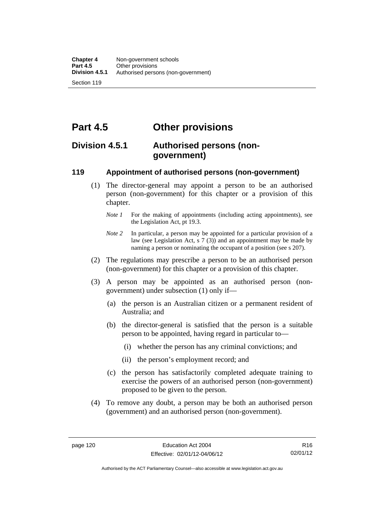**Part 4.5 Other provisions** 

# **Division 4.5.1 Authorised persons (nongovernment)**

# **119 Appointment of authorised persons (non-government)**

- (1) The director-general may appoint a person to be an authorised person (non-government) for this chapter or a provision of this chapter.
	- *Note 1* For the making of appointments (including acting appointments), see the Legislation Act, pt 19.3.
	- *Note 2* In particular, a person may be appointed for a particular provision of a law (see Legislation Act, s 7 (3)) and an appointment may be made by naming a person or nominating the occupant of a position (see s 207).
- (2) The regulations may prescribe a person to be an authorised person (non-government) for this chapter or a provision of this chapter.
- (3) A person may be appointed as an authorised person (nongovernment) under subsection (1) only if—
	- (a) the person is an Australian citizen or a permanent resident of Australia; and
	- (b) the director-general is satisfied that the person is a suitable person to be appointed, having regard in particular to—
		- (i) whether the person has any criminal convictions; and
		- (ii) the person's employment record; and
	- (c) the person has satisfactorily completed adequate training to exercise the powers of an authorised person (non-government) proposed to be given to the person.
- (4) To remove any doubt, a person may be both an authorised person (government) and an authorised person (non-government).

Authorised by the ACT Parliamentary Counsel—also accessible at www.legislation.act.gov.au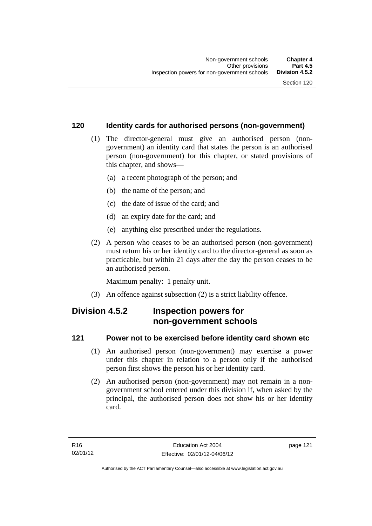# **120 Identity cards for authorised persons (non-government)**

- (1) The director-general must give an authorised person (nongovernment) an identity card that states the person is an authorised person (non-government) for this chapter, or stated provisions of this chapter, and shows—
	- (a) a recent photograph of the person; and
	- (b) the name of the person; and
	- (c) the date of issue of the card; and
	- (d) an expiry date for the card; and
	- (e) anything else prescribed under the regulations.
- (2) A person who ceases to be an authorised person (non-government) must return his or her identity card to the director-general as soon as practicable, but within 21 days after the day the person ceases to be an authorised person.

Maximum penalty: 1 penalty unit.

(3) An offence against subsection (2) is a strict liability offence.

# **Division 4.5.2 Inspection powers for non-government schools**

### **121 Power not to be exercised before identity card shown etc**

- (1) An authorised person (non-government) may exercise a power under this chapter in relation to a person only if the authorised person first shows the person his or her identity card.
- (2) An authorised person (non-government) may not remain in a nongovernment school entered under this division if, when asked by the principal, the authorised person does not show his or her identity card.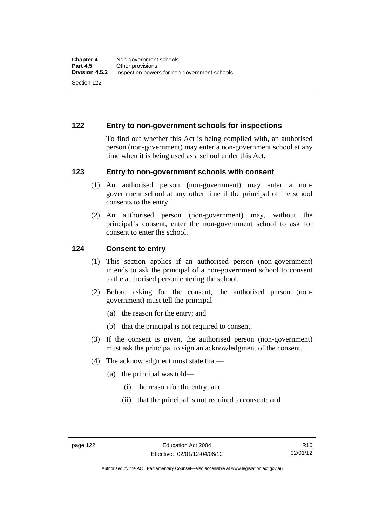# **122 Entry to non-government schools for inspections**

To find out whether this Act is being complied with, an authorised person (non-government) may enter a non-government school at any time when it is being used as a school under this Act.

### **123 Entry to non-government schools with consent**

- (1) An authorised person (non-government) may enter a nongovernment school at any other time if the principal of the school consents to the entry.
- (2) An authorised person (non-government) may, without the principal's consent, enter the non-government school to ask for consent to enter the school.

### **124 Consent to entry**

- (1) This section applies if an authorised person (non-government) intends to ask the principal of a non-government school to consent to the authorised person entering the school.
- (2) Before asking for the consent, the authorised person (nongovernment) must tell the principal—
	- (a) the reason for the entry; and
	- (b) that the principal is not required to consent.
- (3) If the consent is given, the authorised person (non-government) must ask the principal to sign an acknowledgment of the consent.
- (4) The acknowledgment must state that—
	- (a) the principal was told—
		- (i) the reason for the entry; and
		- (ii) that the principal is not required to consent; and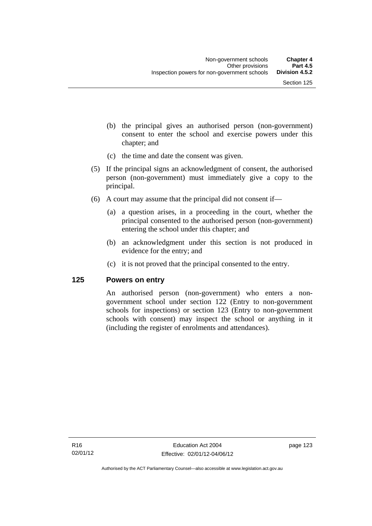- (b) the principal gives an authorised person (non-government) consent to enter the school and exercise powers under this chapter; and
- (c) the time and date the consent was given.
- (5) If the principal signs an acknowledgment of consent, the authorised person (non-government) must immediately give a copy to the principal.
- (6) A court may assume that the principal did not consent if—
	- (a) a question arises, in a proceeding in the court, whether the principal consented to the authorised person (non-government) entering the school under this chapter; and
	- (b) an acknowledgment under this section is not produced in evidence for the entry; and
	- (c) it is not proved that the principal consented to the entry.

#### **125 Powers on entry**

An authorised person (non-government) who enters a nongovernment school under section 122 (Entry to non-government schools for inspections) or section 123 (Entry to non-government schools with consent) may inspect the school or anything in it (including the register of enrolments and attendances).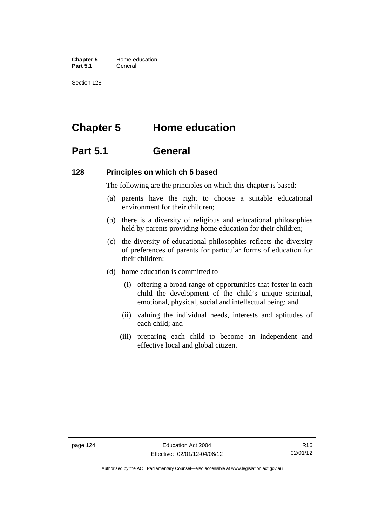**Chapter 5** Home education Part 5.1 **General** 

Section 128

# **Chapter 5 Home education**

# **Part 5.1 General**

### **128 Principles on which ch 5 based**

The following are the principles on which this chapter is based:

- (a) parents have the right to choose a suitable educational environment for their children;
- (b) there is a diversity of religious and educational philosophies held by parents providing home education for their children;
- (c) the diversity of educational philosophies reflects the diversity of preferences of parents for particular forms of education for their children;
- (d) home education is committed to—
	- (i) offering a broad range of opportunities that foster in each child the development of the child's unique spiritual, emotional, physical, social and intellectual being; and
	- (ii) valuing the individual needs, interests and aptitudes of each child; and
	- (iii) preparing each child to become an independent and effective local and global citizen.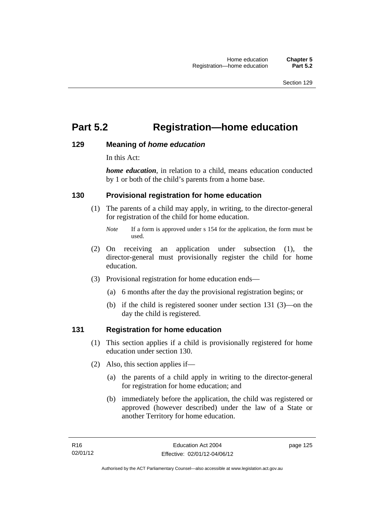# **Part 5.2 Registration—home education**

### **129 Meaning of** *home education*

In this Act:

*home education*, in relation to a child, means education conducted by 1 or both of the child's parents from a home base.

# **130 Provisional registration for home education**

(1) The parents of a child may apply, in writing, to the director-general for registration of the child for home education.

- (2) On receiving an application under subsection (1), the director-general must provisionally register the child for home education.
- (3) Provisional registration for home education ends—
	- (a) 6 months after the day the provisional registration begins; or
	- (b) if the child is registered sooner under section 131 (3)—on the day the child is registered.

### **131 Registration for home education**

- (1) This section applies if a child is provisionally registered for home education under section 130.
- (2) Also, this section applies if—
	- (a) the parents of a child apply in writing to the director-general for registration for home education; and
	- (b) immediately before the application, the child was registered or approved (however described) under the law of a State or another Territory for home education.

*Note* If a form is approved under s 154 for the application, the form must be used.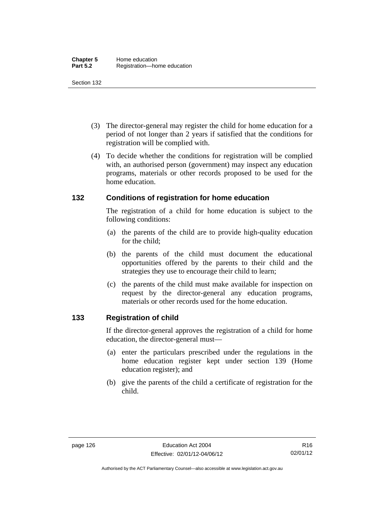- (3) The director-general may register the child for home education for a period of not longer than 2 years if satisfied that the conditions for registration will be complied with.
- (4) To decide whether the conditions for registration will be complied with, an authorised person (government) may inspect any education programs, materials or other records proposed to be used for the home education.

# **132 Conditions of registration for home education**

The registration of a child for home education is subject to the following conditions:

- (a) the parents of the child are to provide high-quality education for the child;
- (b) the parents of the child must document the educational opportunities offered by the parents to their child and the strategies they use to encourage their child to learn;
- (c) the parents of the child must make available for inspection on request by the director-general any education programs, materials or other records used for the home education.

# **133 Registration of child**

If the director-general approves the registration of a child for home education, the director-general must—

- (a) enter the particulars prescribed under the regulations in the home education register kept under section 139 (Home education register); and
- (b) give the parents of the child a certificate of registration for the child.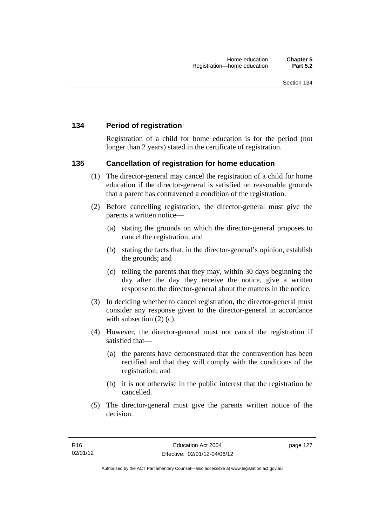# **134 Period of registration**

Registration of a child for home education is for the period (not longer than 2 years) stated in the certificate of registration.

### **135 Cancellation of registration for home education**

- (1) The director-general may cancel the registration of a child for home education if the director-general is satisfied on reasonable grounds that a parent has contravened a condition of the registration.
- (2) Before cancelling registration, the director-general must give the parents a written notice—
	- (a) stating the grounds on which the director-general proposes to cancel the registration; and
	- (b) stating the facts that, in the director-general's opinion, establish the grounds; and
	- (c) telling the parents that they may, within 30 days beginning the day after the day they receive the notice, give a written response to the director-general about the matters in the notice.
- (3) In deciding whether to cancel registration, the director-general must consider any response given to the director-general in accordance with subsection  $(2)$  (c).
- (4) However, the director-general must not cancel the registration if satisfied that—
	- (a) the parents have demonstrated that the contravention has been rectified and that they will comply with the conditions of the registration; and
	- (b) it is not otherwise in the public interest that the registration be cancelled.
- (5) The director-general must give the parents written notice of the decision.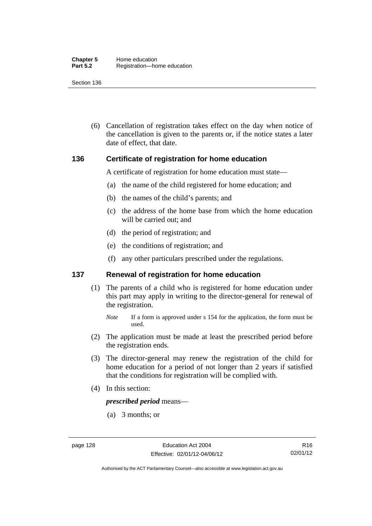(6) Cancellation of registration takes effect on the day when notice of the cancellation is given to the parents or, if the notice states a later date of effect, that date.

#### **136 Certificate of registration for home education**

A certificate of registration for home education must state—

- (a) the name of the child registered for home education; and
- (b) the names of the child's parents; and
- (c) the address of the home base from which the home education will be carried out; and
- (d) the period of registration; and
- (e) the conditions of registration; and
- (f) any other particulars prescribed under the regulations.

#### **137 Renewal of registration for home education**

(1) The parents of a child who is registered for home education under this part may apply in writing to the director-general for renewal of the registration.

- (2) The application must be made at least the prescribed period before the registration ends.
- (3) The director-general may renew the registration of the child for home education for a period of not longer than 2 years if satisfied that the conditions for registration will be complied with.
- (4) In this section:

*prescribed period* means—

(a) 3 months; or

*Note* If a form is approved under s 154 for the application, the form must be used.

Authorised by the ACT Parliamentary Counsel—also accessible at www.legislation.act.gov.au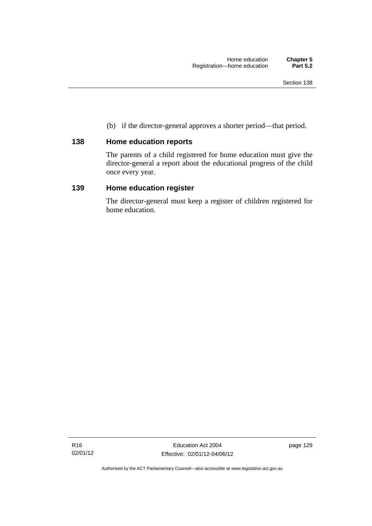(b) if the director-general approves a shorter period—that period.

# **138 Home education reports**

The parents of a child registered for home education must give the director-general a report about the educational progress of the child once every year.

# **139 Home education register**

The director-general must keep a register of children registered for home education.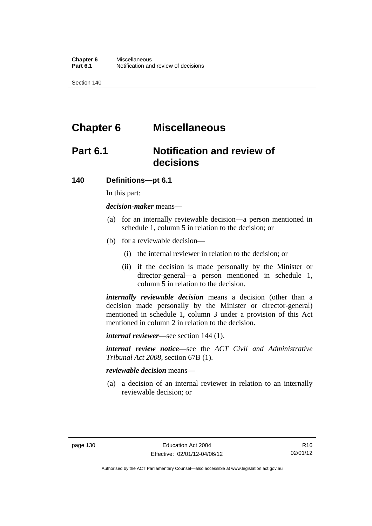# **Chapter 6 Miscellaneous**

# **Part 6.1 Notification and review of decisions**

#### **140 Definitions***—***pt 6.1**

In this part:

*decision-maker* means—

- (a) for an internally reviewable decision—a person mentioned in schedule 1, column 5 in relation to the decision; or
- (b) for a reviewable decision—
	- (i) the internal reviewer in relation to the decision; or
	- (ii) if the decision is made personally by the Minister or director-general—a person mentioned in schedule 1, column 5 in relation to the decision.

*internally reviewable decision* means a decision (other than a decision made personally by the Minister or director-general) mentioned in schedule 1, column 3 under a provision of this Act mentioned in column 2 in relation to the decision.

*internal reviewer*—see section 144 (1).

*internal review notice*—see the *ACT Civil and Administrative Tribunal Act 2008*, section 67B (1).

*reviewable decision* means—

 (a) a decision of an internal reviewer in relation to an internally reviewable decision; or

R16 02/01/12

Authorised by the ACT Parliamentary Counsel—also accessible at www.legislation.act.gov.au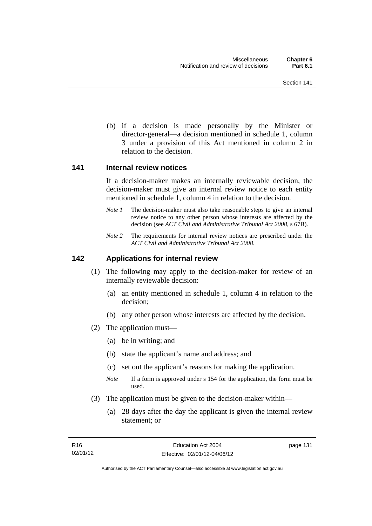(b) if a decision is made personally by the Minister or director-general—a decision mentioned in schedule 1, column 3 under a provision of this Act mentioned in column 2 in relation to the decision.

#### **141 Internal review notices**

If a decision-maker makes an internally reviewable decision, the decision-maker must give an internal review notice to each entity mentioned in schedule 1, column 4 in relation to the decision.

- *Note 1* The decision-maker must also take reasonable steps to give an internal review notice to any other person whose interests are affected by the decision (see *ACT Civil and Administrative Tribunal Act 2008*, s 67B).
- *Note 2* The requirements for internal review notices are prescribed under the *ACT Civil and Administrative Tribunal Act 2008*.

### **142 Applications for internal review**

- (1) The following may apply to the decision-maker for review of an internally reviewable decision:
	- (a) an entity mentioned in schedule 1, column 4 in relation to the decision;
	- (b) any other person whose interests are affected by the decision.
- (2) The application must—
	- (a) be in writing; and
	- (b) state the applicant's name and address; and
	- (c) set out the applicant's reasons for making the application.
	- *Note* If a form is approved under s 154 for the application, the form must be used.
- (3) The application must be given to the decision-maker within—
	- (a) 28 days after the day the applicant is given the internal review statement; or

page 131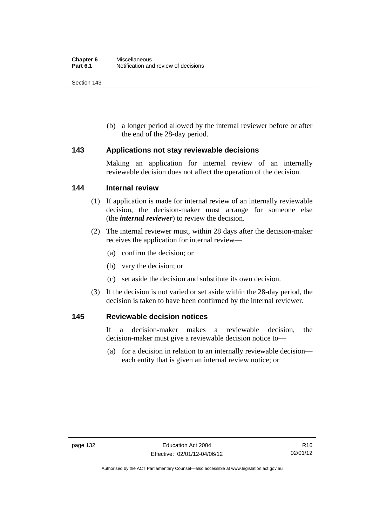(b) a longer period allowed by the internal reviewer before or after the end of the 28-day period.

### **143 Applications not stay reviewable decisions**

Making an application for internal review of an internally reviewable decision does not affect the operation of the decision.

#### **144 Internal review**

- (1) If application is made for internal review of an internally reviewable decision, the decision-maker must arrange for someone else (the *internal reviewer*) to review the decision.
- (2) The internal reviewer must, within 28 days after the decision-maker receives the application for internal review—
	- (a) confirm the decision; or
	- (b) vary the decision; or
	- (c) set aside the decision and substitute its own decision.
- (3) If the decision is not varied or set aside within the 28-day period, the decision is taken to have been confirmed by the internal reviewer.

#### **145 Reviewable decision notices**

If a decision-maker makes a reviewable decision, the decision-maker must give a reviewable decision notice to—

 (a) for a decision in relation to an internally reviewable decision each entity that is given an internal review notice; or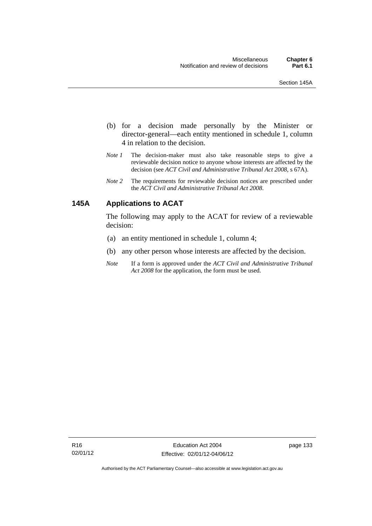- (b) for a decision made personally by the Minister or director-general—each entity mentioned in schedule 1, column 4 in relation to the decision.
- *Note 1* The decision-maker must also take reasonable steps to give a reviewable decision notice to anyone whose interests are affected by the decision (see *ACT Civil and Administrative Tribunal Act 2008*, s 67A).
- *Note 2* The requirements for reviewable decision notices are prescribed under the *ACT Civil and Administrative Tribunal Act 2008*.

# **145A Applications to ACAT**

The following may apply to the ACAT for review of a reviewable decision:

- (a) an entity mentioned in schedule 1, column 4;
- (b) any other person whose interests are affected by the decision.
- *Note* If a form is approved under the *ACT Civil and Administrative Tribunal Act 2008* for the application, the form must be used.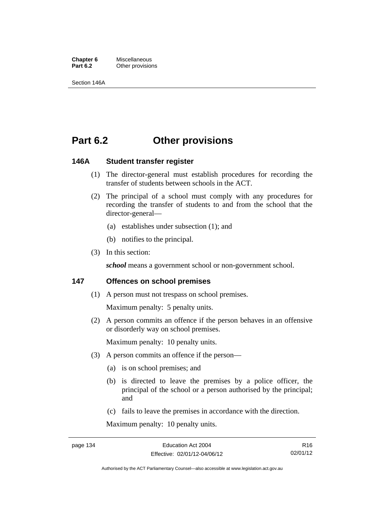**Chapter 6** Miscellaneous<br>**Part 6.2** Other provision **Other provisions** 

Section 146A

# **Part 6.2 Other provisions**

### **146A Student transfer register**

- (1) The director-general must establish procedures for recording the transfer of students between schools in the ACT.
- (2) The principal of a school must comply with any procedures for recording the transfer of students to and from the school that the director-general—
	- (a) establishes under subsection (1); and
	- (b) notifies to the principal.
- (3) In this section:

*school* means a government school or non-government school.

### **147 Offences on school premises**

(1) A person must not trespass on school premises.

Maximum penalty: 5 penalty units.

 (2) A person commits an offence if the person behaves in an offensive or disorderly way on school premises.

Maximum penalty: 10 penalty units.

- (3) A person commits an offence if the person—
	- (a) is on school premises; and
	- (b) is directed to leave the premises by a police officer, the principal of the school or a person authorised by the principal; and
	- (c) fails to leave the premises in accordance with the direction.

Maximum penalty: 10 penalty units.

R16 02/01/12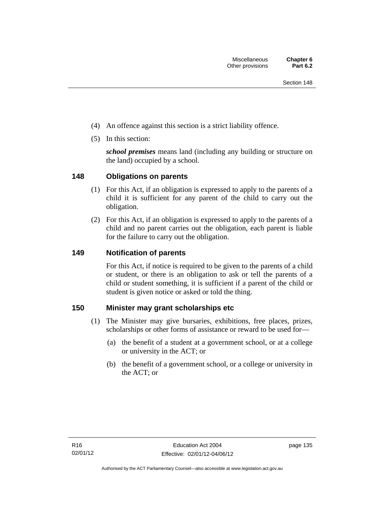- (4) An offence against this section is a strict liability offence.
- (5) In this section:

*school premises* means land (including any building or structure on the land) occupied by a school.

# **148 Obligations on parents**

- (1) For this Act, if an obligation is expressed to apply to the parents of a child it is sufficient for any parent of the child to carry out the obligation.
- (2) For this Act, if an obligation is expressed to apply to the parents of a child and no parent carries out the obligation, each parent is liable for the failure to carry out the obligation.

# **149 Notification of parents**

For this Act, if notice is required to be given to the parents of a child or student, or there is an obligation to ask or tell the parents of a child or student something, it is sufficient if a parent of the child or student is given notice or asked or told the thing.

# **150 Minister may grant scholarships etc**

- (1) The Minister may give bursaries, exhibitions, free places, prizes, scholarships or other forms of assistance or reward to be used for—
	- (a) the benefit of a student at a government school, or at a college or university in the ACT; or
	- (b) the benefit of a government school, or a college or university in the ACT; or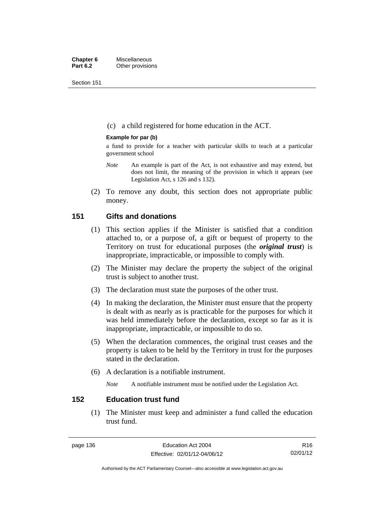Section 151

(c) a child registered for home education in the ACT.

### **Example for par (b)**

a fund to provide for a teacher with particular skills to teach at a particular government school

- *Note* An example is part of the Act, is not exhaustive and may extend, but does not limit, the meaning of the provision in which it appears (see Legislation Act, s 126 and s 132).
- (2) To remove any doubt, this section does not appropriate public money.

## **151 Gifts and donations**

- (1) This section applies if the Minister is satisfied that a condition attached to, or a purpose of, a gift or bequest of property to the Territory on trust for educational purposes (the *original trust*) is inappropriate, impracticable, or impossible to comply with.
- (2) The Minister may declare the property the subject of the original trust is subject to another trust.
- (3) The declaration must state the purposes of the other trust.
- (4) In making the declaration, the Minister must ensure that the property is dealt with as nearly as is practicable for the purposes for which it was held immediately before the declaration, except so far as it is inappropriate, impracticable, or impossible to do so.
- (5) When the declaration commences, the original trust ceases and the property is taken to be held by the Territory in trust for the purposes stated in the declaration.
- (6) A declaration is a notifiable instrument.

*Note* A notifiable instrument must be notified under the Legislation Act.

# **152 Education trust fund**

 (1) The Minister must keep and administer a fund called the education trust fund.

Authorised by the ACT Parliamentary Counsel—also accessible at www.legislation.act.gov.au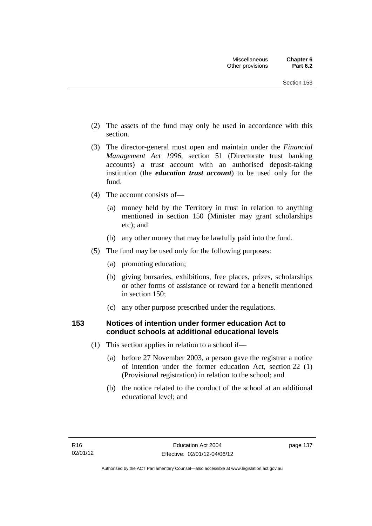- (2) The assets of the fund may only be used in accordance with this section.
- (3) The director-general must open and maintain under the *Financial Management Act 1996*, section 51 (Directorate trust banking accounts) a trust account with an authorised deposit-taking institution (the *education trust account*) to be used only for the fund.
- (4) The account consists of—
	- (a) money held by the Territory in trust in relation to anything mentioned in section 150 (Minister may grant scholarships etc); and
	- (b) any other money that may be lawfully paid into the fund.
- (5) The fund may be used only for the following purposes:
	- (a) promoting education;
	- (b) giving bursaries, exhibitions, free places, prizes, scholarships or other forms of assistance or reward for a benefit mentioned in section 150;
	- (c) any other purpose prescribed under the regulations.

# **153 Notices of intention under former education Act to conduct schools at additional educational levels**

- (1) This section applies in relation to a school if—
	- (a) before 27 November 2003, a person gave the registrar a notice of intention under the former education Act, section 22 (1) (Provisional registration) in relation to the school; and
	- (b) the notice related to the conduct of the school at an additional educational level; and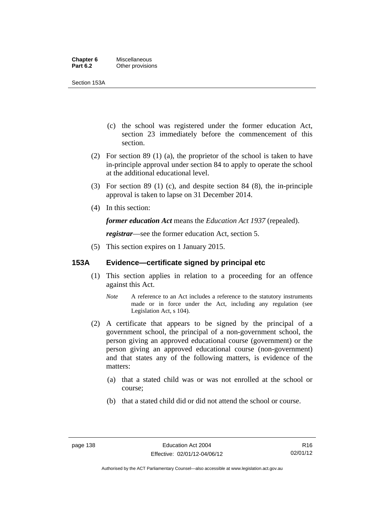Section 153A

- (c) the school was registered under the former education Act, section 23 immediately before the commencement of this section.
- (2) For section 89 (1) (a), the proprietor of the school is taken to have in-principle approval under section 84 to apply to operate the school at the additional educational level.
- (3) For section 89 (1) (c), and despite section 84 (8), the in-principle approval is taken to lapse on 31 December 2014.
- (4) In this section:

*former education Act* means the *Education Act 1937* (repealed).

*registrar*—see the former education Act, section 5.

(5) This section expires on 1 January 2015.

# **153A Evidence—certificate signed by principal etc**

- (1) This section applies in relation to a proceeding for an offence against this Act.
	- *Note* A reference to an Act includes a reference to the statutory instruments made or in force under the Act, including any regulation (see Legislation Act, s 104).
- (2) A certificate that appears to be signed by the principal of a government school, the principal of a non-government school, the person giving an approved educational course (government) or the person giving an approved educational course (non-government) and that states any of the following matters, is evidence of the matters:
	- (a) that a stated child was or was not enrolled at the school or course;
	- (b) that a stated child did or did not attend the school or course.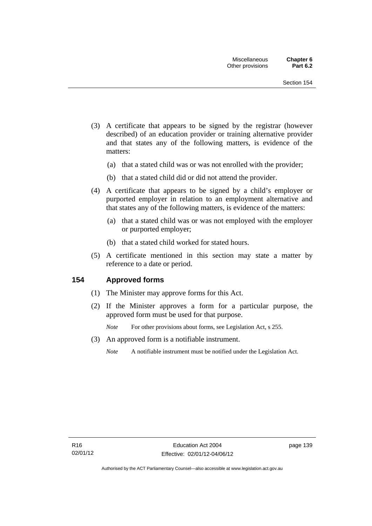- (3) A certificate that appears to be signed by the registrar (however described) of an education provider or training alternative provider and that states any of the following matters, is evidence of the matters:
	- (a) that a stated child was or was not enrolled with the provider;
	- (b) that a stated child did or did not attend the provider.
- (4) A certificate that appears to be signed by a child's employer or purported employer in relation to an employment alternative and that states any of the following matters, is evidence of the matters:
	- (a) that a stated child was or was not employed with the employer or purported employer;
	- (b) that a stated child worked for stated hours.
- (5) A certificate mentioned in this section may state a matter by reference to a date or period.

### **154 Approved forms**

- (1) The Minister may approve forms for this Act.
- (2) If the Minister approves a form for a particular purpose, the approved form must be used for that purpose.

*Note* For other provisions about forms, see Legislation Act, s 255.

- (3) An approved form is a notifiable instrument.
	- *Note* A notifiable instrument must be notified under the Legislation Act.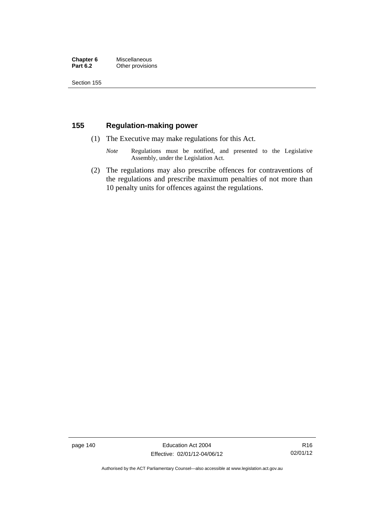### **Chapter 6** Miscellaneous<br>**Part 6.2** Other provision **Other provisions**

Section 155

# **155 Regulation-making power**

- (1) The Executive may make regulations for this Act.
	- *Note* Regulations must be notified, and presented to the Legislative Assembly, under the Legislation Act.
- (2) The regulations may also prescribe offences for contraventions of the regulations and prescribe maximum penalties of not more than 10 penalty units for offences against the regulations.

page 140 Education Act 2004 Effective: 02/01/12-04/06/12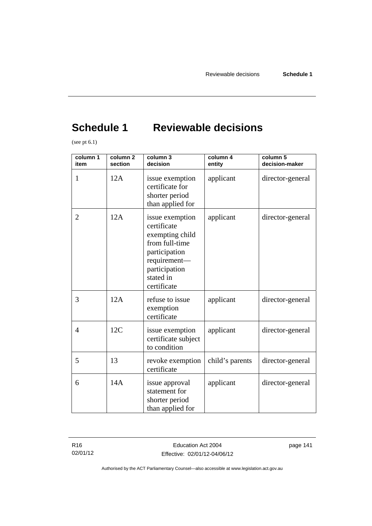# **Schedule 1 Reviewable decisions**

(see pt 6.1)

| column 1<br>item | column <sub>2</sub><br>section | column 3<br>decision                                                                                                                              | column 4<br>entity | column 5<br>decision-maker |
|------------------|--------------------------------|---------------------------------------------------------------------------------------------------------------------------------------------------|--------------------|----------------------------|
| 1                | 12A                            | issue exemption<br>certificate for<br>shorter period<br>than applied for                                                                          | applicant          | director-general           |
| $\overline{2}$   | 12A                            | issue exemption<br>certificate<br>exempting child<br>from full-time<br>participation<br>requirement-<br>participation<br>stated in<br>certificate | applicant          | director-general           |
| 3                | 12A                            | refuse to issue<br>exemption<br>certificate                                                                                                       | applicant          | director-general           |
| 4                | 12C                            | issue exemption<br>certificate subject<br>to condition                                                                                            | applicant          | director-general           |
| 5                | 13                             | revoke exemption<br>certificate                                                                                                                   | child's parents    | director-general           |
| 6                | 14A                            | issue approval<br>statement for<br>shorter period<br>than applied for                                                                             | applicant          | director-general           |

R16 02/01/12 page 141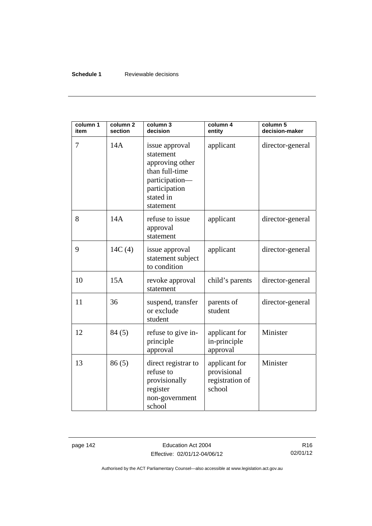### **Schedule 1** Reviewable decisions

| column 1<br>item | column <sub>2</sub><br>section | column 3<br>decision                                                                                                          | column 4<br>entity                                        | column 5<br>decision-maker |
|------------------|--------------------------------|-------------------------------------------------------------------------------------------------------------------------------|-----------------------------------------------------------|----------------------------|
| 7                | 14A                            | issue approval<br>statement<br>approving other<br>than full-time<br>participation-<br>participation<br>stated in<br>statement | applicant                                                 | director-general           |
| 8                | 14A                            | refuse to issue<br>approval<br>statement                                                                                      | applicant                                                 | director-general           |
| 9                | 14C(4)                         | issue approval<br>statement subject<br>to condition                                                                           | applicant                                                 | director-general           |
| 10               | 15A                            | revoke approval<br>statement                                                                                                  | child's parents                                           | director-general           |
| 11               | 36                             | suspend, transfer<br>or exclude<br>student                                                                                    | parents of<br>student                                     | director-general           |
| 12               | 84(5)                          | refuse to give in-<br>principle<br>approval                                                                                   | applicant for<br>in-principle<br>approval                 | Minister                   |
| 13               | 86(5)                          | direct registrar to<br>refuse to<br>provisionally<br>register<br>non-government<br>school                                     | applicant for<br>provisional<br>registration of<br>school | Minister                   |

page 142 **Education Act 2004** Effective: 02/01/12-04/06/12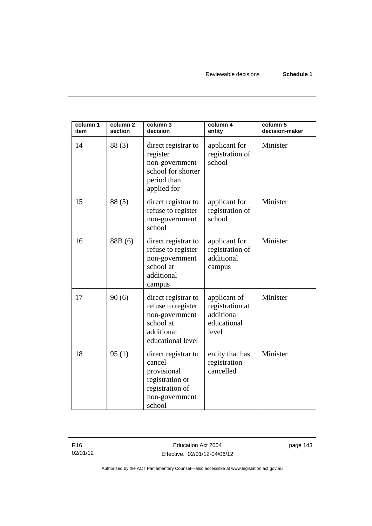| column 1<br>item | column <sub>2</sub><br>section | column 3<br>decision                                                                                           | column 4<br>entity                                                    | column 5<br>decision-maker |
|------------------|--------------------------------|----------------------------------------------------------------------------------------------------------------|-----------------------------------------------------------------------|----------------------------|
| 14               | 88(3)                          | direct registrar to<br>register<br>non-government<br>school for shorter<br>period than<br>applied for          | applicant for<br>registration of<br>school                            | Minister                   |
| 15               | 88(5)                          | direct registrar to<br>refuse to register<br>non-government<br>school                                          | applicant for<br>registration of<br>school                            | Minister                   |
| 16               | 88B (6)                        | direct registrar to<br>refuse to register<br>non-government<br>school at<br>additional<br>campus               | applicant for<br>registration of<br>additional<br>campus              | Minister                   |
| 17               | 90(6)                          | direct registrar to<br>refuse to register<br>non-government<br>school at<br>additional<br>educational level    | applicant of<br>registration at<br>additional<br>educational<br>level | Minister                   |
| 18               | 95(1)                          | direct registrar to<br>cancel<br>provisional<br>registration or<br>registration of<br>non-government<br>school | entity that has<br>registration<br>cancelled                          | Minister                   |

R16 02/01/12 page 143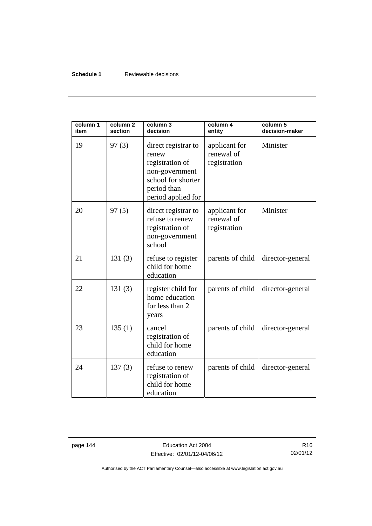### **Schedule 1** Reviewable decisions

| column 1<br>item | column <sub>2</sub><br>section | column 3<br>decision                                                                                                         | column 4<br>entity                          | column 5<br>decision-maker |
|------------------|--------------------------------|------------------------------------------------------------------------------------------------------------------------------|---------------------------------------------|----------------------------|
| 19               | 97(3)                          | direct registrar to<br>renew<br>registration of<br>non-government<br>school for shorter<br>period than<br>period applied for | applicant for<br>renewal of<br>registration | Minister                   |
| 20               | 97(5)                          | direct registrar to<br>refuse to renew<br>registration of<br>non-government<br>school                                        | applicant for<br>renewal of<br>registration | Minister                   |
| 21               | 131(3)                         | refuse to register<br>child for home<br>education                                                                            | parents of child                            | director-general           |
| 22               | 131(3)                         | register child for<br>home education<br>for less than 2<br>years                                                             | parents of child                            | director-general           |
| 23               | 135(1)                         | cancel<br>registration of<br>child for home<br>education                                                                     | parents of child                            | director-general           |
| 24               | 137(3)                         | refuse to renew<br>registration of<br>child for home<br>education                                                            | parents of child                            | director-general           |

page 144 **Education Act 2004** Effective: 02/01/12-04/06/12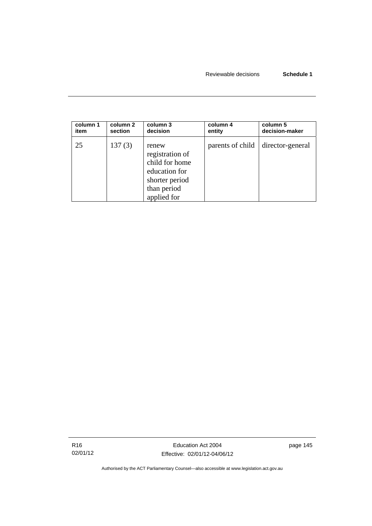| column 1 | column 2 | column 3                                                                                                    | column 4         | column 5         |
|----------|----------|-------------------------------------------------------------------------------------------------------------|------------------|------------------|
| item     | section  | decision                                                                                                    | entity           | decision-maker   |
| 25       | 137(3)   | renew<br>registration of<br>child for home<br>education for<br>shorter period<br>than period<br>applied for | parents of child | director-general |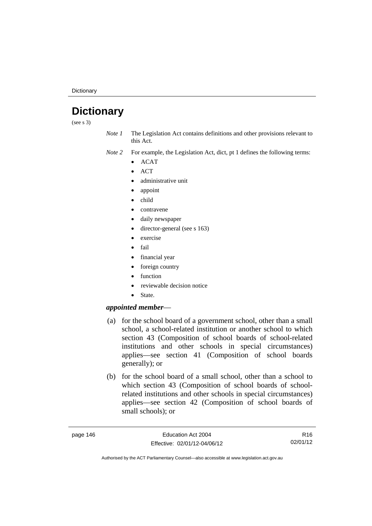**Dictionary** 

# **Dictionary**

(see s 3)

*Note 1* The Legislation Act contains definitions and other provisions relevant to this Act.

*Note 2* For example, the Legislation Act, dict, pt 1 defines the following terms:

- ACAT
- **ACT**
- administrative unit
- appoint
- child
- contravene
- daily newspaper
- director-general (see s 163)
- exercise
- fail
- financial year
- foreign country
- function
- reviewable decision notice
- State.

## *appointed member*—

- (a) for the school board of a government school, other than a small school, a school-related institution or another school to which section 43 (Composition of school boards of school-related institutions and other schools in special circumstances) applies—see section 41 (Composition of school boards generally); or
- (b) for the school board of a small school, other than a school to which section 43 (Composition of school boards of schoolrelated institutions and other schools in special circumstances) applies—see section 42 (Composition of school boards of small schools); or

R16 02/01/12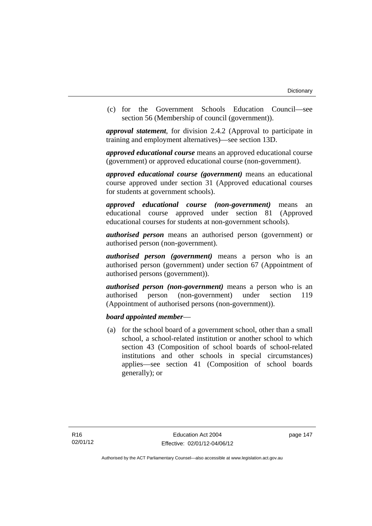(c) for the Government Schools Education Council—see section 56 (Membership of council (government)).

*approval statement*, for division 2.4.2 (Approval to participate in training and employment alternatives)—see section 13D.

*approved educational course* means an approved educational course (government) or approved educational course (non-government).

*approved educational course (government)* means an educational course approved under section 31 (Approved educational courses for students at government schools).

*approved educational course (non-government)* means an educational course approved under section 81 (Approved educational courses for students at non-government schools).

*authorised person* means an authorised person (government) or authorised person (non-government).

*authorised person (government)* means a person who is an authorised person (government) under section 67 (Appointment of authorised persons (government)).

*authorised person (non-government)* means a person who is an authorised person (non-government) under section 119 (Appointment of authorised persons (non-government)).

### *board appointed member*—

 (a) for the school board of a government school, other than a small school, a school-related institution or another school to which section 43 (Composition of school boards of school-related institutions and other schools in special circumstances) applies—see section 41 (Composition of school boards generally); or

page 147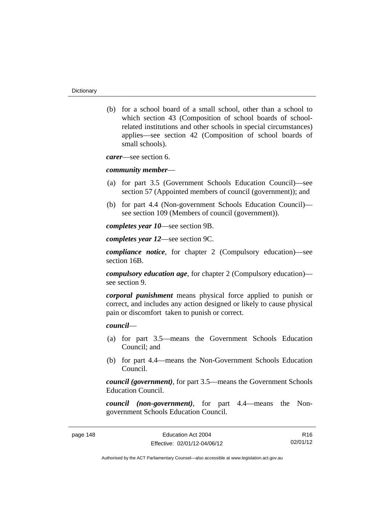(b) for a school board of a small school, other than a school to which section 43 (Composition of school boards of schoolrelated institutions and other schools in special circumstances) applies—see section 42 (Composition of school boards of small schools).

*carer*—see section 6.

#### *community member*—

- (a) for part 3.5 (Government Schools Education Council)—see section 57 (Appointed members of council (government)); and
- (b) for part 4.4 (Non-government Schools Education Council) see section 109 (Members of council (government)).

*completes year 10*—see section 9B.

*completes year 12*—see section 9C.

*compliance notice*, for chapter 2 (Compulsory education)—see section 16B.

*compulsory education age*, for chapter 2 (Compulsory education) see section 9.

*corporal punishment* means physical force applied to punish or correct, and includes any action designed or likely to cause physical pain or discomfort taken to punish or correct.

### *council*—

- (a) for part 3.5—means the Government Schools Education Council; and
- (b) for part 4.4—means the Non-Government Schools Education Council.

*council (government)*, for part 3.5—means the Government Schools Education Council.

*council (non-government)*, for part 4.4—means the Nongovernment Schools Education Council.

R16 02/01/12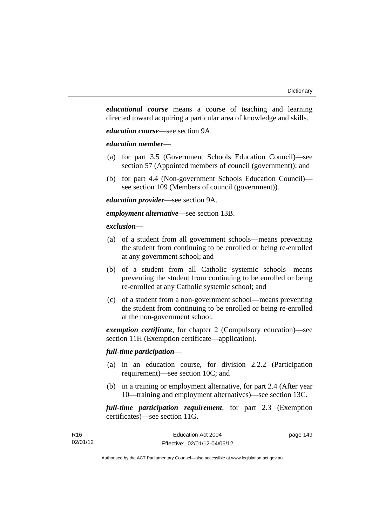*educational course* means a course of teaching and learning directed toward acquiring a particular area of knowledge and skills.

*education course*—see section 9A.

### *education member*—

- (a) for part 3.5 (Government Schools Education Council)—see section 57 (Appointed members of council (government)); and
- (b) for part 4.4 (Non-government Schools Education Council) see section 109 (Members of council (government)).

*education provider*—see section 9A.

*employment alternative*—see section 13B.

#### *exclusion***—**

- (a) of a student from all government schools—means preventing the student from continuing to be enrolled or being re-enrolled at any government school; and
- (b) of a student from all Catholic systemic schools—means preventing the student from continuing to be enrolled or being re-enrolled at any Catholic systemic school; and
- (c) of a student from a non-government school—means preventing the student from continuing to be enrolled or being re-enrolled at the non-government school.

*exemption certificate*, for chapter 2 (Compulsory education)—see section 11H (Exemption certificate—application).

### *full-time participation*—

- (a) in an education course, for division 2.2.2 (Participation requirement)—see section 10C; and
- (b) in a training or employment alternative, for part 2.4 (After year 10—training and employment alternatives)—see section 13C.

*full-time participation requirement*, for part 2.3 (Exemption certificates)—see section 11G.

| R16      | Education Act 2004           | page 149 |
|----------|------------------------------|----------|
| 02/01/12 | Effective: 02/01/12-04/06/12 |          |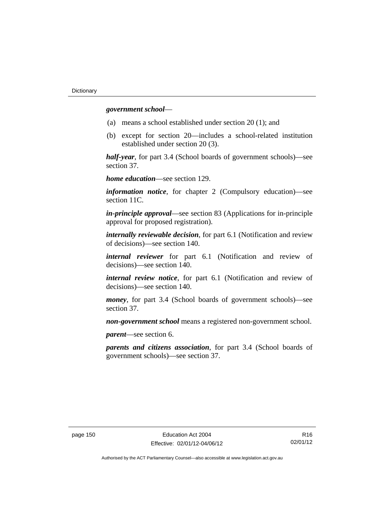### *government school*—

- (a) means a school established under section 20 (1); and
- (b) except for section 20—includes a school-related institution established under section 20 (3).

*half-year*, for part 3.4 (School boards of government schools)—see section 37.

*home education*—see section 129.

*information notice*, for chapter 2 (Compulsory education)—see section 11C.

*in-principle approval*—see section 83 (Applications for in-principle approval for proposed registration).

*internally reviewable decision*, for part 6.1 (Notification and review of decisions)—see section 140.

*internal reviewer* for part 6.1 (Notification and review of decisions)—see section 140.

*internal review notice*, for part 6.1 (Notification and review of decisions)—see section 140.

*money*, for part 3.4 (School boards of government schools)—see section 37.

*non-government school* means a registered non-government school.

*parent*—see section 6.

*parents and citizens association*, for part 3.4 (School boards of government schools)—see section 37.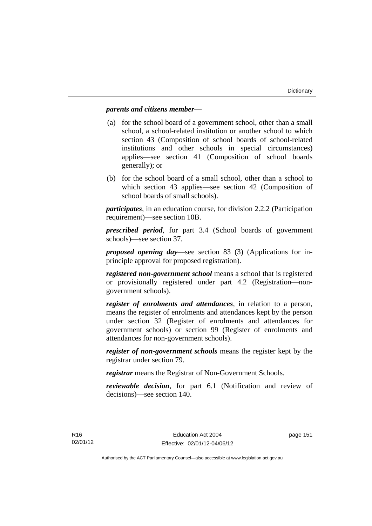### *parents and citizens member*—

- (a) for the school board of a government school, other than a small school, a school-related institution or another school to which section 43 (Composition of school boards of school-related institutions and other schools in special circumstances) applies—see section 41 (Composition of school boards generally); or
- (b) for the school board of a small school, other than a school to which section 43 applies—see section 42 (Composition of school boards of small schools).

*participates*, in an education course, for division 2.2.2 (Participation requirement)—see section 10B.

*prescribed period*, for part 3.4 (School boards of government schools)—see section 37.

*proposed opening day*—see section 83 (3) (Applications for inprinciple approval for proposed registration).

*registered non-government school* means a school that is registered or provisionally registered under part 4.2 (Registration—nongovernment schools).

*register of enrolments and attendances*, in relation to a person, means the register of enrolments and attendances kept by the person under section 32 (Register of enrolments and attendances for government schools) or section 99 (Register of enrolments and attendances for non-government schools).

*register of non-government schools* means the register kept by the registrar under section 79.

*registrar* means the Registrar of Non-Government Schools.

*reviewable decision*, for part 6.1 (Notification and review of decisions)—see section 140.

page 151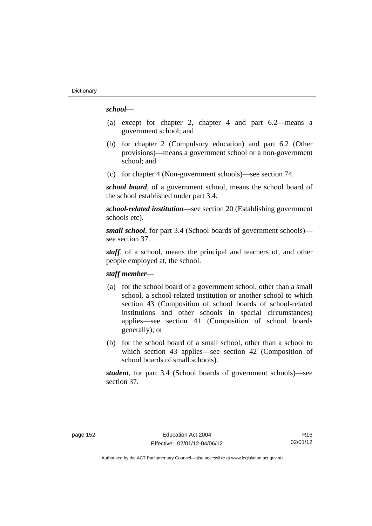### *school*—

- (a) except for chapter 2, chapter 4 and part 6.2—means a government school; and
- (b) for chapter 2 (Compulsory education) and part 6.2 (Other provisions)—means a government school or a non-government school; and
- (c) for chapter 4 (Non-government schools)—see section 74.

*school board*, of a government school, means the school board of the school established under part 3.4.

*school-related institution*—see section 20 (Establishing government schools etc).

*small school*, for part 3.4 (School boards of government schools) see section 37.

*staff*, of a school, means the principal and teachers of, and other people employed at, the school.

### *staff member*—

- (a) for the school board of a government school, other than a small school, a school-related institution or another school to which section 43 (Composition of school boards of school-related institutions and other schools in special circumstances) applies—see section 41 (Composition of school boards generally); or
- (b) for the school board of a small school, other than a school to which section 43 applies—see section 42 (Composition of school boards of small schools).

*student*, for part 3.4 (School boards of government schools)—see section 37.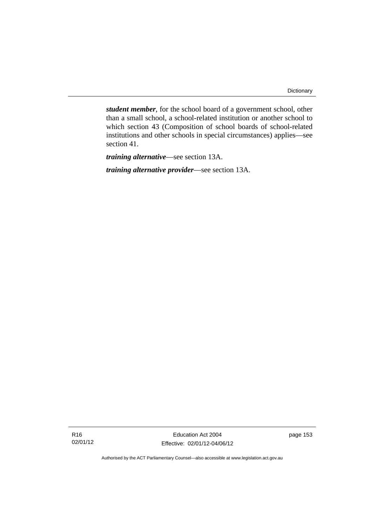*student member*, for the school board of a government school, other than a small school, a school-related institution or another school to which section 43 (Composition of school boards of school-related institutions and other schools in special circumstances) applies—see section 41.

*training alternative*—see section 13A.

*training alternative provider*—see section 13A.

R16 02/01/12

Education Act 2004 Effective: 02/01/12-04/06/12 page 153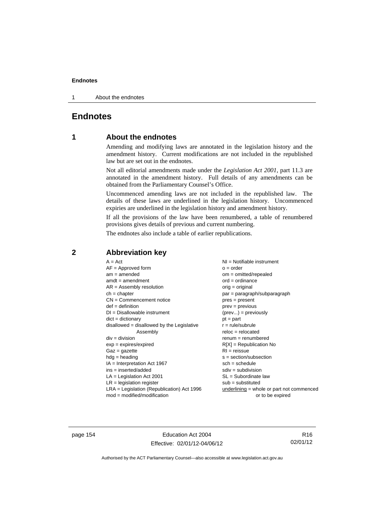1 About the endnotes

# **Endnotes**

# **1 About the endnotes**

Amending and modifying laws are annotated in the legislation history and the amendment history. Current modifications are not included in the republished law but are set out in the endnotes.

Not all editorial amendments made under the *Legislation Act 2001*, part 11.3 are annotated in the amendment history. Full details of any amendments can be obtained from the Parliamentary Counsel's Office.

Uncommenced amending laws are not included in the republished law. The details of these laws are underlined in the legislation history. Uncommenced expiries are underlined in the legislation history and amendment history.

If all the provisions of the law have been renumbered, a table of renumbered provisions gives details of previous and current numbering.

The endnotes also include a table of earlier republications.

| $A = Act$                                    | NI = Notifiable instrument                  |
|----------------------------------------------|---------------------------------------------|
| $AF =$ Approved form                         | $o = order$                                 |
| $am = amended$                               | $om = omitted/repealed$                     |
| $amdt = amendment$                           | $ord = ordinance$                           |
| $AR = Assembly resolution$                   | $orig = original$                           |
| $ch = chapter$                               | $par = paragraph/subparagraph$              |
| $CN =$ Commencement notice                   | $pres = present$                            |
| $def = definition$                           | $prev = previous$                           |
| $DI = Disallowable instrument$               | $(\text{prev}) = \text{previously}$         |
| $dict = dictionary$                          | $pt = part$                                 |
| $disallowed = disallowed by the Legislative$ | $r = rule/subrule$                          |
| Assembly                                     | $reloc = relocated$                         |
| $div = division$                             | $renum = renumbered$                        |
| $exp = expires/expired$                      | $R[X]$ = Republication No                   |
| $Gaz = gazette$                              | $RI = reissue$                              |
| $hdg = heading$                              | $s = section/subsection$                    |
| $IA = Interpretation Act 1967$               | $sch = schedule$                            |
| ins = inserted/added                         | $sdiv = subdivision$                        |
| $LA =$ Legislation Act 2001                  | $SL = Subordinate$ law                      |
| $LR =$ legislation register                  | $sub =$ substituted                         |
| LRA = Legislation (Republication) Act 1996   | underlining $=$ whole or part not commenced |
| $mod = modified/modification$                | or to be expired                            |

## **2 Abbreviation key**

page 154 Education Act 2004 Effective: 02/01/12-04/06/12

R16 02/01/12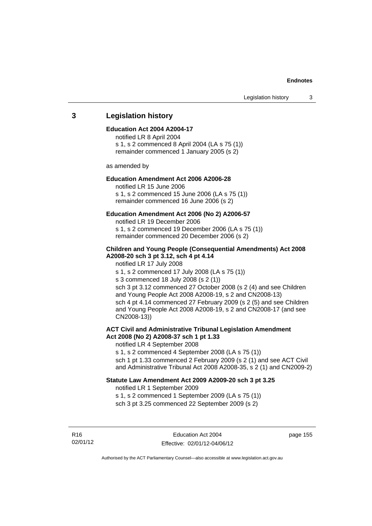### **3 Legislation history**

### **Education Act 2004 A2004-17**

notified LR 8 April 2004 s 1, s 2 commenced 8 April 2004 (LA s 75 (1)) remainder commenced 1 January 2005 (s 2)

as amended by

### **Education Amendment Act 2006 A2006-28**

notified LR 15 June 2006 s 1, s 2 commenced 15 June 2006 (LA s 75 (1)) remainder commenced 16 June 2006 (s 2)

#### **Education Amendment Act 2006 (No 2) A2006-57**

notified LR 19 December 2006 s 1, s 2 commenced 19 December 2006 (LA s 75 (1)) remainder commenced 20 December 2006 (s 2)

### **Children and Young People (Consequential Amendments) Act 2008 A2008-20 sch 3 pt 3.12, sch 4 pt 4.14**

notified LR 17 July 2008

s 1, s 2 commenced 17 July 2008 (LA s 75 (1))

s 3 commenced 18 July 2008 (s 2 (1))

sch 3 pt 3.12 commenced 27 October 2008 (s 2 (4) and see Children and Young People Act 2008 A2008-19, s 2 and CN2008-13) sch 4 pt 4.14 commenced 27 February 2009 (s 2 (5) and see Children and Young People Act 2008 A2008-19, s 2 and CN2008-17 (and see CN2008-13))

#### **ACT Civil and Administrative Tribunal Legislation Amendment Act 2008 (No 2) A2008-37 sch 1 pt 1.33**

notified LR 4 September 2008

s 1, s 2 commenced 4 September 2008 (LA s 75 (1))

sch 1 pt 1.33 commenced 2 February 2009 (s 2 (1) and see ACT Civil and Administrative Tribunal Act 2008 A2008-35, s 2 (1) and CN2009-2)

### **Statute Law Amendment Act 2009 A2009-20 sch 3 pt 3.25**

notified LR 1 September 2009

s 1, s 2 commenced 1 September 2009 (LA s 75 (1)) sch 3 pt 3.25 commenced 22 September 2009 (s 2)

R16 02/01/12 page 155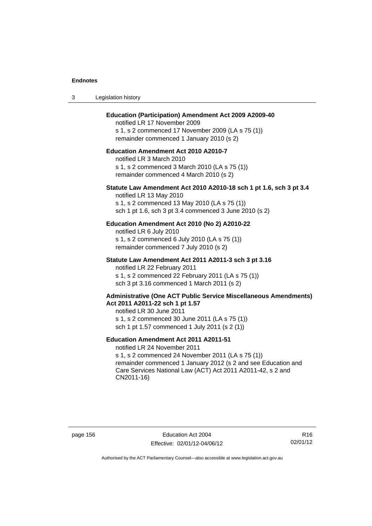| -3 | Legislation history |  |
|----|---------------------|--|
|----|---------------------|--|

### **Education (Participation) Amendment Act 2009 A2009-40**

notified LR 17 November 2009 s 1, s 2 commenced 17 November 2009 (LA s 75 (1)) remainder commenced 1 January 2010 (s 2)

### **Education Amendment Act 2010 A2010-7**

notified LR 3 March 2010 s 1, s 2 commenced 3 March 2010 (LA s 75 (1)) remainder commenced 4 March 2010 (s 2)

#### **Statute Law Amendment Act 2010 A2010-18 sch 1 pt 1.6, sch 3 pt 3.4**

notified LR 13 May 2010 s 1, s 2 commenced 13 May 2010 (LA s 75 (1)) sch 1 pt 1.6, sch 3 pt 3.4 commenced 3 June 2010 (s 2)

### **Education Amendment Act 2010 (No 2) A2010-22**

notified LR 6 July 2010 s 1, s 2 commenced 6 July 2010 (LA s 75 (1)) remainder commenced 7 July 2010 (s 2)

#### **Statute Law Amendment Act 2011 A2011-3 sch 3 pt 3.16**

notified LR 22 February 2011 s 1, s 2 commenced 22 February 2011 (LA s 75 (1)) sch 3 pt 3.16 commenced 1 March 2011 (s 2)

#### **Administrative (One ACT Public Service Miscellaneous Amendments) Act 2011 A2011-22 sch 1 pt 1.57**

notified LR 30 June 2011 s 1, s 2 commenced 30 June 2011 (LA s 75 (1)) sch 1 pt 1.57 commenced 1 July 2011 (s 2 (1))

### **Education Amendment Act 2011 A2011-51**

notified LR 24 November 2011

s 1, s 2 commenced 24 November 2011 (LA s 75 (1)) remainder commenced 1 January 2012 (s 2 and see Education and Care Services National Law (ACT) Act 2011 A2011-42, s 2 and CN2011-16)

R16 02/01/12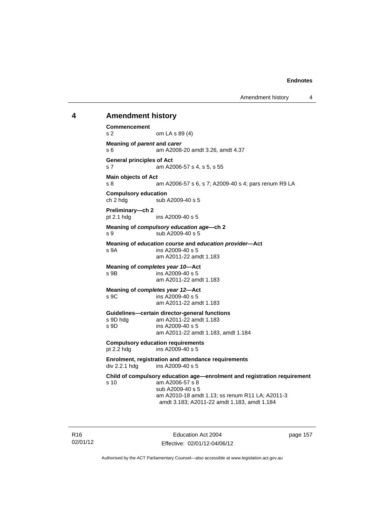### **4 Amendment history**

**Commencement**  s 2 om LA s 89 (4) **Meaning of** *parent* **and** *carer*  s 6 am A2008-20 amdt 3.26, amdt 4.37 **General principles of Act**  s 7 am A2006-57 s 4, s 5, s 55 **Main objects of Act**  s 8 am A2006-57 s 6, s 7; A2009-40 s 4; pars renum R9 LA **Compulsory education**  ch 2 hdg sub A2009-40 s 5 **Preliminary—ch 2**  pt 2.1 hdg ins A2009-40 s 5 **Meaning of** *compulsory education age***—ch 2**  s 9 sub A2009-40 s 5 **Meaning of** *education course* **and** *education provider***—Act**  s 9A ins A2009-40 s 5 am A2011-22 amdt 1.183 **Meaning of** *completes year 10***—Act**  s 9B ins A2009-40 s 5 am A2011-22 amdt 1.183 **Meaning of** *completes year 12***—Act**  s 9C ins A2009-40 s 5 am A2011-22 amdt 1.183 **Guidelines—certain director-general functions**  am A2011-22 amdt 1.183 s 9D ins A2009-40 s 5 am A2011-22 amdt 1.183, amdt 1.184 **Compulsory education requirements**  pt 2.2 hdg ins A2009-40 s 5 **Enrolment, registration and attendance requirements**  div 2.2.1 hdg ins A2009-40 s 5 **Child of compulsory education age—enrolment and registration requirement**  s 10 am A2006-57 s 8 sub A2009-40 s 5 am A2010-18 amdt 1.13; ss renum R11 LA; A2011-3 amdt 3.183; A2011-22 amdt 1.183, amdt 1.184

R16 02/01/12

Education Act 2004 Effective: 02/01/12-04/06/12 page 157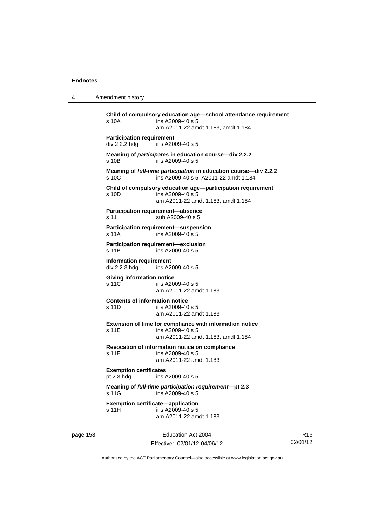4 Amendment history

page 158 Education Act 2004 **Child of compulsory education age—school attendance requirement**  s 10A ins A2009-40 s 5 am A2011-22 amdt 1.183, amdt 1.184 **Participation requirement**  div 2.2.2 hdg ins A2009-40 s 5 **Meaning of** *participates* **in education course—div 2.2.2**  s 10B ins A2009-40 s 5 **Meaning of** *full-time participation* **in education course—div 2.2.2**  s 10C ins A2009-40 s 5: A2011-22 amdt 1.184 **Child of compulsory education age—participation requirement**  s 10D ins A2009-40 s 5 am A2011-22 amdt 1.183, amdt 1.184 **Participation requirement—absence**  s 11 sub A2009-40 s 5 **Participation requirement—suspension**  s 11A ins A2009-40 s 5 **Participation requirement—exclusion**  s 11B ins A2009-40 s 5 **Information requirement**  div 2.2.3 hdg ins A2009-40 s 5 **Giving information notice**  s 11C ins A2009-40 s 5 am A2011-22 amdt 1.183 **Contents of information notice**  s 11D ins A2009-40 s 5 am A2011-22 amdt 1.183 **Extension of time for compliance with information notice**  s 11E ins A2009-40 s 5 am A2011-22 amdt 1.183, amdt 1.184 **Revocation of information notice on compliance**  s 11F ins A2009-40 s 5 am A2011-22 amdt 1.183 **Exemption certificates**  pt 2.3 hdg ins A2009-40 s 5 **Meaning of** *full-time participation requirement***—pt 2.3**  s 11G ins A2009-40 s 5 **Exemption certificate—application**  s 11H ins A2009-40 s 5 am A2011-22 amdt 1.183

R16 02/01/12

Authorised by the ACT Parliamentary Counsel—also accessible at www.legislation.act.gov.au

Effective: 02/01/12-04/06/12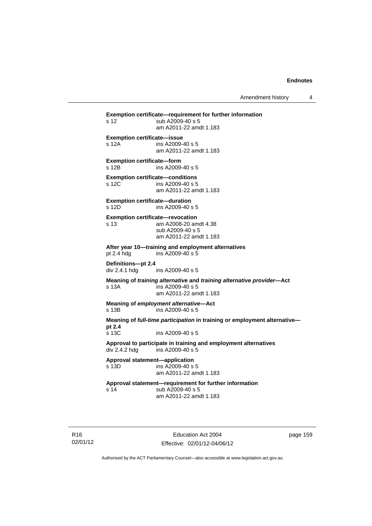Amendment history 4

**Exemption certificate—requirement for further information**  s 12 sub A2009-40 s 5 am A2011-22 amdt 1.183 **Exemption certificate—issue**  s 12A ins A2009-40 s 5 am A2011-22 amdt 1.183 **Exemption certificate—form**  s 12B ins A2009-40 s 5 **Exemption certificate—conditions**  s 12C ins A2009-40 s 5 am A2011-22 amdt 1.183 **Exemption certificate—duration**  s 12D ins A2009-40 s 5 **Exemption certificate—revocation**  s 13 am A2008-20 amdt 4.38 sub A2009-40 s 5 am A2011-22 amdt 1.183 **After year 10—training and employment alternatives**  pt 2.4 hdg ins A2009-40 s 5 **Definitions—pt 2.4**  ins A2009-40 s 5 **Meaning of** *training alternative* **and** *training alternative provider***—Act**  s 13A ins A2009-40 s 5 am A2011-22 amdt 1.183 **Meaning of** *employment alternative***—Act**  s 13B ins A2009-40 s 5 **Meaning of** *full-time participation* **in training or employment alternative pt 2.4**  s 13C ins A2009-40 s 5 **Approval to participate in training and employment alternatives**  div 2.4.2 hdg ins A2009-40 s 5 **Approval statement—application**   $ins$  A2009-40 s 5 am A2011-22 amdt 1.183 **Approval statement—requirement for further information**  s 14 sub A2009-40 s 5 am A2011-22 amdt 1.183

R16 02/01/12

Education Act 2004 Effective: 02/01/12-04/06/12 page 159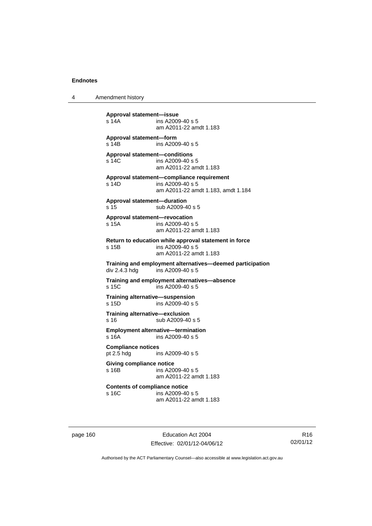4 Amendment history

**Approval statement—issue**  ins A2009-40 s 5 am A2011-22 amdt 1.183 **Approval statement—form**  s 14B ins A2009-40 s 5 **Approval statement—conditions**  s 14C ins A2009-40 s 5 am A2011-22 amdt 1.183 **Approval statement—compliance requirement**  s 14D ins A2009-40 s 5 am A2011-22 amdt 1.183, amdt 1.184 **Approval statement—duration**  s 15 sub A2009-40 s 5 **Approval statement—revocation**  s 15A ins A2009-40 s 5 am A2011-22 amdt 1.183 **Return to education while approval statement in force**  s 15B ins A2009-40 s 5 am A2011-22 amdt 1.183 **Training and employment alternatives—deemed participation**   $ins A2009-40 s 5$ **Training and employment alternatives—absence**  s 15C ins A2009-40 s 5 **Training alternative—suspension**<br>**s** 15D **ins A2009-40 s** 4  $ins$  A2009-40 s 5 **Training alternative—exclusion**  s 16 sub A2009-40 s 5 **Employment alternative—termination**  s 16A ins A2009-40 s 5 **Compliance notices**  pt 2.5 hdg ins A2009-40 s 5 **Giving compliance notice**  s 16B ins A2009-40 s 5 am A2011-22 amdt 1.183 **Contents of compliance notice**  ins A2009-40 s 5 am A2011-22 amdt 1.183

page 160 Education Act 2004 Effective: 02/01/12-04/06/12

R16 02/01/12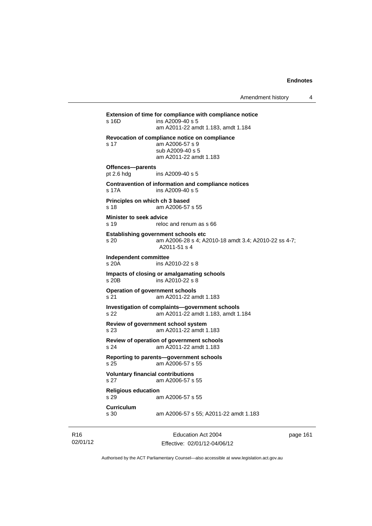**Extension of time for compliance with compliance notice**  s 16D ins A2009-40 s 5 am A2011-22 amdt 1.183, amdt 1.184 **Revocation of compliance notice on compliance**  s 17 am A2006-57 s 9 sub A2009-40 s 5 am A2011-22 amdt 1.183 **Offences—parents**  pt 2.6 hdg ins A2009-40 s 5 **Contravention of information and compliance notices**  s 17A ins A2009-40 s 5 **Principles on which ch 3 based**  s 18 am A2006-57 s 55 **Minister to seek advice**  s 19 reloc and renum as s 66 **Establishing government schools etc**  s 20 am A2006-28 s 4; A2010-18 amdt 3.4; A2010-22 ss 4-7; A2011-51 s 4 **Independent committee**  ins A2010-22 s 8 **Impacts of closing or amalgamating schools**  s 20B ins A2010-22 s 8 **Operation of government schools**  s 21 am A2011-22 amdt 1.183 **Investigation of complaints—government schools**  s 22 am A2011-22 amdt 1.183, amdt 1.184 **Review of government school system**  s 23 am A2011-22 amdt 1.183 **Review of operation of government schools**  s 24 am A2011-22 amdt 1.183 **Reporting to parents—government schools**  s 25 am A2006-57 s 55 **Voluntary financial contributions**  s 27 am A2006-57 s 55 **Religious education**  s 29 am A2006-57 s 55 **Curriculum**  am A2006-57 s 55; A2011-22 amdt 1.183

R16 02/01/12

Education Act 2004 Effective: 02/01/12-04/06/12 page 161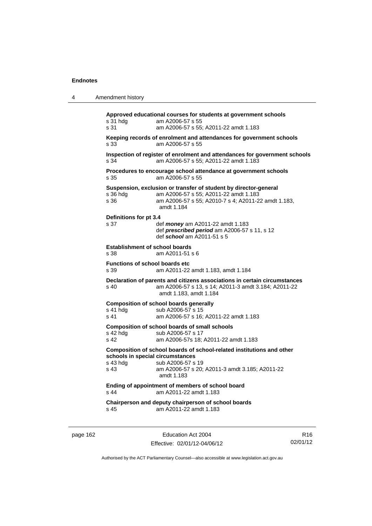| 4        | Amendment history                                    |                                                                                                                                                                                |                 |
|----------|------------------------------------------------------|--------------------------------------------------------------------------------------------------------------------------------------------------------------------------------|-----------------|
|          | s 31 hdg<br>s 31                                     | Approved educational courses for students at government schools<br>am A2006-57 s 55<br>am A2006-57 s 55; A2011-22 amdt 1.183                                                   |                 |
|          | s 33                                                 | Keeping records of enrolment and attendances for government schools<br>am A2006-57 s 55                                                                                        |                 |
|          | s 34                                                 | Inspection of register of enrolment and attendances for government schools<br>am A2006-57 s 55; A2011-22 amdt 1.183                                                            |                 |
|          | s 35                                                 | Procedures to encourage school attendance at government schools<br>am A2006-57 s 55                                                                                            |                 |
|          | s 36 hdg<br>s 36                                     | Suspension, exclusion or transfer of student by director-general<br>am A2006-57 s 55; A2011-22 amdt 1.183<br>am A2006-57 s 55; A2010-7 s 4; A2011-22 amdt 1.183,<br>amdt 1.184 |                 |
|          | Definitions for pt 3.4<br>s 37                       | def <i>money</i> am A2011-22 amdt 1.183<br>def prescribed period am A2006-57 s 11, s 12<br>def school am A2011-51 s 5                                                          |                 |
|          | <b>Establishment of school boards</b><br>s 38        | am A2011-51 s 6                                                                                                                                                                |                 |
|          | <b>Functions of school boards etc</b><br>s 39        | am A2011-22 amdt 1.183, amdt 1.184                                                                                                                                             |                 |
|          | s 40                                                 | Declaration of parents and citizens associations in certain circumstances<br>am A2006-57 s 13, s 14; A2011-3 amdt 3.184; A2011-22<br>amdt 1.183, amdt 1.184                    |                 |
|          | s 41 hdg<br>s 41                                     | <b>Composition of school boards generally</b><br>sub A2006-57 s 15<br>am A2006-57 s 16; A2011-22 amdt 1.183                                                                    |                 |
|          | s 42 hdg<br>s 42                                     | <b>Composition of school boards of small schools</b><br>sub A2006-57 s 17<br>am A2006-57s 18; A2011-22 amdt 1.183                                                              |                 |
|          | schools in special circumstances<br>s 43 hdg<br>s 43 | Composition of school boards of school-related institutions and other<br>sub A2006-57 s 19<br>am A2006-57 s 20; A2011-3 amdt 3.185; A2011-22<br>amdt 1.183                     |                 |
|          | s 44                                                 | Ending of appointment of members of school board<br>am A2011-22 amdt 1.183                                                                                                     |                 |
|          | s 45                                                 | Chairperson and deputy chairperson of school boards<br>am A2011-22 amdt 1.183                                                                                                  |                 |
| page 162 |                                                      | Education Act 2004                                                                                                                                                             | R <sub>16</sub> |

Authorised by the ACT Parliamentary Counsel—also accessible at www.legislation.act.gov.au

Effective: 02/01/12-04/06/12

02/01/12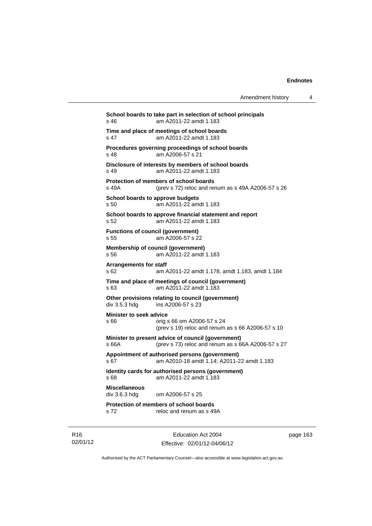| Amendment history |  |
|-------------------|--|
|-------------------|--|

**School boards to take part in selection of school principals**  s 46 am A2011-22 amdt 1.183 **Time and place of meetings of school boards**  s 47 am A2011-22 amdt 1.183 **Procedures governing proceedings of school boards**  s 48 am A2006-57 s 21 **Disclosure of interests by members of school boards**  s 49 am A2011-22 amdt 1.183 **Protection of members of school boards**  s 49A (prev s 72) reloc and renum as s 49A A2006-57 s 26 **School boards to approve budgets**  s 50 am A2011-22 amdt 1.183 **School boards to approve financial statement and report**  s 52 am A2011-22 amdt 1.183 **Functions of council (government)**  s 55 am A2006-57 s 22 **Membership of council (government)**  s 56 am A2011-22 amdt 1.183 **Arrangements for staff**  s 62 am A2011-22 amdt 1.178, amdt 1.183, amdt 1.184 **Time and place of meetings of council (government)**  s 63 am A2011-22 amdt 1.183 **Other provisions relating to council (government)**  div 3.5.3 hdg ins A2006-57 s 23 **Minister to seek advice**  s 66 orig s 66 om A2006-57 s 24 (prev s 19) reloc and renum as s 66 A2006-57 s 10 **Minister to present advice of council (government)**  s 66A (prev s 73) reloc and renum as s 66A A2006-57 s 27 **Appointment of authorised persons (government)**  s 67 am A2010-18 amdt 1.14; A2011-22 amdt 1.183 **Identity cards for authorised persons (government)**  s 68 am A2011-22 amdt 1.183 **Miscellaneous**  div 3.6.3 hdg om A2006-57 s 25 **Protection of members of school boards**  s 72 reloc and renum as s 49A

R16 02/01/12

Education Act 2004 Effective: 02/01/12-04/06/12 page 163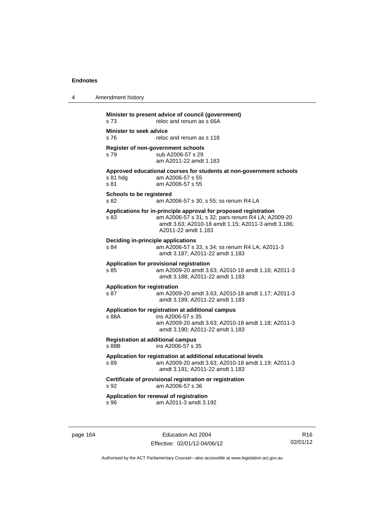| 4 | Amendment history                                                                                                                                                                                           |
|---|-------------------------------------------------------------------------------------------------------------------------------------------------------------------------------------------------------------|
|   | Minister to present advice of council (government)<br>s 73<br>reloc and renum as s 66A                                                                                                                      |
|   | <b>Minister to seek advice</b><br>s 76<br>reloc and renum as s 118                                                                                                                                          |
|   | Register of non-government schools<br>sub A2006-57 s 29<br>s 79<br>am A2011-22 amdt 1.183                                                                                                                   |
|   | Approved educational courses for students at non-government schools<br>s 81 hdg<br>am A2006-57 s 55<br>s 81<br>am A2006-57 s 55                                                                             |
|   | <b>Schools to be registered</b><br>s 82<br>am A2006-57 s 30, s 55; ss renum R4 LA                                                                                                                           |
|   | Applications for in-principle approval for proposed registration<br>am A2006-57 s 31, s 32; pars renum R4 LA; A2009-20<br>s 83<br>amdt 3.63; A2010-18 amdt 1.15; A2011-3 amdt 3.186;<br>A2011-22 amdt 1.183 |
|   | Deciding in-principle applications<br>am A2006-57 s 33, s 34; ss renum R4 LA; A2011-3<br>s 84<br>amdt 3.187; A2011-22 amdt 1.183                                                                            |
|   | Application for provisional registration<br>s 85<br>am A2009-20 amdt 3.63; A2010-18 amdt 1.16; A2011-3<br>amdt 3.188; A2011-22 amdt 1.183                                                                   |
|   | <b>Application for registration</b><br>s 87<br>am A2009-20 amdt 3.63; A2010-18 amdt 1.17; A2011-3<br>amdt 3.189; A2011-22 amdt 1.183                                                                        |
|   | Application for registration at additional campus<br>s 88A<br>ins A2006-57 s 35<br>am A2009-20 amdt 3.63; A2010-18 amdt 1.18; A2011-3<br>amdt 3.190; A2011-22 amdt 1.183                                    |
|   | <b>Registration at additional campus</b><br>s 88B<br>ins A2006-57 s 35                                                                                                                                      |
|   | Application for registration at additional educational levels<br>am A2009-20 amdt 3.63; A2010-18 amdt 1.19; A2011-3<br>s 89<br>amdt 3.191; A2011-22 amdt 1.183                                              |
|   | Certificate of provisional registration or registration<br>am A2006-57 s 36<br>s 92                                                                                                                         |
|   | Application for renewal of registration<br>am A2011-3 amdt 3.192<br>s 96                                                                                                                                    |

page 164 **Education Act 2004** Effective: 02/01/12-04/06/12

R16 02/01/12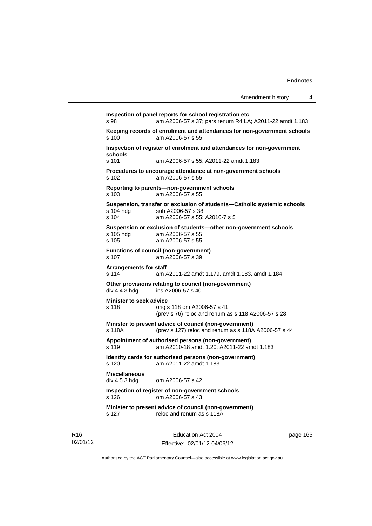**Inspection of panel reports for school registration etc**  s 98 am A2006-57 s 37; pars renum R4 LA; A2011-22 amdt 1.183 **Keeping records of enrolment and attendances for non-government schools**  am A2006-57 s 55 **Inspection of register of enrolment and attendances for non-government schools**  s 101 am A2006-57 s 55; A2011-22 amdt 1.183 **Procedures to encourage attendance at non-government schools**  s 102 am A2006-57 s 55 **Reporting to parents—non-government schools**  s 103 am A2006-57 s 55 **Suspension, transfer or exclusion of students—Catholic systemic schools**  sub A2006-57 s 38 s 104 am A2006-57 s 55; A2010-7 s 5 **Suspension or exclusion of students—other non-government schools**  am A2006-57 s 55 s 105 am A2006-57 s 55 **Functions of council (non-government)**  s 107 am A2006-57 s 39 **Arrangements for staff**  s 114 am A2011-22 amdt 1.179, amdt 1.183, amdt 1.184 **Other provisions relating to council (non-government)**  div 4.4.3 hdg ins A2006-57 s 40 **Minister to seek advice**  s 118 orig s 118 om A2006-57 s 41 (prev s 76) reloc and renum as s 118 A2006-57 s 28 **Minister to present advice of council (non-government)**  s 118A (prev s 127) reloc and renum as s 118A A2006-57 s 44 **Appointment of authorised persons (non-government)**  s 119 am A2010-18 amdt 1.20; A2011-22 amdt 1.183 **Identity cards for authorised persons (non-government)**  s 120 am A2011-22 amdt 1.183 **Miscellaneous**  div 4.5.3 hdg om A2006-57 s 42 **Inspection of register of non-government schools**  s 126 om A2006-57 s 43 **Minister to present advice of council (non-government)**  s 127 reloc and renum as s 118A

R16 02/01/12

Education Act 2004 Effective: 02/01/12-04/06/12 page 165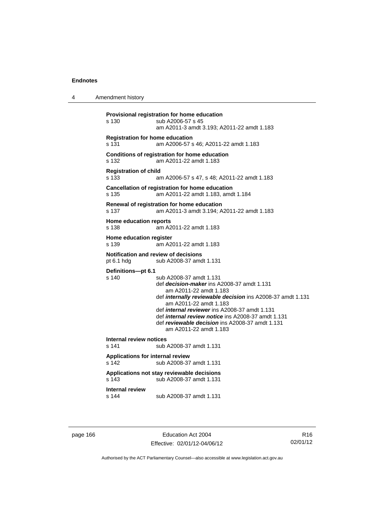4 Amendment history

```
Provisional registration for home education 
s 130 sub A2006-57 s 45 
                  am A2011-3 amdt 3.193; A2011-22 amdt 1.183 
Registration for home education 
s 131 am A2006-57 s 46; A2011-22 amdt 1.183 
Conditions of registration for home education 
s 132 am A2011-22 amdt 1.183 
Registration of child 
s 133 am A2006-57 s 47, s 48; A2011-22 amdt 1.183 
Cancellation of registration for home education 
s 135 am A2011-22 amdt 1.183, amdt 1.184 
Renewal of registration for home education 
s 137 am A2011-3 amdt 3.194; A2011-22 amdt 1.183 
Home education reports 
s 138 am A2011-22 amdt 1.183 
Home education register 
s 139 am A2011-22 amdt 1.183 
Notification and review of decisions 
pt 6.1 hdg sub A2008-37 amdt 1.131 
Definitions—pt 6.1 
                 sub A2008-37 amdt 1.131
                  def decision-maker ins A2008-37 amdt 1.131 
                     am A2011-22 amdt 1.183 
                  def internally reviewable decision ins A2008-37 amdt 1.131 
                     am A2011-22 amdt 1.183 
                  def internal reviewer ins A2008-37 amdt 1.131 
                  def internal review notice ins A2008-37 amdt 1.131 
                  def reviewable decision ins A2008-37 amdt 1.131 
                     am A2011-22 amdt 1.183 
Internal review notices 
                 sub A2008-37 amdt 1.131
Applications for internal review 
s 142 sub A2008-37 amdt 1.131 
Applications not stay reviewable decisions 
s 143 sub A2008-37 amdt 1.131 
Internal review 
s 144 sub A2008-37 amdt 1.131
```
page 166 Education Act 2004 Effective: 02/01/12-04/06/12

R16 02/01/12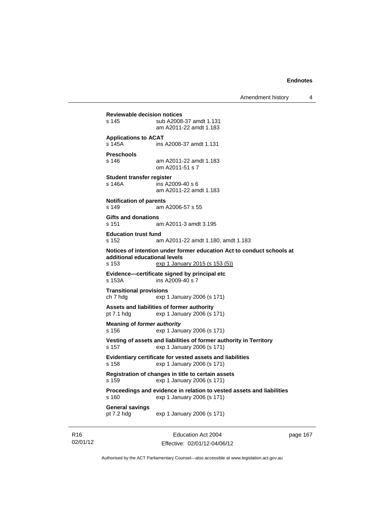Amendment history 4

**Reviewable decision notices**  s 145 sub A2008-37 amdt 1.131 am A2011-22 amdt 1.183 **Applications to ACAT**  s 145A ins A2008-37 amdt 1.131 **Preschools**  s 146 am A2011-22 amdt 1.183 om A2011-51 s 7 **Student transfer register**  s 146A ins A2009-40 s 6 am A2011-22 amdt 1.183 **Notification of parents**  s 149 am A2006-57 s 55 **Gifts and donations**  s 151 am A2011-3 amdt 3.195 **Education trust fund**  s 152 am A2011-22 amdt 1.180, amdt 1.183 **Notices of intention under former education Act to conduct schools at additional educational levels**  exp 1 January 2015 (s 153 (5)) **Evidence—certificate signed by principal etc**  s 153A ins A2009-40 s 7 **Transitional provisions**  ch 7 hdg exp 1 January 2006 (s 171) **Assets and liabilities of former authority**  pt 7.1 hdg exp 1 January 2006 (s 171) **Meaning of** *former authority* s 156 exp 1 January 2006 (s 171) **Vesting of assets and liabilities of former authority in Territory**  s 157 exp 1 January 2006 (s 171) **Evidentiary certificate for vested assets and liabilities**  s 158 exp 1 January 2006 (s 171) **Registration of changes in title to certain assets**  s 159 exp 1 January 2006 (s 171) **Proceedings and evidence in relation to vested assets and liabilities**  s 160 exp 1 January 2006 (s 171) **General savings**  pt 7.2 hdg exp 1 January 2006 (s 171)

R16 02/01/12

Education Act 2004 Effective: 02/01/12-04/06/12 page 167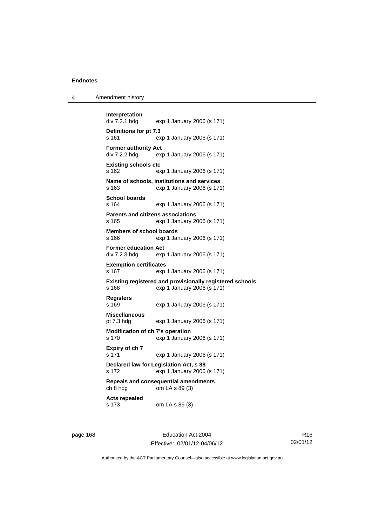| 4 | Amendment history |
|---|-------------------|
|---|-------------------|

```
Interpretation 
                exp 1 January 2006 (s 171)
Definitions for pt 7.3 
s 161 exp 1 January 2006 (s 171) 
Former authority Act 
div 7.2.2 hdg exp 1 January 2006 (s 171) 
Existing schools etc 
s 162 exp 1 January 2006 (s 171) 
Name of schools, institutions and services 
s 163 exp 1 January 2006 (s 171) 
School boards 
s 164 exp 1 January 2006 (s 171) 
Parents and citizens associations 
s 165 exp 1 January 2006 (s 171) 
Members of school boards 
s 166 exp 1 January 2006 (s 171) 
Former education Act 
div 7.2.3 hdg exp 1 January 2006 (s 171) 
Exemption certificates 
s 167 exp 1 January 2006 (s 171) 
Existing registered and provisionally registered schools 
s 168 exp 1 January 2006 (s 171) 
Registers 
s 169 exp 1 January 2006 (s 171) 
Miscellaneous 
pt 7.3 hdg exp 1 January 2006 (s 171) 
Modification of ch 7's operation 
s 170 exp 1 January 2006 (s 171) 
Expiry of ch 7 
s 171 exp 1 January 2006 (s 171) 
Declared law for Legislation Act, s 88 
s 172 exp 1 January 2006 (s 171) 
Repeals and consequential amendments 
ch 8 hdg om LA s 89 (3) 
Acts repealed 
s 173 om LA s 89 (3)
```
page 168 Education Act 2004 Effective: 02/01/12-04/06/12

R16 02/01/12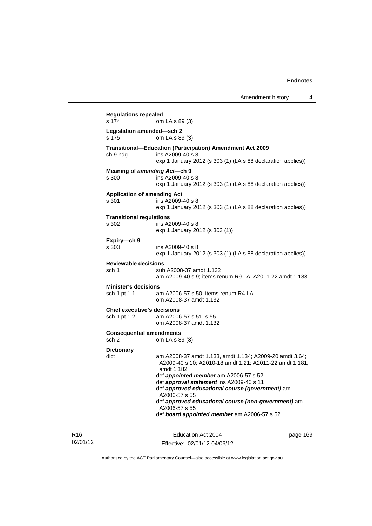| <b>Regulations repealed</b><br>s 174     | om LA s 89 (3)                                                                                                     |
|------------------------------------------|--------------------------------------------------------------------------------------------------------------------|
| Legislation amended-sch 2<br>s 175       | om LA s 89 (3)                                                                                                     |
|                                          | Transitional-Education (Participation) Amendment Act 2009                                                          |
| ch 9 hdg                                 | ins A2009-40 s 8                                                                                                   |
|                                          | exp 1 January 2012 (s 303 (1) (LA s 88 declaration applies))                                                       |
|                                          | Meaning of amending Act-ch 9                                                                                       |
| s 300                                    | ins A2009-40 s 8                                                                                                   |
|                                          | exp 1 January 2012 (s 303 (1) (LA s 88 declaration applies))                                                       |
| <b>Application of amending Act</b>       |                                                                                                                    |
| s 301                                    | ins A2009-40 s 8<br>exp 1 January 2012 (s 303 (1) (LA s 88 declaration applies))                                   |
|                                          |                                                                                                                    |
| <b>Transitional regulations</b><br>s 302 | ins A2009-40 s 8                                                                                                   |
|                                          | exp 1 January 2012 (s 303 (1))                                                                                     |
|                                          |                                                                                                                    |
| Expiry-ch 9<br>s 303                     | ins A2009-40 s 8                                                                                                   |
|                                          | exp 1 January 2012 (s 303 (1) (LA s 88 declaration applies))                                                       |
| <b>Reviewable decisions</b>              |                                                                                                                    |
| sch 1                                    | sub A2008-37 amdt 1.132                                                                                            |
|                                          | am A2009-40 s 9; items renum R9 LA; A2011-22 amdt 1.183                                                            |
| <b>Minister's decisions</b>              |                                                                                                                    |
| sch 1 pt 1.1                             | am A2006-57 s 50; items renum R4 LA                                                                                |
|                                          | om A2008-37 amdt 1.132                                                                                             |
| <b>Chief executive's decisions</b>       |                                                                                                                    |
| sch 1 pt 1.2                             | am A2006-57 s 51, s 55                                                                                             |
|                                          | om A2008-37 amdt 1.132                                                                                             |
| <b>Consequential amendments</b>          |                                                                                                                    |
| sch <sub>2</sub>                         | om LA s 89 (3)                                                                                                     |
| <b>Dictionary</b>                        |                                                                                                                    |
| dict                                     | am A2008-37 amdt 1.133, amdt 1.134; A2009-20 amdt 3.64;<br>A2009-40 s 10; A2010-18 amdt 1.21; A2011-22 amdt 1.181, |
|                                          | amdt 1.182                                                                                                         |
|                                          | def <i>appointed member</i> am A2006-57 s 52                                                                       |
|                                          | def approval statement ins A2009-40 s 11                                                                           |
|                                          | def approved educational course (government) am<br>A2006-57 s 55                                                   |
|                                          | def approved educational course (non-government) am                                                                |
|                                          | A2006-57 s 55                                                                                                      |
|                                          | def board appointed member am A2006-57 s 52                                                                        |

R16 02/01/12

Education Act 2004 Effective: 02/01/12-04/06/12 page 169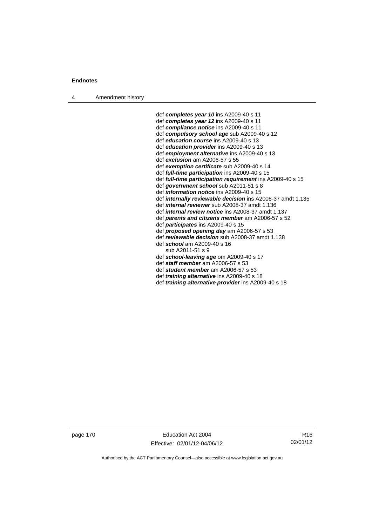4 Amendment history

 def *completes year 10* ins A2009-40 s 11 def *completes year 12* ins A2009-40 s 11 def *compliance notice* ins A2009-40 s 11 def *compulsory school age* sub A2009-40 s 12 def *education course* ins A2009-40 s 13 def *education provider* ins A2009-40 s 13 def *employment alternative* ins A2009-40 s 13 def *exclusion* am A2006-57 s 55 def *exemption certificate* sub A2009-40 s 14 def *full-time participation* ins A2009-40 s 15 def *full-time participation requirement* ins A2009-40 s 15 def *government school* sub A2011-51 s 8 def *information notice* ins A2009-40 s 15 def *internally reviewable decision* ins A2008-37 amdt 1.135 def *internal reviewer* sub A2008-37 amdt 1.136 def *internal review notice* ins A2008-37 amdt 1.137 def *parents and citizens member* am A2006-57 s 52 def *participates* ins A2009-40 s 15 def *proposed opening day* am A2006-57 s 53 def *reviewable decision* sub A2008-37 amdt 1.138 def *school* am A2009-40 s 16 sub A2011-51 s 9 def *school-leaving age* om A2009-40 s 17 def *staff member* am A2006-57 s 53 def *student member* am A2006-57 s 53 def *training alternative* ins A2009-40 s 18

def *training alternative provider* ins A2009-40 s 18

page 170 Education Act 2004 Effective: 02/01/12-04/06/12

R16 02/01/12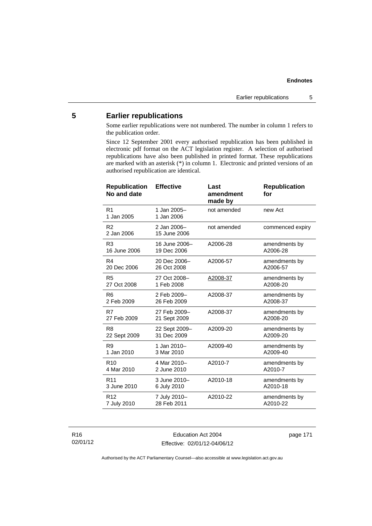# **5 Earlier republications**

Some earlier republications were not numbered. The number in column 1 refers to the publication order.

Since 12 September 2001 every authorised republication has been published in electronic pdf format on the ACT legislation register. A selection of authorised republications have also been published in printed format. These republications are marked with an asterisk (\*) in column 1. Electronic and printed versions of an authorised republication are identical.

| <b>Republication</b><br>No and date | <b>Effective</b>            | Last<br>amendment<br>made by | <b>Republication</b><br>for |
|-------------------------------------|-----------------------------|------------------------------|-----------------------------|
| R <sub>1</sub><br>1 Jan 2005        | 1 Jan 2005-<br>1 Jan 2006   | not amended                  | new Act                     |
| R <sub>2</sub><br>2 Jan 2006        | 2 Jan 2006-<br>15 June 2006 | not amended                  | commenced expiry            |
| R3                                  | 16 June 2006-               | A2006-28                     | amendments by               |
| 16 June 2006                        | 19 Dec 2006                 |                              | A2006-28                    |
| R4                                  | 20 Dec 2006-                | A2006-57                     | amendments by               |
| 20 Dec 2006                         | 26 Oct 2008                 |                              | A2006-57                    |
| R <sub>5</sub>                      | 27 Oct 2008-                | A2008-37                     | amendments by               |
| 27 Oct 2008                         | 1 Feb 2008                  |                              | A2008-20                    |
| R <sub>6</sub>                      | 2 Feb 2009-                 | A2008-37                     | amendments by               |
| 2 Feb 2009                          | 26 Feb 2009                 |                              | A2008-37                    |
| R7                                  | 27 Feb 2009-                | A2008-37                     | amendments by               |
| 27 Feb 2009                         | 21 Sept 2009                |                              | A2008-20                    |
| R <sub>8</sub>                      | 22 Sept 2009-               | A2009-20                     | amendments by               |
| 22 Sept 2009                        | 31 Dec 2009                 |                              | A2009-20                    |
| R <sub>9</sub>                      | 1 Jan 2010-                 | A2009-40                     | amendments by               |
| 1 Jan 2010                          | 3 Mar 2010                  |                              | A2009-40                    |
| R <sub>10</sub>                     | 4 Mar 2010-                 | A2010-7                      | amendments by               |
| 4 Mar 2010                          | 2 June 2010                 |                              | A2010-7                     |
| R <sub>11</sub>                     | 3 June 2010-                | A2010-18                     | amendments by               |
| 3 June 2010                         | 6 July 2010                 |                              | A2010-18                    |
| R <sub>12</sub>                     | 7 July 2010-                | A2010-22                     | amendments by               |
| 7 July 2010                         | 28 Feb 2011                 |                              | A2010-22                    |

R16 02/01/12

Education Act 2004 Effective: 02/01/12-04/06/12 page 171